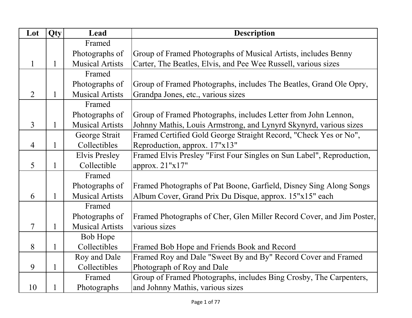| Lot            | Qty          | Lead                   | <b>Description</b>                                                    |
|----------------|--------------|------------------------|-----------------------------------------------------------------------|
|                |              | Framed                 |                                                                       |
|                |              | Photographs of         | Group of Framed Photographs of Musical Artists, includes Benny        |
| 1              | $\mathbf{1}$ | <b>Musical Artists</b> | Carter, The Beatles, Elvis, and Pee Wee Russell, various sizes        |
|                |              | Framed                 |                                                                       |
|                |              | Photographs of         | Group of Framed Photographs, includes The Beatles, Grand Ole Opry,    |
| $\overline{2}$ |              | <b>Musical Artists</b> | Grandpa Jones, etc., various sizes                                    |
|                |              | Framed                 |                                                                       |
|                |              | Photographs of         | Group of Framed Photographs, includes Letter from John Lennon,        |
| 3              |              | <b>Musical Artists</b> | Johnny Mathis, Louis Armstrong, and Lynyrd Skynyrd, various sizes     |
|                |              | George Strait          | Framed Certified Gold George Straight Record, "Check Yes or No",      |
| $\overline{4}$ | 1            | Collectibles           | Reproduction, approx. 17"x13"                                         |
|                |              | <b>Elvis Presley</b>   | Framed Elvis Presley "First Four Singles on Sun Label", Reproduction, |
| 5              | 1            | Collectible            | approx. 21"x17"                                                       |
|                |              | Framed                 |                                                                       |
|                |              | Photographs of         | Framed Photographs of Pat Boone, Garfield, Disney Sing Along Songs    |
| 6              |              | <b>Musical Artists</b> | Album Cover, Grand Prix Du Disque, approx. 15"x15" each               |
|                |              | Framed                 |                                                                       |
|                |              | Photographs of         | Framed Photographs of Cher, Glen Miller Record Cover, and Jim Poster, |
| 7              | 1            | <b>Musical Artists</b> | various sizes                                                         |
|                |              | Bob Hope               |                                                                       |
| 8              | $\mathbf{1}$ | Collectibles           | Framed Bob Hope and Friends Book and Record                           |
|                |              | Roy and Dale           | Framed Roy and Dale "Sweet By and By" Record Cover and Framed         |
| 9              | $\mathbf{1}$ | Collectibles           | Photograph of Roy and Dale                                            |
|                |              | Framed                 | Group of Framed Photographs, includes Bing Crosby, The Carpenters,    |
| 10             |              | Photographs            | and Johnny Mathis, various sizes                                      |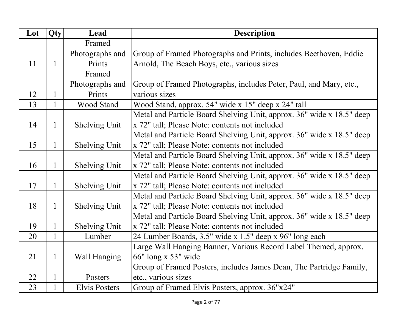| Lot | Qty          | Lead                 | <b>Description</b>                                                    |
|-----|--------------|----------------------|-----------------------------------------------------------------------|
|     |              | Framed               |                                                                       |
|     |              | Photographs and      | Group of Framed Photographs and Prints, includes Beethoven, Eddie     |
| 11  | $\mathbf{1}$ | Prints               | Arnold, The Beach Boys, etc., various sizes                           |
|     |              | Framed               |                                                                       |
|     |              | Photographs and      | Group of Framed Photographs, includes Peter, Paul, and Mary, etc.,    |
| 12  | $\mathbf 1$  | Prints               | various sizes                                                         |
| 13  | $\mathbf{1}$ | Wood Stand           | Wood Stand, approx. 54" wide x 15" deep x 24" tall                    |
|     |              |                      | Metal and Particle Board Shelving Unit, approx. 36" wide x 18.5" deep |
| 14  | $\mathbf{1}$ | <b>Shelving Unit</b> | x 72" tall; Please Note: contents not included                        |
|     |              |                      | Metal and Particle Board Shelving Unit, approx. 36" wide x 18.5" deep |
| 15  | $\mathbf{1}$ | <b>Shelving Unit</b> | x 72" tall; Please Note: contents not included                        |
|     |              |                      | Metal and Particle Board Shelving Unit, approx. 36" wide x 18.5" deep |
| 16  | $\mathbf{1}$ | <b>Shelving Unit</b> | x 72" tall; Please Note: contents not included                        |
|     |              |                      | Metal and Particle Board Shelving Unit, approx. 36" wide x 18.5" deep |
| 17  | $\mathbf{1}$ | <b>Shelving Unit</b> | x 72" tall; Please Note: contents not included                        |
|     |              |                      | Metal and Particle Board Shelving Unit, approx. 36" wide x 18.5" deep |
| 18  | $\mathbf{1}$ | <b>Shelving Unit</b> | x 72" tall; Please Note: contents not included                        |
|     |              |                      | Metal and Particle Board Shelving Unit, approx. 36" wide x 18.5" deep |
| 19  | $\mathbf 1$  | <b>Shelving Unit</b> | x 72" tall; Please Note: contents not included                        |
| 20  | $\mathbf{1}$ | Lumber               | 24 Lumber Boards, 3.5" wide x 1.5" deep x 96" long each               |
|     |              |                      | Large Wall Hanging Banner, Various Record Label Themed, approx.       |
| 21  | $\mathbf{1}$ | Wall Hanging         | 66" long x 53" wide                                                   |
|     |              |                      | Group of Framed Posters, includes James Dean, The Partridge Family,   |
| 22  | $\mathbf{1}$ | Posters              | etc., various sizes                                                   |
| 23  | $\mathbf{1}$ | <b>Elvis Posters</b> | Group of Framed Elvis Posters, approx. 36"x24"                        |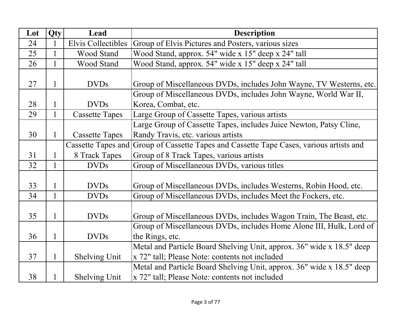| Lot | Qty          | Lead                      | <b>Description</b>                                                    |
|-----|--------------|---------------------------|-----------------------------------------------------------------------|
| 24  | $\mathbf{1}$ | <b>Elvis Collectibles</b> | Group of Elvis Pictures and Posters, various sizes                    |
| 25  | $\mathbf{1}$ | Wood Stand                | Wood Stand, approx. 54" wide x 15" deep x 24" tall                    |
| 26  | $\mathbf{1}$ | Wood Stand                | Wood Stand, approx. 54" wide x 15" deep x 24" tall                    |
|     |              |                           |                                                                       |
| 27  | $\mathbf{1}$ | <b>DVDs</b>               | Group of Miscellaneous DVDs, includes John Wayne, TV Westerns, etc.   |
|     |              |                           | Group of Miscellaneous DVDs, includes John Wayne, World War II,       |
| 28  | 1            | <b>DVDs</b>               | Korea, Combat, etc.                                                   |
| 29  | 1            | <b>Cassette Tapes</b>     | Large Group of Cassette Tapes, various artists                        |
|     |              |                           | Large Group of Cassette Tapes, includes Juice Newton, Patsy Cline,    |
| 30  | $\mathbf{1}$ | <b>Cassette Tapes</b>     | Randy Travis, etc. various artists                                    |
|     |              | <b>Cassette Tapes and</b> | Group of Cassette Tapes and Cassette Tape Cases, various artists and  |
| 31  |              | 8 Track Tapes             | Group of 8 Track Tapes, various artists                               |
| 32  | 1            | <b>DVDs</b>               | Group of Miscellaneous DVDs, various titles                           |
|     |              |                           |                                                                       |
| 33  | 1            | <b>DVDs</b>               | Group of Miscellaneous DVDs, includes Westerns, Robin Hood, etc.      |
| 34  |              | <b>DVDs</b>               | Group of Miscellaneous DVDs, includes Meet the Fockers, etc.          |
|     |              |                           |                                                                       |
| 35  | 1            | <b>DVDs</b>               | Group of Miscellaneous DVDs, includes Wagon Train, The Beast, etc.    |
|     |              |                           | Group of Miscellaneous DVDs, includes Home Alone III, Hulk, Lord of   |
| 36  | $\mathbf{1}$ | <b>DVDs</b>               | the Rings, etc.                                                       |
|     |              |                           | Metal and Particle Board Shelving Unit, approx. 36" wide x 18.5" deep |
| 37  | $\mathbf{1}$ | Shelving Unit             | x 72" tall; Please Note: contents not included                        |
|     |              |                           | Metal and Particle Board Shelving Unit, approx. 36" wide x 18.5" deep |
| 38  |              | <b>Shelving Unit</b>      | x 72" tall; Please Note: contents not included                        |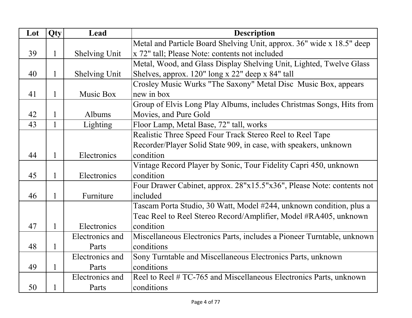| Lot | Qty          | Lead                 | <b>Description</b>                                                     |
|-----|--------------|----------------------|------------------------------------------------------------------------|
|     |              |                      | Metal and Particle Board Shelving Unit, approx. 36" wide x 18.5" deep  |
| 39  | $\mathbf{1}$ | <b>Shelving Unit</b> | x 72" tall; Please Note: contents not included                         |
|     |              |                      | Metal, Wood, and Glass Display Shelving Unit, Lighted, Twelve Glass    |
| 40  | 1            | Shelving Unit        | Shelves, approx. 120" long x 22" deep x 84" tall                       |
|     |              |                      | Crosley Music Wurks "The Saxony" Metal Disc Music Box, appears         |
| 41  | 1            | Music Box            | new in box                                                             |
|     |              |                      | Group of Elvis Long Play Albums, includes Christmas Songs, Hits from   |
| 42  | $\mathbf{1}$ | <b>Albums</b>        | Movies, and Pure Gold                                                  |
| 43  | 1            | Lighting             | Floor Lamp, Metal Base, 72" tall, works                                |
|     |              |                      | Realistic Three Speed Four Track Stereo Reel to Reel Tape              |
|     |              |                      | Recorder/Player Solid State 909, in case, with speakers, unknown       |
| 44  | 1            | Electronics          | condition                                                              |
|     |              |                      | Vintage Record Player by Sonic, Tour Fidelity Capri 450, unknown       |
| 45  | 1            | Electronics          | condition                                                              |
|     |              |                      | Four Drawer Cabinet, approx. 28"x15.5"x36", Please Note: contents not  |
| 46  | 1            | Furniture            | included                                                               |
|     |              |                      | Tascam Porta Studio, 30 Watt, Model #244, unknown condition, plus a    |
|     |              |                      | Teac Reel to Reel Stereo Record/Amplifier, Model #RA405, unknown       |
| 47  | 1            | Electronics          | condition                                                              |
|     |              | Electronics and      | Miscellaneous Electronics Parts, includes a Pioneer Turntable, unknown |
| 48  | $\mathbf{1}$ | Parts                | conditions                                                             |
|     |              | Electronics and      | Sony Turntable and Miscellaneous Electronics Parts, unknown            |
| 49  | $\mathbf{1}$ | Parts                | conditions                                                             |
|     |              | Electronics and      | Reel to Reel # TC-765 and Miscellaneous Electronics Parts, unknown     |
| 50  |              | Parts                | conditions                                                             |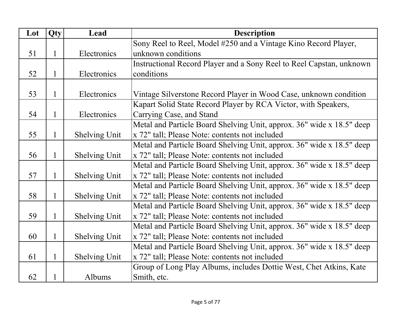| Lot | Qty | Lead                 | <b>Description</b>                                                    |
|-----|-----|----------------------|-----------------------------------------------------------------------|
|     |     |                      | Sony Reel to Reel, Model #250 and a Vintage Kino Record Player,       |
| 51  | 1   | Electronics          | unknown conditions                                                    |
|     |     |                      | Instructional Record Player and a Sony Reel to Reel Capstan, unknown  |
| 52  | 1   | Electronics          | conditions                                                            |
|     |     |                      |                                                                       |
| 53  | 1   | Electronics          | Vintage Silverstone Record Player in Wood Case, unknown condition     |
|     |     |                      | Kapart Solid State Record Player by RCA Victor, with Speakers,        |
| 54  | 1   | Electronics          | Carrying Case, and Stand                                              |
|     |     |                      | Metal and Particle Board Shelving Unit, approx. 36" wide x 18.5" deep |
| 55  | 1   | <b>Shelving Unit</b> | x 72" tall; Please Note: contents not included                        |
|     |     |                      | Metal and Particle Board Shelving Unit, approx. 36" wide x 18.5" deep |
| 56  | 1   | <b>Shelving Unit</b> | x 72" tall; Please Note: contents not included                        |
|     |     |                      | Metal and Particle Board Shelving Unit, approx. 36" wide x 18.5" deep |
| 57  |     | <b>Shelving Unit</b> | x 72" tall; Please Note: contents not included                        |
|     |     |                      | Metal and Particle Board Shelving Unit, approx. 36" wide x 18.5" deep |
| 58  | 1   | <b>Shelving Unit</b> | x 72" tall; Please Note: contents not included                        |
|     |     |                      | Metal and Particle Board Shelving Unit, approx. 36" wide x 18.5" deep |
| 59  | 1   | <b>Shelving Unit</b> | x 72" tall; Please Note: contents not included                        |
|     |     |                      | Metal and Particle Board Shelving Unit, approx. 36" wide x 18.5" deep |
| 60  | 1   | <b>Shelving Unit</b> | x 72" tall; Please Note: contents not included                        |
|     |     |                      | Metal and Particle Board Shelving Unit, approx. 36" wide x 18.5" deep |
| 61  | 1   | <b>Shelving Unit</b> | x 72" tall; Please Note: contents not included                        |
|     |     |                      | Group of Long Play Albums, includes Dottie West, Chet Atkins, Kate    |
| 62  |     | Albums               | Smith, etc.                                                           |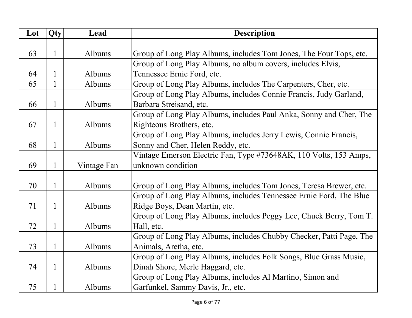| Lot | Qty          | Lead        | <b>Description</b>                                                  |
|-----|--------------|-------------|---------------------------------------------------------------------|
|     |              |             |                                                                     |
| 63  | 1            | Albums      | Group of Long Play Albums, includes Tom Jones, The Four Tops, etc.  |
|     |              |             | Group of Long Play Albums, no album covers, includes Elvis,         |
| 64  |              | Albums      | Tennessee Ernie Ford, etc.                                          |
| 65  | $\mathbf{1}$ | Albums      | Group of Long Play Albums, includes The Carpenters, Cher, etc.      |
|     |              |             | Group of Long Play Albums, includes Connie Francis, Judy Garland,   |
| 66  | 1            | Albums      | Barbara Streisand, etc.                                             |
|     |              |             | Group of Long Play Albums, includes Paul Anka, Sonny and Cher, The  |
| 67  | 1            | Albums      | Righteous Brothers, etc.                                            |
|     |              |             | Group of Long Play Albums, includes Jerry Lewis, Connie Francis,    |
| 68  | $\mathbf{1}$ | Albums      | Sonny and Cher, Helen Reddy, etc.                                   |
|     |              |             | Vintage Emerson Electric Fan, Type #73648AK, 110 Volts, 153 Amps,   |
| 69  | 1            | Vintage Fan | unknown condition                                                   |
|     |              |             |                                                                     |
| 70  | $\mathbf{1}$ | Albums      | Group of Long Play Albums, includes Tom Jones, Teresa Brewer, etc.  |
|     |              |             | Group of Long Play Albums, includes Tennessee Ernie Ford, The Blue  |
| 71  | 1            | Albums      | Ridge Boys, Dean Martin, etc.                                       |
|     |              |             | Group of Long Play Albums, includes Peggy Lee, Chuck Berry, Tom T.  |
| 72  | $\mathbf{1}$ | Albums      | Hall, etc.                                                          |
|     |              |             | Group of Long Play Albums, includes Chubby Checker, Patti Page, The |
| 73  | $\mathbf{1}$ | Albums      | Animals, Aretha, etc.                                               |
|     |              |             | Group of Long Play Albums, includes Folk Songs, Blue Grass Music,   |
| 74  | 1            | Albums      | Dinah Shore, Merle Haggard, etc.                                    |
|     |              |             | Group of Long Play Albums, includes Al Martino, Simon and           |
| 75  |              | Albums      | Garfunkel, Sammy Davis, Jr., etc.                                   |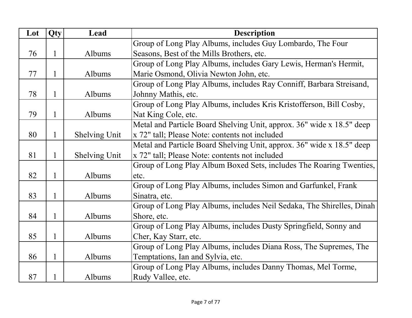| Lot | Qty          | Lead                 | <b>Description</b>                                                    |
|-----|--------------|----------------------|-----------------------------------------------------------------------|
|     |              |                      | Group of Long Play Albums, includes Guy Lombardo, The Four            |
| 76  | 1            | Albums               | Seasons, Best of the Mills Brothers, etc.                             |
|     |              |                      | Group of Long Play Albums, includes Gary Lewis, Herman's Hermit,      |
| 77  | 1            | Albums               | Marie Osmond, Olivia Newton John, etc.                                |
|     |              |                      | Group of Long Play Albums, includes Ray Conniff, Barbara Streisand,   |
| 78  | $\mathbf{1}$ | Albums               | Johnny Mathis, etc.                                                   |
|     |              |                      | Group of Long Play Albums, includes Kris Kristofferson, Bill Cosby,   |
| 79  | $\mathbf{1}$ | Albums               | Nat King Cole, etc.                                                   |
|     |              |                      | Metal and Particle Board Shelving Unit, approx. 36" wide x 18.5" deep |
| 80  | $\mathbf{1}$ | <b>Shelving Unit</b> | x 72" tall; Please Note: contents not included                        |
|     |              |                      | Metal and Particle Board Shelving Unit, approx. 36" wide x 18.5" deep |
| 81  | 1            | <b>Shelving Unit</b> | x 72" tall; Please Note: contents not included                        |
|     |              |                      | Group of Long Play Album Boxed Sets, includes The Roaring Twenties,   |
| 82  | $\mathbf 1$  | Albums               | etc.                                                                  |
|     |              |                      | Group of Long Play Albums, includes Simon and Garfunkel, Frank        |
| 83  | $\mathbf{1}$ | Albums               | Sinatra, etc.                                                         |
|     |              |                      | Group of Long Play Albums, includes Neil Sedaka, The Shirelles, Dinah |
| 84  | $\mathbf 1$  | Albums               | Shore, etc.                                                           |
|     |              |                      | Group of Long Play Albums, includes Dusty Springfield, Sonny and      |
| 85  | $\mathbf 1$  | Albums               | Cher, Kay Starr, etc.                                                 |
|     |              |                      | Group of Long Play Albums, includes Diana Ross, The Supremes, The     |
| 86  | $\mathbf 1$  | Albums               | Temptations, Ian and Sylvia, etc.                                     |
|     |              |                      | Group of Long Play Albums, includes Danny Thomas, Mel Torme,          |
| 87  | 1            | Albums               | Rudy Vallee, etc.                                                     |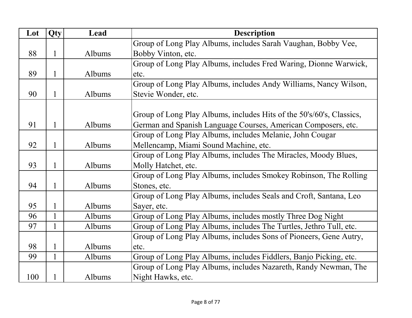| Lot | Qty          | Lead   | <b>Description</b>                                                   |
|-----|--------------|--------|----------------------------------------------------------------------|
|     |              |        | Group of Long Play Albums, includes Sarah Vaughan, Bobby Vee,        |
| 88  | 1            | Albums | Bobby Vinton, etc.                                                   |
|     |              |        | Group of Long Play Albums, includes Fred Waring, Dionne Warwick,     |
| 89  | 1            | Albums | etc.                                                                 |
|     |              |        | Group of Long Play Albums, includes Andy Williams, Nancy Wilson,     |
| 90  | 1            | Albums | Stevie Wonder, etc.                                                  |
|     |              |        |                                                                      |
|     |              |        | Group of Long Play Albums, includes Hits of the 50's/60's, Classics, |
| 91  | $\mathbf{1}$ | Albums | German and Spanish Language Courses, American Composers, etc.        |
|     |              |        | Group of Long Play Albums, includes Melanie, John Cougar             |
| 92  | $\mathbf{1}$ | Albums | Mellencamp, Miami Sound Machine, etc.                                |
|     |              |        | Group of Long Play Albums, includes The Miracles, Moody Blues,       |
| 93  | $\mathbf{1}$ | Albums | Molly Hatchet, etc.                                                  |
|     |              |        | Group of Long Play Albums, includes Smokey Robinson, The Rolling     |
| 94  | $\mathbf{1}$ | Albums | Stones, etc.                                                         |
|     |              |        | Group of Long Play Albums, includes Seals and Croft, Santana, Leo    |
| 95  | 1            | Albums | Sayer, etc.                                                          |
| 96  |              | Albums | Group of Long Play Albums, includes mostly Three Dog Night           |
| 97  | $\mathbf{1}$ | Albums | Group of Long Play Albums, includes The Turtles, Jethro Tull, etc.   |
|     |              |        | Group of Long Play Albums, includes Sons of Pioneers, Gene Autry,    |
| 98  | 1            | Albums | etc.                                                                 |
| 99  | $\mathbf{1}$ | Albums | Group of Long Play Albums, includes Fiddlers, Banjo Picking, etc.    |
|     |              |        | Group of Long Play Albums, includes Nazareth, Randy Newman, The      |
| 100 | $\mathbf 1$  | Albums | Night Hawks, etc.                                                    |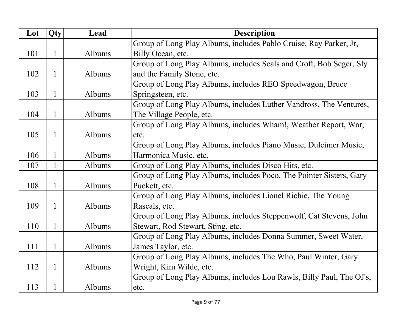| Lot | Qty          | Lead   | <b>Description</b>                                                   |
|-----|--------------|--------|----------------------------------------------------------------------|
|     |              |        | Group of Long Play Albums, includes Pablo Cruise, Ray Parker, Jr,    |
| 101 | $\mathbf{1}$ | Albums | Billy Ocean, etc.                                                    |
|     |              |        | Group of Long Play Albums, includes Seals and Croft, Bob Seger, Sly  |
| 102 | 1            | Albums | and the Family Stone, etc.                                           |
|     |              |        | Group of Long Play Albums, includes REO Speedwagon, Bruce            |
| 103 | 1            | Albums | Springsteen, etc.                                                    |
|     |              |        | Group of Long Play Albums, includes Luther Vandross, The Ventures,   |
| 104 | 1            | Albums | The Village People, etc.                                             |
|     |              |        | Group of Long Play Albums, includes Wham!, Weather Report, War,      |
| 105 | 1            | Albums | etc.                                                                 |
|     |              |        | Group of Long Play Albums, includes Piano Music, Dulcimer Music,     |
| 106 |              | Albums | Harmonica Music, etc.                                                |
| 107 | 1            | Albums | Group of Long Play Albums, includes Disco Hits, etc.                 |
|     |              |        | Group of Long Play Albums, includes Poco, The Pointer Sisters, Gary  |
| 108 | $\mathbf{1}$ | Albums | Puckett, etc.                                                        |
|     |              |        | Group of Long Play Albums, includes Lionel Richie, The Young         |
| 109 | $\mathbf{1}$ | Albums | Rascals, etc.                                                        |
|     |              |        | Group of Long Play Albums, includes Steppenwolf, Cat Stevens, John   |
| 110 | 1            | Albums | Stewart, Rod Stewart, Sting, etc.                                    |
|     |              |        | Group of Long Play Albums, includes Donna Summer, Sweet Water,       |
| 111 | 1            | Albums | James Taylor, etc.                                                   |
|     |              |        | Group of Long Play Albums, includes The Who, Paul Winter, Gary       |
| 112 | 1            | Albums | Wright, Kim Wilde, etc.                                              |
|     |              |        | Group of Long Play Albums, includes Lou Rawls, Billy Paul, The OJ's, |
| 113 | 1            | Albums | etc.                                                                 |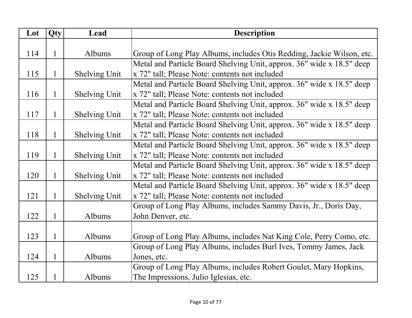| Lot | Qty          | Lead                 | <b>Description</b>                                                    |
|-----|--------------|----------------------|-----------------------------------------------------------------------|
|     |              |                      |                                                                       |
| 114 | 1            | Albums               | Group of Long Play Albums, includes Otis Redding, Jackie Wilson, etc. |
|     |              |                      | Metal and Particle Board Shelving Unit, approx. 36" wide x 18.5" deep |
| 115 | 1            | Shelving Unit        | x 72" tall; Please Note: contents not included                        |
|     |              |                      | Metal and Particle Board Shelving Unit, approx. 36" wide x 18.5" deep |
| 116 | 1            | Shelving Unit        | x 72" tall; Please Note: contents not included                        |
|     |              |                      | Metal and Particle Board Shelving Unit, approx. 36" wide x 18.5" deep |
| 117 | 1            | Shelving Unit        | x 72" tall; Please Note: contents not included                        |
|     |              |                      | Metal and Particle Board Shelving Unit, approx. 36" wide x 18.5" deep |
| 118 | 1            | <b>Shelving Unit</b> | x 72" tall; Please Note: contents not included                        |
|     |              |                      | Metal and Particle Board Shelving Unit, approx. 36" wide x 18.5" deep |
| 119 | $\mathbf{1}$ | <b>Shelving Unit</b> | x 72" tall; Please Note: contents not included                        |
|     |              |                      | Metal and Particle Board Shelving Unit, approx. 36" wide x 18.5" deep |
| 120 | 1            | <b>Shelving Unit</b> | x 72" tall; Please Note: contents not included                        |
|     |              |                      | Metal and Particle Board Shelving Unit, approx. 36" wide x 18.5" deep |
| 121 | 1            | Shelving Unit        | x 72" tall; Please Note: contents not included                        |
|     |              |                      | Group of Long Play Albums, includes Sammy Davis, Jr., Doris Day,      |
| 122 | $\mathbf{1}$ | Albums               | John Denver, etc.                                                     |
|     |              |                      |                                                                       |
| 123 | 1            | Albums               | Group of Long Play Albums, includes Nat King Cole, Perry Como, etc.   |
|     |              |                      | Group of Long Play Albums, includes Burl Ives, Tommy James, Jack      |
| 124 | 1            | Albums               | Jones, etc.                                                           |
|     |              |                      | Group of Long Play Albums, includes Robert Goulet, Mary Hopkins,      |
| 125 | 1            | Albums               | The Impressions, Julio Iglesias, etc.                                 |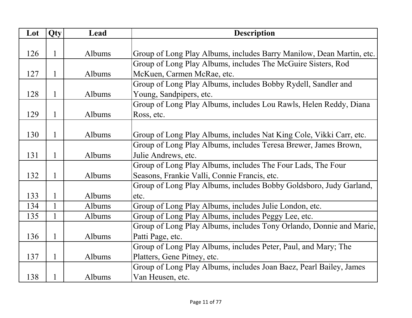| Lot | Qty          | Lead   | <b>Description</b>                                                   |
|-----|--------------|--------|----------------------------------------------------------------------|
|     |              |        |                                                                      |
| 126 | 1            | Albums | Group of Long Play Albums, includes Barry Manilow, Dean Martin, etc. |
|     |              |        | Group of Long Play Albums, includes The McGuire Sisters, Rod         |
| 127 | 1            | Albums | McKuen, Carmen McRae, etc.                                           |
|     |              |        | Group of Long Play Albums, includes Bobby Rydell, Sandler and        |
| 128 | 1            | Albums | Young, Sandpipers, etc.                                              |
|     |              |        | Group of Long Play Albums, includes Lou Rawls, Helen Reddy, Diana    |
| 129 | 1            | Albums | Ross, etc.                                                           |
|     |              |        |                                                                      |
| 130 | 1            | Albums | Group of Long Play Albums, includes Nat King Cole, Vikki Carr, etc.  |
|     |              |        | Group of Long Play Albums, includes Teresa Brewer, James Brown,      |
| 131 | 1            | Albums | Julie Andrews, etc.                                                  |
|     |              |        | Group of Long Play Albums, includes The Four Lads, The Four          |
| 132 | 1            | Albums | Seasons, Frankie Valli, Connie Francis, etc.                         |
|     |              |        | Group of Long Play Albums, includes Bobby Goldsboro, Judy Garland,   |
| 133 |              | Albums | etc.                                                                 |
| 134 | $\mathbf{1}$ | Albums | Group of Long Play Albums, includes Julie London, etc.               |
| 135 | $\mathbf{1}$ | Albums | Group of Long Play Albums, includes Peggy Lee, etc.                  |
|     |              |        | Group of Long Play Albums, includes Tony Orlando, Donnie and Marie,  |
| 136 | 1            | Albums | Patti Page, etc.                                                     |
|     |              |        | Group of Long Play Albums, includes Peter, Paul, and Mary; The       |
| 137 | 1            | Albums | Platters, Gene Pitney, etc.                                          |
|     |              |        | Group of Long Play Albums, includes Joan Baez, Pearl Bailey, James   |
| 138 |              | Albums | Van Heusen, etc.                                                     |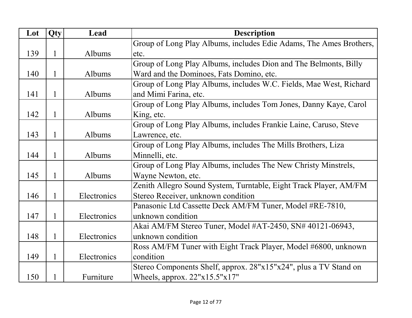| Lot | Qty          | Lead        | <b>Description</b>                                                 |
|-----|--------------|-------------|--------------------------------------------------------------------|
|     |              |             | Group of Long Play Albums, includes Edie Adams, The Ames Brothers, |
| 139 | 1            | Albums      | etc.                                                               |
|     |              |             | Group of Long Play Albums, includes Dion and The Belmonts, Billy   |
| 140 | 1            | Albums      | Ward and the Dominoes, Fats Domino, etc.                           |
|     |              |             | Group of Long Play Albums, includes W.C. Fields, Mae West, Richard |
| 141 | 1            | Albums      | and Mimi Farina, etc.                                              |
|     |              |             | Group of Long Play Albums, includes Tom Jones, Danny Kaye, Carol   |
| 142 | 1            | Albums      | King, etc.                                                         |
|     |              |             | Group of Long Play Albums, includes Frankie Laine, Caruso, Steve   |
| 143 | 1            | Albums      | Lawrence, etc.                                                     |
|     |              |             | Group of Long Play Albums, includes The Mills Brothers, Liza       |
| 144 |              | Albums      | Minnelli, etc.                                                     |
|     |              |             | Group of Long Play Albums, includes The New Christy Minstrels,     |
| 145 | 1            | Albums      | Wayne Newton, etc.                                                 |
|     |              |             | Zenith Allegro Sound System, Turntable, Eight Track Player, AM/FM  |
| 146 |              | Electronics | Stereo Receiver, unknown condition                                 |
|     |              |             | Panasonic Ltd Cassette Deck AM/FM Tuner, Model #RE-7810,           |
| 147 | 1            | Electronics | unknown condition                                                  |
|     |              |             | Akai AM/FM Stereo Tuner, Model #AT-2450, SN# 40121-06943,          |
| 148 | $\mathbf{1}$ | Electronics | unknown condition                                                  |
|     |              |             | Ross AM/FM Tuner with Eight Track Player, Model #6800, unknown     |
| 149 | 1            | Electronics | condition                                                          |
|     |              |             | Stereo Components Shelf, approx. 28"x15"x24", plus a TV Stand on   |
| 150 |              | Furniture   | Wheels, approx. $22"x15.5"x17"$                                    |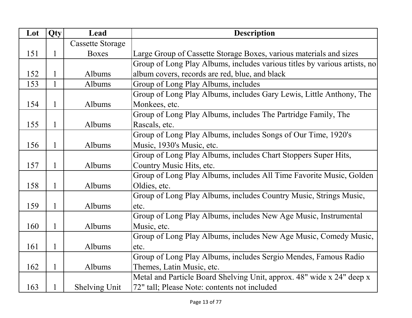| Lot | Qty          | Lead                    | <b>Description</b>                                                        |
|-----|--------------|-------------------------|---------------------------------------------------------------------------|
|     |              | <b>Cassette Storage</b> |                                                                           |
| 151 | 1            | <b>Boxes</b>            | Large Group of Cassette Storage Boxes, various materials and sizes        |
|     |              |                         | Group of Long Play Albums, includes various titles by various artists, no |
| 152 |              | Albums                  | album covers, records are red, blue, and black                            |
| 153 | $\mathbf{1}$ | Albums                  | Group of Long Play Albums, includes                                       |
|     |              |                         | Group of Long Play Albums, includes Gary Lewis, Little Anthony, The       |
| 154 | 1            | Albums                  | Monkees, etc.                                                             |
|     |              |                         | Group of Long Play Albums, includes The Partridge Family, The             |
| 155 | 1            | Albums                  | Rascals, etc.                                                             |
|     |              |                         | Group of Long Play Albums, includes Songs of Our Time, 1920's             |
| 156 | 1            | Albums                  | Music, 1930's Music, etc.                                                 |
|     |              |                         | Group of Long Play Albums, includes Chart Stoppers Super Hits,            |
| 157 | 1            | Albums                  | Country Music Hits, etc.                                                  |
|     |              |                         | Group of Long Play Albums, includes All Time Favorite Music, Golden       |
| 158 | $\mathbf{1}$ | Albums                  | Oldies, etc.                                                              |
|     |              |                         | Group of Long Play Albums, includes Country Music, Strings Music,         |
| 159 | 1            | Albums                  | etc.                                                                      |
|     |              |                         | Group of Long Play Albums, includes New Age Music, Instrumental           |
| 160 | $\mathbf{1}$ | Albums                  | Music, etc.                                                               |
|     |              |                         | Group of Long Play Albums, includes New Age Music, Comedy Music,          |
| 161 | 1            | Albums                  | etc.                                                                      |
|     |              |                         | Group of Long Play Albums, includes Sergio Mendes, Famous Radio           |
| 162 | $\mathbf{1}$ | Albums                  | Themes, Latin Music, etc.                                                 |
|     |              |                         | Metal and Particle Board Shelving Unit, approx. 48" wide x 24" deep x     |
| 163 |              | <b>Shelving Unit</b>    | 72" tall; Please Note: contents not included                              |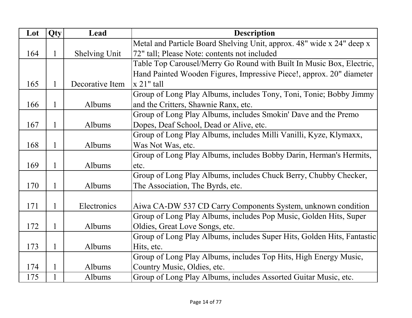| Lot | Qty          | Lead                 | <b>Description</b>                                                     |
|-----|--------------|----------------------|------------------------------------------------------------------------|
|     |              |                      | Metal and Particle Board Shelving Unit, approx. 48" wide x 24" deep x  |
| 164 | 1            | <b>Shelving Unit</b> | 72" tall; Please Note: contents not included                           |
|     |              |                      | Table Top Carousel/Merry Go Round with Built In Music Box, Electric,   |
|     |              |                      | Hand Painted Wooden Figures, Impressive Piece!, approx. 20" diameter   |
| 165 | 1            | Decorative Item      | $x$ 21" tall                                                           |
|     |              |                      | Group of Long Play Albums, includes Tony, Toni, Tonie; Bobby Jimmy     |
| 166 | $\mathbf{1}$ | Albums               | and the Critters, Shawnie Ranx, etc.                                   |
|     |              |                      | Group of Long Play Albums, includes Smokin' Dave and the Premo         |
| 167 | 1            | Albums               | Dopes, Deaf School, Dead or Alive, etc.                                |
|     |              |                      | Group of Long Play Albums, includes Milli Vanilli, Kyze, Klymaxx,      |
| 168 | 1            | Albums               | Was Not Was, etc.                                                      |
|     |              |                      | Group of Long Play Albums, includes Bobby Darin, Herman's Hermits,     |
| 169 | 1            | Albums               | etc.                                                                   |
|     |              |                      | Group of Long Play Albums, includes Chuck Berry, Chubby Checker,       |
| 170 | 1            | Albums               | The Association, The Byrds, etc.                                       |
|     |              |                      |                                                                        |
| 171 | $\mathbf{1}$ | Electronics          | Aiwa CA-DW 537 CD Carry Components System, unknown condition           |
|     |              |                      | Group of Long Play Albums, includes Pop Music, Golden Hits, Super      |
| 172 | 1            | Albums               | Oldies, Great Love Songs, etc.                                         |
|     |              |                      | Group of Long Play Albums, includes Super Hits, Golden Hits, Fantastic |
| 173 | 1            | Albums               | Hits, etc.                                                             |
|     |              |                      | Group of Long Play Albums, includes Top Hits, High Energy Music,       |
| 174 |              | Albums               | Country Music, Oldies, etc.                                            |
| 175 |              | Albums               | Group of Long Play Albums, includes Assorted Guitar Music, etc.        |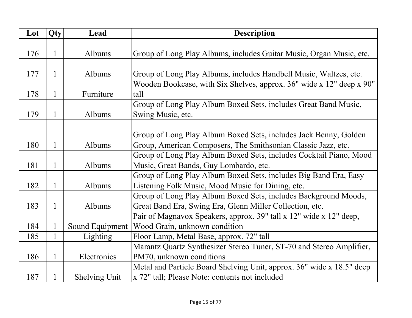| Lot | Qty          | Lead                 | <b>Description</b>                                                    |
|-----|--------------|----------------------|-----------------------------------------------------------------------|
|     |              |                      |                                                                       |
| 176 |              | Albums               | Group of Long Play Albums, includes Guitar Music, Organ Music, etc.   |
|     |              |                      |                                                                       |
| 177 | 1            | Albums               | Group of Long Play Albums, includes Handbell Music, Waltzes, etc.     |
|     |              |                      | Wooden Bookcase, with Six Shelves, approx. 36" wide x 12" deep x 90"  |
| 178 | 1            | Furniture            | tall                                                                  |
|     |              |                      | Group of Long Play Album Boxed Sets, includes Great Band Music,       |
| 179 | 1            | Albums               | Swing Music, etc.                                                     |
|     |              |                      |                                                                       |
|     |              |                      | Group of Long Play Album Boxed Sets, includes Jack Benny, Golden      |
| 180 | 1            | Albums               | Group, American Composers, The Smithsonian Classic Jazz, etc.         |
|     |              |                      | Group of Long Play Album Boxed Sets, includes Cocktail Piano, Mood    |
| 181 | 1            | Albums               | Music, Great Bands, Guy Lombardo, etc.                                |
|     |              |                      | Group of Long Play Album Boxed Sets, includes Big Band Era, Easy      |
| 182 | 1            | Albums               | Listening Folk Music, Mood Music for Dining, etc.                     |
|     |              |                      | Group of Long Play Album Boxed Sets, includes Background Moods,       |
| 183 | $\mathbf{1}$ | Albums               | Great Band Era, Swing Era, Glenn Miller Collection, etc.              |
|     |              |                      | Pair of Magnavox Speakers, approx. 39" tall x 12" wide x 12" deep,    |
| 184 |              | Sound Equipment      | Wood Grain, unknown condition                                         |
| 185 |              | <b>Lighting</b>      | Floor Lamp, Metal Base, approx. 72" tall                              |
|     |              |                      | Marantz Quartz Synthesizer Stereo Tuner, ST-70 and Stereo Amplifier,  |
| 186 |              | Electronics          | PM70, unknown conditions                                              |
|     |              |                      | Metal and Particle Board Shelving Unit, approx. 36" wide x 18.5" deep |
| 187 |              | <b>Shelving Unit</b> | x 72" tall; Please Note: contents not included                        |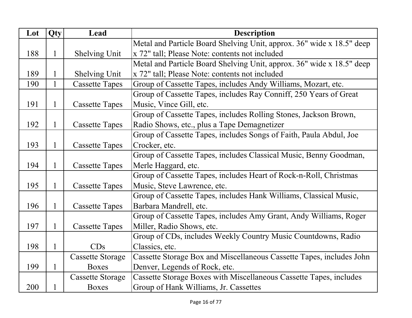| Lot | Qty          | Lead                    | <b>Description</b>                                                    |
|-----|--------------|-------------------------|-----------------------------------------------------------------------|
|     |              |                         | Metal and Particle Board Shelving Unit, approx. 36" wide x 18.5" deep |
| 188 | $\mathbf{1}$ | <b>Shelving Unit</b>    | x 72" tall; Please Note: contents not included                        |
|     |              |                         | Metal and Particle Board Shelving Unit, approx. 36" wide x 18.5" deep |
| 189 |              | Shelving Unit           | x 72" tall; Please Note: contents not included                        |
| 190 | $\mathbf{1}$ | <b>Cassette Tapes</b>   | Group of Cassette Tapes, includes Andy Williams, Mozart, etc.         |
|     |              |                         | Group of Cassette Tapes, includes Ray Conniff, 250 Years of Great     |
| 191 | 1            | <b>Cassette Tapes</b>   | Music, Vince Gill, etc.                                               |
|     |              |                         | Group of Cassette Tapes, includes Rolling Stones, Jackson Brown,      |
| 192 | $\mathbf 1$  | <b>Cassette Tapes</b>   | Radio Shows, etc., plus a Tape Demagnetizer                           |
|     |              |                         | Group of Cassette Tapes, includes Songs of Faith, Paula Abdul, Joe    |
| 193 | 1            | <b>Cassette Tapes</b>   | Crocker, etc.                                                         |
|     |              |                         | Group of Cassette Tapes, includes Classical Music, Benny Goodman,     |
| 194 | 1            | <b>Cassette Tapes</b>   | Merle Haggard, etc.                                                   |
|     |              |                         | Group of Cassette Tapes, includes Heart of Rock-n-Roll, Christmas     |
| 195 | 1            | <b>Cassette Tapes</b>   | Music, Steve Lawrence, etc.                                           |
|     |              |                         | Group of Cassette Tapes, includes Hank Williams, Classical Music,     |
| 196 | 1            | <b>Cassette Tapes</b>   | Barbara Mandrell, etc.                                                |
|     |              |                         | Group of Cassette Tapes, includes Amy Grant, Andy Williams, Roger     |
| 197 | $\mathbf{1}$ | <b>Cassette Tapes</b>   | Miller, Radio Shows, etc.                                             |
|     |              |                         | Group of CDs, includes Weekly Country Music Countdowns, Radio         |
| 198 | $\mathbf{1}$ | CDs                     | Classics, etc.                                                        |
|     |              | <b>Cassette Storage</b> | Cassette Storage Box and Miscellaneous Cassette Tapes, includes John  |
| 199 | $\mathbf{1}$ | <b>Boxes</b>            | Denver, Legends of Rock, etc.                                         |
|     |              | <b>Cassette Storage</b> | Cassette Storage Boxes with Miscellaneous Cassette Tapes, includes    |
| 200 |              | <b>Boxes</b>            | Group of Hank Williams, Jr. Cassettes                                 |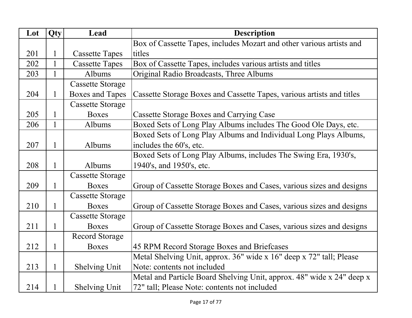| Lot | Qty | Lead                    | <b>Description</b>                                                    |
|-----|-----|-------------------------|-----------------------------------------------------------------------|
|     |     |                         | Box of Cassette Tapes, includes Mozart and other various artists and  |
| 201 |     | <b>Cassette Tapes</b>   | titles                                                                |
| 202 |     | <b>Cassette Tapes</b>   | Box of Cassette Tapes, includes various artists and titles            |
| 203 |     | Albums                  | Original Radio Broadcasts, Three Albums                               |
|     |     | <b>Cassette Storage</b> |                                                                       |
| 204 |     | <b>Boxes and Tapes</b>  | Cassette Storage Boxes and Cassette Tapes, various artists and titles |
|     |     | <b>Cassette Storage</b> |                                                                       |
| 205 | 1   | <b>Boxes</b>            | <b>Cassette Storage Boxes and Carrying Case</b>                       |
| 206 |     | Albums                  | Boxed Sets of Long Play Albums includes The Good Ole Days, etc.       |
|     |     |                         | Boxed Sets of Long Play Albums and Individual Long Plays Albums,      |
| 207 | 1   | Albums                  | includes the 60's, etc.                                               |
|     |     |                         | Boxed Sets of Long Play Albums, includes The Swing Era, 1930's,       |
| 208 | 1   | Albums                  | 1940's, and 1950's, etc.                                              |
|     |     | <b>Cassette Storage</b> |                                                                       |
| 209 | 1   | <b>Boxes</b>            | Group of Cassette Storage Boxes and Cases, various sizes and designs  |
|     |     | <b>Cassette Storage</b> |                                                                       |
| 210 | 1   | <b>Boxes</b>            | Group of Cassette Storage Boxes and Cases, various sizes and designs  |
|     |     | <b>Cassette Storage</b> |                                                                       |
| 211 | 1   | <b>Boxes</b>            | Group of Cassette Storage Boxes and Cases, various sizes and designs  |
|     |     | Record Storage          |                                                                       |
| 212 |     | <b>Boxes</b>            | 45 RPM Record Storage Boxes and Briefcases                            |
|     |     |                         | Metal Shelving Unit, approx. 36" wide x 16" deep x 72" tall; Please   |
| 213 | 1   | <b>Shelving Unit</b>    | Note: contents not included                                           |
|     |     |                         | Metal and Particle Board Shelving Unit, approx. 48" wide x 24" deep x |
| 214 |     | <b>Shelving Unit</b>    | 72" tall; Please Note: contents not included                          |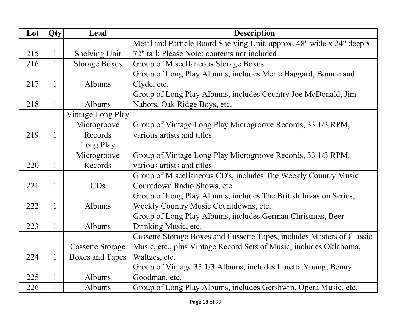| Lot | Qty          | Lead                    | <b>Description</b>                                                     |
|-----|--------------|-------------------------|------------------------------------------------------------------------|
|     |              |                         | Metal and Particle Board Shelving Unit, approx. 48" wide x 24" deep x  |
| 215 | $\mathbf{1}$ | <b>Shelving Unit</b>    | 72" tall; Please Note: contents not included                           |
| 216 | $\mathbf{1}$ | <b>Storage Boxes</b>    | Group of Miscellaneous Storage Boxes                                   |
|     |              |                         | Group of Long Play Albums, includes Merle Haggard, Bonnie and          |
| 217 | 1            | Albums                  | Clyde, etc.                                                            |
|     |              |                         | Group of Long Play Albums, includes Country Joe McDonald, Jim          |
| 218 | 1            | Albums                  | Nabors, Oak Ridge Boys, etc.                                           |
|     |              | Vintage Long Play       |                                                                        |
|     |              | Microgroove             | Group of Vintage Long Play Microgroove Records, 33 1/3 RPM,            |
| 219 | 1            | Records                 | various artists and titles                                             |
|     |              | Long Play               |                                                                        |
|     |              | Microgroove             | Group of Vintage Long Play Microgroove Records, 33 1/3 RPM,            |
| 220 | 1            | Records                 | various artists and titles                                             |
|     |              |                         | Group of Miscellaneous CD's, includes The Weekly Country Music         |
| 221 | $\mathbf{1}$ | CDs                     | Countdown Radio Shows, etc.                                            |
|     |              |                         | Group of Long Play Albums, includes The British Invasion Series,       |
| 222 | 1            | Albums                  | Weekly Country Music Countdowns, etc.                                  |
|     |              |                         | Group of Long Play Albums, includes German Christmas, Beer             |
| 223 | 1            | Albums                  | Drinking Music, etc.                                                   |
|     |              |                         | Cassette Storage Boxes and Cassette Tapes, includes Masters of Classic |
|     |              | <b>Cassette Storage</b> | Music, etc., plus Vintage Record Sets of Music, includes Oklahoma,     |
| 224 | 1            | <b>Boxes and Tapes</b>  | Waltzes, etc.                                                          |
|     |              |                         | Group of Vintage 33 1/3 Albums, includes Loretta Young, Benny          |
| 225 | $\mathbf{1}$ | Albums                  | Goodman, etc.                                                          |
| 226 |              | Albums                  | Group of Long Play Albums, includes Gershwin, Opera Music, etc.        |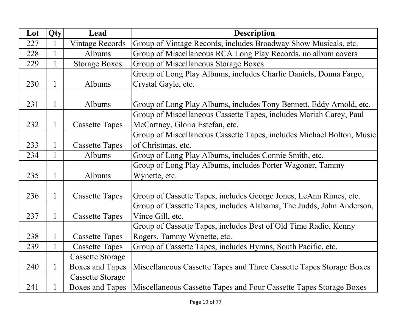| Lot | Qty          | Lead                    | <b>Description</b>                                                    |
|-----|--------------|-------------------------|-----------------------------------------------------------------------|
| 227 | $\mathbf{1}$ | <b>Vintage Records</b>  | Group of Vintage Records, includes Broadway Show Musicals, etc.       |
| 228 |              | Albums                  | Group of Miscellaneous RCA Long Play Records, no album covers         |
| 229 | $\mathbf{1}$ | <b>Storage Boxes</b>    | Group of Miscellaneous Storage Boxes                                  |
|     |              |                         | Group of Long Play Albums, includes Charlie Daniels, Donna Fargo,     |
| 230 | 1            | Albums                  | Crystal Gayle, etc.                                                   |
|     |              |                         |                                                                       |
| 231 | 1            | Albums                  | Group of Long Play Albums, includes Tony Bennett, Eddy Arnold, etc.   |
|     |              |                         | Group of Miscellaneous Cassette Tapes, includes Mariah Carey, Paul    |
| 232 | $\mathbf{1}$ | <b>Cassette Tapes</b>   | McCartney, Gloria Estefan, etc.                                       |
|     |              |                         | Group of Miscellaneous Cassette Tapes, includes Michael Bolton, Music |
| 233 | $\mathbf{1}$ | <b>Cassette Tapes</b>   | of Christmas, etc.                                                    |
| 234 | $\mathbf{1}$ | Albums                  | Group of Long Play Albums, includes Connie Smith, etc.                |
|     |              |                         | Group of Long Play Albums, includes Porter Wagoner, Tammy             |
| 235 | $\mathbf{1}$ | Albums                  | Wynette, etc.                                                         |
|     |              |                         |                                                                       |
| 236 | $\mathbf{1}$ | <b>Cassette Tapes</b>   | Group of Cassette Tapes, includes George Jones, LeAnn Rimes, etc.     |
|     |              |                         | Group of Cassette Tapes, includes Alabama, The Judds, John Anderson,  |
| 237 | $\mathbf{1}$ | <b>Cassette Tapes</b>   | Vince Gill, etc.                                                      |
|     |              |                         | Group of Cassette Tapes, includes Best of Old Time Radio, Kenny       |
| 238 | $\mathbf{1}$ | <b>Cassette Tapes</b>   | Rogers, Tammy Wynette, etc.                                           |
| 239 | $\mathbf{1}$ | <b>Cassette Tapes</b>   | Group of Cassette Tapes, includes Hymns, South Pacific, etc.          |
|     |              | <b>Cassette Storage</b> |                                                                       |
| 240 | $\mathbf{1}$ | <b>Boxes and Tapes</b>  | Miscellaneous Cassette Tapes and Three Cassette Tapes Storage Boxes   |
|     |              | <b>Cassette Storage</b> |                                                                       |
| 241 |              | <b>Boxes and Tapes</b>  | Miscellaneous Cassette Tapes and Four Cassette Tapes Storage Boxes    |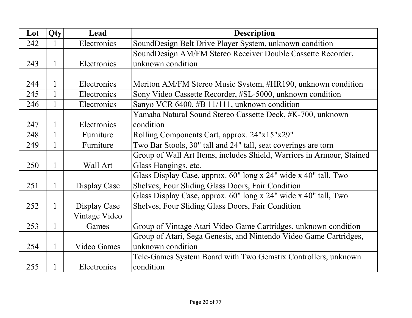| Lot | Qty          | Lead               | <b>Description</b>                                                    |
|-----|--------------|--------------------|-----------------------------------------------------------------------|
| 242 |              | Electronics        | SoundDesign Belt Drive Player System, unknown condition               |
|     |              |                    | SoundDesign AM/FM Stereo Receiver Double Cassette Recorder,           |
| 243 |              | Electronics        | unknown condition                                                     |
|     |              |                    |                                                                       |
| 244 |              | Electronics        | Meriton AM/FM Stereo Music System, #HR190, unknown condition          |
| 245 |              | Electronics        | Sony Video Cassette Recorder, #SL-5000, unknown condition             |
| 246 |              | Electronics        | Sanyo VCR 6400, #B 11/111, unknown condition                          |
|     |              |                    | Yamaha Natural Sound Stereo Cassette Deck, #K-700, unknown            |
| 247 |              | Electronics        | condition                                                             |
| 248 | $\mathbf{1}$ | Furniture          | Rolling Components Cart, approx. 24"x15"x29"                          |
| 249 | $\mathbf{1}$ | Furniture          | Two Bar Stools, 30" tall and 24" tall, seat coverings are torn        |
|     |              |                    | Group of Wall Art Items, includes Shield, Warriors in Armour, Stained |
| 250 | $\mathbf{1}$ | Wall Art           | Glass Hangings, etc.                                                  |
|     |              |                    | Glass Display Case, approx. 60" long x 24" wide x 40" tall, Two       |
| 251 | 1            | Display Case       | Shelves, Four Sliding Glass Doors, Fair Condition                     |
|     |              |                    | Glass Display Case, approx. 60" long x 24" wide x 40" tall, Two       |
| 252 | 1            | Display Case       | Shelves, Four Sliding Glass Doors, Fair Condition                     |
|     |              | Vintage Video      |                                                                       |
| 253 | 1            | Games              | Group of Vintage Atari Video Game Cartridges, unknown condition       |
|     |              |                    | Group of Atari, Sega Genesis, and Nintendo Video Game Cartridges,     |
| 254 |              | <b>Video Games</b> | unknown condition                                                     |
|     |              |                    | Tele-Games System Board with Two Gemstix Controllers, unknown         |
| 255 |              | Electronics        | condition                                                             |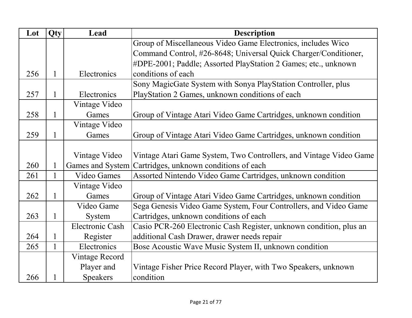| Lot | Qty          | Lead                   | <b>Description</b>                                                 |
|-----|--------------|------------------------|--------------------------------------------------------------------|
|     |              |                        | Group of Miscellaneous Video Game Electronics, includes Wico       |
|     |              |                        | Command Control, #26-8648; Universal Quick Charger/Conditioner,    |
|     |              |                        | #DPE-2001; Paddle; Assorted PlayStation 2 Games; etc., unknown     |
| 256 |              | Electronics            | conditions of each                                                 |
|     |              |                        | Sony MagicGate System with Sonya PlayStation Controller, plus      |
| 257 | 1            | Electronics            | PlayStation 2 Games, unknown conditions of each                    |
|     |              | Vintage Video          |                                                                    |
| 258 |              | Games                  | Group of Vintage Atari Video Game Cartridges, unknown condition    |
|     |              | Vintage Video          |                                                                    |
| 259 |              | Games                  | Group of Vintage Atari Video Game Cartridges, unknown condition    |
|     |              |                        |                                                                    |
|     |              | Vintage Video          | Vintage Atari Game System, Two Controllers, and Vintage Video Game |
| 260 |              | Games and System       | Cartridges, unknown conditions of each                             |
| 261 | $\mathbf{1}$ | <b>Video Games</b>     | Assorted Nintendo Video Game Cartridges, unknown condition         |
|     |              | Vintage Video          |                                                                    |
| 262 |              | Games                  | Group of Vintage Atari Video Game Cartridges, unknown condition    |
|     |              | Video Game             | Sega Genesis Video Game System, Four Controllers, and Video Game   |
| 263 |              | System                 | Cartridges, unknown conditions of each                             |
|     |              | <b>Electronic Cash</b> | Casio PCR-260 Electronic Cash Register, unknown condition, plus an |
| 264 |              | Register               | additional Cash Drawer, drawer needs repair                        |
| 265 | $\mathbf{1}$ | Electronics            | Bose Acoustic Wave Music System II, unknown condition              |
|     |              | Vintage Record         |                                                                    |
|     |              | Player and             | Vintage Fisher Price Record Player, with Two Speakers, unknown     |
| 266 |              | <b>Speakers</b>        | condition                                                          |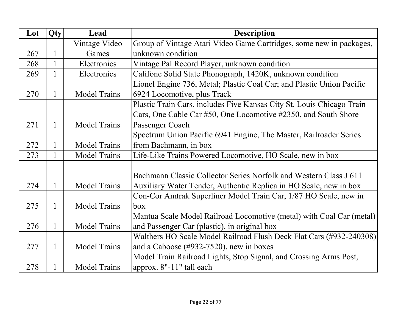| Lot | Qty          | Lead                | <b>Description</b>                                                    |
|-----|--------------|---------------------|-----------------------------------------------------------------------|
|     |              | Vintage Video       | Group of Vintage Atari Video Game Cartridges, some new in packages,   |
| 267 | 1            | Games               | unknown condition                                                     |
| 268 | $\mathbf{1}$ | Electronics         | Vintage Pal Record Player, unknown condition                          |
| 269 | $\mathbf{1}$ | Electronics         | Califone Solid State Phonograph, 1420K, unknown condition             |
|     |              |                     | Lionel Engine 736, Metal; Plastic Coal Car; and Plastic Union Pacific |
| 270 | $\mathbf{1}$ | <b>Model Trains</b> | 6924 Locomotive, plus Track                                           |
|     |              |                     | Plastic Train Cars, includes Five Kansas City St. Louis Chicago Train |
|     |              |                     | Cars, One Cable Car #50, One Locomotive #2350, and South Shore        |
| 271 | 1            | <b>Model Trains</b> | Passenger Coach                                                       |
|     |              |                     | Spectrum Union Pacific 6941 Engine, The Master, Railroader Series     |
| 272 | 1            | <b>Model Trains</b> | from Bachmann, in box                                                 |
| 273 | $\mathbf{1}$ | <b>Model Trains</b> | Life-Like Trains Powered Locomotive, HO Scale, new in box             |
|     |              |                     |                                                                       |
|     |              |                     | Bachmann Classic Collector Series Norfolk and Western Class J 611     |
| 274 | $\mathbf{1}$ | <b>Model Trains</b> | Auxiliary Water Tender, Authentic Replica in HO Scale, new in box     |
|     |              |                     | Con-Cor Amtrak Superliner Model Train Car, 1/87 HO Scale, new in      |
| 275 | $\mathbf{1}$ | <b>Model Trains</b> | box                                                                   |
|     |              |                     | Mantua Scale Model Railroad Locomotive (metal) with Coal Car (metal)  |
| 276 | $\mathbf{1}$ | <b>Model Trains</b> | and Passenger Car (plastic), in original box                          |
|     |              |                     | Walthers HO Scale Model Railroad Flush Deck Flat Cars (#932-240308)   |
| 277 | $\mathbf{1}$ | <b>Model Trains</b> | and a Caboose $(\text{\#932-7520})$ , new in boxes                    |
|     |              |                     | Model Train Railroad Lights, Stop Signal, and Crossing Arms Post,     |
| 278 | 1            | <b>Model Trains</b> | approx. 8"-11" tall each                                              |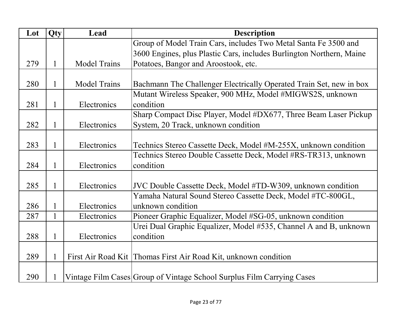| Lot | Qty          | Lead                | <b>Description</b>                                                     |
|-----|--------------|---------------------|------------------------------------------------------------------------|
|     |              |                     | Group of Model Train Cars, includes Two Metal Santa Fe 3500 and        |
|     |              |                     | 3600 Engines, plus Plastic Cars, includes Burlington Northern, Maine   |
| 279 | 1            | <b>Model Trains</b> | Potatoes, Bangor and Aroostook, etc.                                   |
|     |              |                     |                                                                        |
| 280 | 1            | <b>Model Trains</b> | Bachmann The Challenger Electrically Operated Train Set, new in box    |
|     |              |                     | Mutant Wireless Speaker, 900 MHz, Model #MIGWS2S, unknown              |
| 281 | 1            | Electronics         | condition                                                              |
|     |              |                     | Sharp Compact Disc Player, Model #DX677, Three Beam Laser Pickup       |
| 282 | $\mathbf{1}$ | Electronics         | System, 20 Track, unknown condition                                    |
|     |              |                     |                                                                        |
| 283 | 1            | Electronics         | Technics Stereo Cassette Deck, Model #M-255X, unknown condition        |
|     |              |                     | Technics Stereo Double Cassette Deck, Model #RS-TR313, unknown         |
| 284 | 1            | Electronics         | condition                                                              |
|     |              |                     |                                                                        |
| 285 | 1            | Electronics         | JVC Double Cassette Deck, Model #TD-W309, unknown condition            |
|     |              |                     | Yamaha Natural Sound Stereo Cassette Deck, Model #TC-800GL,            |
| 286 |              | Electronics         | unknown condition                                                      |
| 287 | $\mathbf{1}$ | Electronics         | Pioneer Graphic Equalizer, Model #SG-05, unknown condition             |
|     |              |                     | Urei Dual Graphic Equalizer, Model #535, Channel A and B, unknown      |
| 288 |              | Electronics         | condition                                                              |
|     |              |                     |                                                                        |
| 289 |              |                     | First Air Road Kit   Thomas First Air Road Kit, unknown condition      |
|     |              |                     |                                                                        |
| 290 |              |                     | Vintage Film Cases Group of Vintage School Surplus Film Carrying Cases |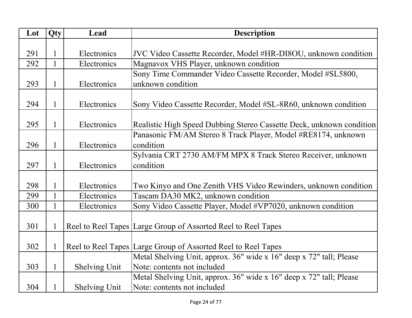| Lot | Qty          | Lead                 | <b>Description</b>                                                   |
|-----|--------------|----------------------|----------------------------------------------------------------------|
|     |              |                      |                                                                      |
| 291 |              | Electronics          | JVC Video Cassette Recorder, Model #HR-DI8OU, unknown condition      |
| 292 |              | Electronics          | Magnavox VHS Player, unknown condition                               |
|     |              |                      | Sony Time Commander Video Cassette Recorder, Model #SL5800,          |
| 293 | 1            | Electronics          | unknown condition                                                    |
|     |              |                      |                                                                      |
| 294 | $\mathbf{1}$ | Electronics          | Sony Video Cassette Recorder, Model #SL-8R60, unknown condition      |
|     |              |                      |                                                                      |
| 295 | 1            | Electronics          | Realistic High Speed Dubbing Stereo Cassette Deck, unknown condition |
|     |              |                      | Panasonic FM/AM Stereo 8 Track Player, Model #RE8174, unknown        |
| 296 | 1            | Electronics          | condition                                                            |
|     |              |                      | Sylvania CRT 2730 AM/FM MPX 8 Track Stereo Receiver, unknown         |
| 297 | $\mathbf{1}$ | Electronics          | condition                                                            |
|     |              |                      |                                                                      |
| 298 | 1            | Electronics          | Two Kinyo and One Zenith VHS Video Rewinders, unknown condition      |
| 299 |              | Electronics          | Tascam DA30 MK2, unknown condition                                   |
| 300 | $\mathbf{1}$ | Electronics          | Sony Video Cassette Player, Model #VP7020, unknown condition         |
|     |              |                      |                                                                      |
| 301 | 1            |                      | Reel to Reel Tapes Large Group of Assorted Reel to Reel Tapes        |
|     |              |                      |                                                                      |
| 302 |              |                      | Reel to Reel Tapes Large Group of Assorted Reel to Reel Tapes        |
|     |              |                      | Metal Shelving Unit, approx. 36" wide x 16" deep x 72" tall; Please  |
| 303 | $\mathbf{1}$ | Shelving Unit        | Note: contents not included                                          |
|     |              |                      | Metal Shelving Unit, approx. 36" wide x 16" deep x 72" tall; Please  |
| 304 |              | <b>Shelving Unit</b> | Note: contents not included                                          |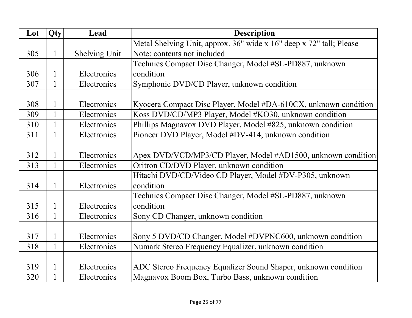| Lot | Qty          | Lead          | <b>Description</b>                                                  |
|-----|--------------|---------------|---------------------------------------------------------------------|
|     |              |               | Metal Shelving Unit, approx. 36" wide x 16" deep x 72" tall; Please |
| 305 | $\mathbf{1}$ | Shelving Unit | Note: contents not included                                         |
|     |              |               | Technics Compact Disc Changer, Model #SL-PD887, unknown             |
| 306 | 1            | Electronics   | condition                                                           |
| 307 | $\mathbf{1}$ | Electronics   | Symphonic DVD/CD Player, unknown condition                          |
|     |              |               |                                                                     |
| 308 | 1            | Electronics   | Kyocera Compact Disc Player, Model #DA-610CX, unknown condition     |
| 309 | $\mathbf{1}$ | Electronics   | Koss DVD/CD/MP3 Player, Model #KO30, unknown condition              |
| 310 | $\mathbf{1}$ | Electronics   | Phillips Magnavox DVD Player, Model #825, unknown condition         |
| 311 | 1            | Electronics   | Pioneer DVD Player, Model #DV-414, unknown condition                |
|     |              |               |                                                                     |
| 312 | 1            | Electronics   | Apex DVD/VCD/MP3/CD Player, Model #AD1500, unknown condition        |
| 313 | $\mathbf{1}$ | Electronics   | Oritron CD/DVD Player, unknown condition                            |
|     |              |               | Hitachi DVD/CD/Video CD Player, Model #DV-P305, unknown             |
| 314 | $\mathbf{1}$ | Electronics   | condition                                                           |
|     |              |               | Technics Compact Disc Changer, Model #SL-PD887, unknown             |
| 315 | $\mathbf{1}$ | Electronics   | condition                                                           |
| 316 | $\mathbf{1}$ | Electronics   | Sony CD Changer, unknown condition                                  |
|     |              |               |                                                                     |
| 317 | $\mathbf{1}$ | Electronics   | Sony 5 DVD/CD Changer, Model #DVPNC600, unknown condition           |
| 318 | $\mathbf{1}$ | Electronics   | Numark Stereo Frequency Equalizer, unknown condition                |
|     |              |               |                                                                     |
| 319 | $\mathbf{1}$ | Electronics   | ADC Stereo Frequency Equalizer Sound Shaper, unknown condition      |
| 320 | $\mathbf{1}$ | Electronics   | Magnavox Boom Box, Turbo Bass, unknown condition                    |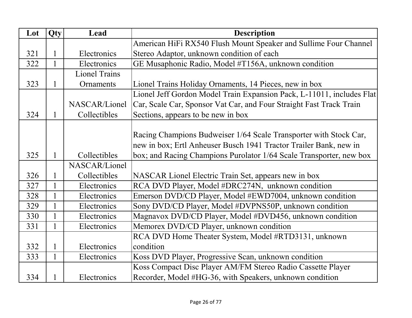| Lot | Qty          | Lead                 | <b>Description</b>                                                    |
|-----|--------------|----------------------|-----------------------------------------------------------------------|
|     |              |                      | American HiFi RX540 Flush Mount Speaker and Sullime Four Channel      |
| 321 |              | Electronics          | Stereo Adaptor, unknown condition of each                             |
| 322 | $\mathbf{1}$ | Electronics          | GE Musaphonic Radio, Model #T156A, unknown condition                  |
|     |              | <b>Lionel Trains</b> |                                                                       |
| 323 | 1            | Ornaments            | Lionel Trains Holiday Ornaments, 14 Pieces, new in box                |
|     |              |                      | Lionel Jeff Gordon Model Train Expansion Pack, L-11011, includes Flat |
|     |              | NASCAR/Lionel        | Car, Scale Car, Sponsor Vat Car, and Four Straight Fast Track Train   |
| 324 |              | Collectibles         | Sections, appears to be new in box                                    |
|     |              |                      |                                                                       |
|     |              |                      | Racing Champions Budweiser 1/64 Scale Transporter with Stock Car,     |
|     |              |                      | new in box; Ertl Anheuser Busch 1941 Tractor Trailer Bank, new in     |
| 325 |              | Collectibles         | box; and Racing Champions Purolator 1/64 Scale Transporter, new box   |
|     |              | NASCAR/Lionel        |                                                                       |
| 326 |              | Collectibles         | NASCAR Lionel Electric Train Set, appears new in box                  |
| 327 |              | Electronics          | RCA DVD Player, Model #DRC274N, unknown condition                     |
| 328 |              | Electronics          | Emerson DVD/CD Player, Model #EWD7004, unknown condition              |
| 329 |              | Electronics          | Sony DVD/CD Player, Model #DVPNS50P, unknown condition                |
| 330 |              | Electronics          | Magnavox DVD/CD Player, Model #DVD456, unknown condition              |
| 331 |              | Electronics          | Memorex DVD/CD Player, unknown condition                              |
|     |              |                      | RCA DVD Home Theater System, Model #RTD3131, unknown                  |
| 332 | 1            | Electronics          | condition                                                             |
| 333 | $\mathbf{1}$ | Electronics          | Koss DVD Player, Progressive Scan, unknown condition                  |
|     |              |                      | Koss Compact Disc Player AM/FM Stereo Radio Cassette Player           |
| 334 |              | Electronics          | Recorder, Model #HG-36, with Speakers, unknown condition              |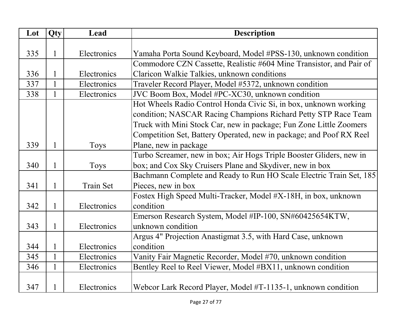| Lot | Qty          | Lead        | <b>Description</b>                                                  |
|-----|--------------|-------------|---------------------------------------------------------------------|
|     |              |             |                                                                     |
| 335 | 1            | Electronics | Yamaha Porta Sound Keyboard, Model #PSS-130, unknown condition      |
|     |              |             | Commodore CZN Cassette, Realistic #604 Mine Transistor, and Pair of |
| 336 |              | Electronics | Claricon Walkie Talkies, unknown conditions                         |
| 337 |              | Electronics | Traveler Record Player, Model #5372, unknown condition              |
| 338 | $\mathbf{1}$ | Electronics | JVC Boom Box, Model #PC-XC30, unknown condition                     |
|     |              |             | Hot Wheels Radio Control Honda Civic Si, in box, unknown working    |
|     |              |             | condition; NASCAR Racing Champions Richard Petty STP Race Team      |
|     |              |             | Truck with Mini Stock Car, new in package; Fun Zone Little Zoomers  |
|     |              |             | Competition Set, Battery Operated, new in package; and Poof RX Reel |
| 339 | 1            | <b>Toys</b> | Plane, new in package                                               |
|     |              |             | Turbo Screamer, new in box; Air Hogs Triple Booster Gliders, new in |
| 340 | 1            | Toys        | box; and Cox Sky Cruisers Plane and Skydiver, new in box            |
|     |              |             | Bachmann Complete and Ready to Run HO Scale Electric Train Set, 185 |
| 341 | 1            | Train Set   | Pieces, new in box                                                  |
|     |              |             | Fostex High Speed Multi-Tracker, Model #X-18H, in box, unknown      |
| 342 | $\mathbf{1}$ | Electronics | condition                                                           |
|     |              |             | Emerson Research System, Model #IP-100, SN#60425654KTW,             |
| 343 |              | Electronics | unknown condition                                                   |
|     |              |             | Argus 4" Projection Anastigmat 3.5, with Hard Case, unknown         |
| 344 | 1            | Electronics | condition                                                           |
| 345 | $\mathbf{1}$ | Electronics | Vanity Fair Magnetic Recorder, Model #70, unknown condition         |
| 346 | $\mathbf{1}$ | Electronics | Bentley Reel to Reel Viewer, Model #BX11, unknown condition         |
|     |              |             |                                                                     |
| 347 |              | Electronics | Webcor Lark Record Player, Model #T-1135-1, unknown condition       |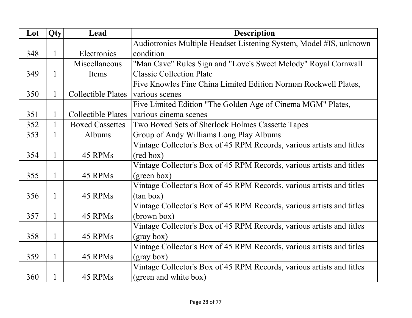| Lot | Qty          | Lead                      | <b>Description</b>                                                    |
|-----|--------------|---------------------------|-----------------------------------------------------------------------|
|     |              |                           | Audiotronics Multiple Headset Listening System, Model #IS, unknown    |
| 348 | 1            | Electronics               | condition                                                             |
|     |              | Miscellaneous             | "Man Cave" Rules Sign and "Love's Sweet Melody" Royal Cornwall        |
| 349 | 1            | Items                     | <b>Classic Collection Plate</b>                                       |
|     |              |                           | Five Knowles Fine China Limited Edition Norman Rockwell Plates,       |
| 350 | 1            | <b>Collectible Plates</b> | various scenes                                                        |
|     |              |                           | Five Limited Edition "The Golden Age of Cinema MGM" Plates,           |
| 351 | 1            | <b>Collectible Plates</b> | various cinema scenes                                                 |
| 352 | $\mathbf{1}$ | <b>Boxed Cassettes</b>    | Two Boxed Sets of Sherlock Holmes Cassette Tapes                      |
| 353 | 1            | Albums                    | Group of Andy Williams Long Play Albums                               |
|     |              |                           | Vintage Collector's Box of 45 RPM Records, various artists and titles |
| 354 | 1            | 45 RPMs                   | (red box)                                                             |
|     |              |                           | Vintage Collector's Box of 45 RPM Records, various artists and titles |
| 355 | 1            | 45 RPMs                   | (green box)                                                           |
|     |              |                           | Vintage Collector's Box of 45 RPM Records, various artists and titles |
| 356 | 1            | 45 RPMs                   | (tan box)                                                             |
|     |              |                           | Vintage Collector's Box of 45 RPM Records, various artists and titles |
| 357 | $\mathbf{1}$ | 45 RPMs                   | (brown box)                                                           |
|     |              |                           | Vintage Collector's Box of 45 RPM Records, various artists and titles |
| 358 | $\mathbf{1}$ | 45 RPMs                   | (gray box)                                                            |
|     |              |                           | Vintage Collector's Box of 45 RPM Records, various artists and titles |
| 359 | $\mathbf{1}$ | 45 RPMs                   | (gray box)                                                            |
|     |              |                           | Vintage Collector's Box of 45 RPM Records, various artists and titles |
| 360 | 1            | 45 RPMs                   | (green and white box)                                                 |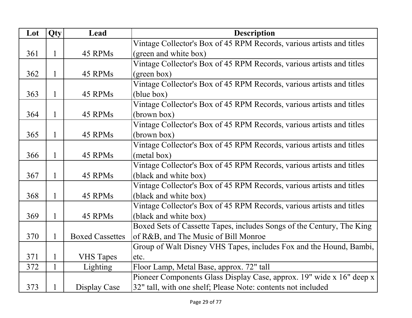| Lot | Qty          | Lead                   | <b>Description</b>                                                    |
|-----|--------------|------------------------|-----------------------------------------------------------------------|
|     |              |                        | Vintage Collector's Box of 45 RPM Records, various artists and titles |
| 361 | $\mathbf{1}$ | 45 RPMs                | (green and white box)                                                 |
|     |              |                        | Vintage Collector's Box of 45 RPM Records, various artists and titles |
| 362 | $\mathbf{1}$ | 45 RPMs                | (green box)                                                           |
|     |              |                        | Vintage Collector's Box of 45 RPM Records, various artists and titles |
| 363 | $\mathbf{1}$ | 45 RPMs                | (blue box)                                                            |
|     |              |                        | Vintage Collector's Box of 45 RPM Records, various artists and titles |
| 364 | $\mathbf{1}$ | 45 RPMs                | (brown box)                                                           |
|     |              |                        | Vintage Collector's Box of 45 RPM Records, various artists and titles |
| 365 | $\mathbf{1}$ | 45 RPMs                | (brown box)                                                           |
|     |              |                        | Vintage Collector's Box of 45 RPM Records, various artists and titles |
| 366 | $\mathbf{1}$ | 45 RPMs                | (metal box)                                                           |
|     |              |                        | Vintage Collector's Box of 45 RPM Records, various artists and titles |
| 367 | 1            | 45 RPMs                | (black and white box)                                                 |
|     |              |                        | Vintage Collector's Box of 45 RPM Records, various artists and titles |
| 368 | $\mathbf{1}$ | 45 RPMs                | (black and white box)                                                 |
|     |              |                        | Vintage Collector's Box of 45 RPM Records, various artists and titles |
| 369 | $\mathbf{1}$ | 45 RPMs                | (black and white box)                                                 |
|     |              |                        | Boxed Sets of Cassette Tapes, includes Songs of the Century, The King |
| 370 | $\mathbf{1}$ | <b>Boxed Cassettes</b> | of R&B, and The Music of Bill Monroe                                  |
|     |              |                        | Group of Walt Disney VHS Tapes, includes Fox and the Hound, Bambi,    |
| 371 | $\mathbf{1}$ | <b>VHS</b> Tapes       | etc.                                                                  |
| 372 | $\mathbf{1}$ | Lighting               | Floor Lamp, Metal Base, approx. 72" tall                              |
|     |              |                        | Pioneer Components Glass Display Case, approx. 19" wide x 16" deep x  |
| 373 | $\mathbf{1}$ | Display Case           | 32" tall, with one shelf; Please Note: contents not included          |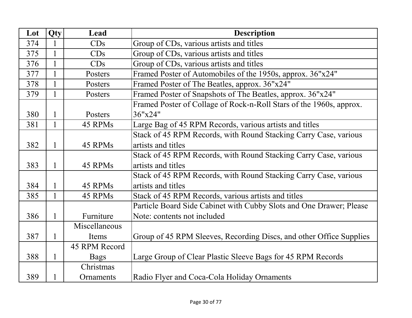| Lot | Qty          | Lead          | <b>Description</b>                                                  |
|-----|--------------|---------------|---------------------------------------------------------------------|
| 374 | $\mathbf{1}$ | CDs           | Group of CDs, various artists and titles                            |
| 375 | $\mathbf{1}$ | CDs           | Group of CDs, various artists and titles                            |
| 376 | $\mathbf{1}$ | CDs           | Group of CDs, various artists and titles                            |
| 377 | $\mathbf{1}$ | Posters       | Framed Poster of Automobiles of the 1950s, approx. 36"x24"          |
| 378 | $\mathbf{1}$ | Posters       | Framed Poster of The Beatles, approx. 36"x24"                       |
| 379 | $\mathbf{1}$ | Posters       | Framed Poster of Snapshots of The Beatles, approx. 36"x24"          |
|     |              |               | Framed Poster of Collage of Rock-n-Roll Stars of the 1960s, approx. |
| 380 | 1            | Posters       | 36"x24"                                                             |
| 381 | $\mathbf{1}$ | 45 RPMs       | Large Bag of 45 RPM Records, various artists and titles             |
|     |              |               | Stack of 45 RPM Records, with Round Stacking Carry Case, various    |
| 382 | $\mathbf{1}$ | 45 RPMs       | artists and titles                                                  |
|     |              |               | Stack of 45 RPM Records, with Round Stacking Carry Case, various    |
| 383 | $\mathbf{1}$ | 45 RPMs       | artists and titles                                                  |
|     |              |               | Stack of 45 RPM Records, with Round Stacking Carry Case, various    |
| 384 | $\mathbf{1}$ | 45 RPMs       | artists and titles                                                  |
| 385 | 1            | 45 RPMs       | Stack of 45 RPM Records, various artists and titles                 |
|     |              |               | Particle Board Side Cabinet with Cubby Slots and One Drawer; Please |
| 386 | $\mathbf{1}$ | Furniture     | Note: contents not included                                         |
|     |              | Miscellaneous |                                                                     |
| 387 | $\mathbf{1}$ | Items         | Group of 45 RPM Sleeves, Recording Discs, and other Office Supplies |
|     |              | 45 RPM Record |                                                                     |
| 388 | $\mathbf{1}$ | <b>Bags</b>   | Large Group of Clear Plastic Sleeve Bags for 45 RPM Records         |
|     |              | Christmas     |                                                                     |
| 389 | $\mathbf{1}$ | Ornaments     | Radio Flyer and Coca-Cola Holiday Ornaments                         |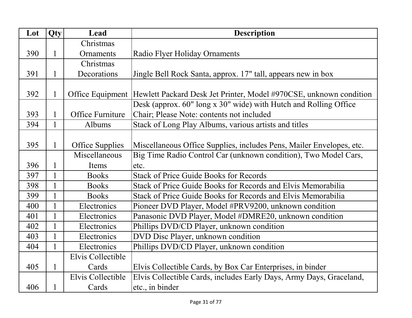| Lot | Qty          | Lead                   | <b>Description</b>                                                                  |
|-----|--------------|------------------------|-------------------------------------------------------------------------------------|
|     |              | Christmas              |                                                                                     |
| 390 | $\mathbf{1}$ | Ornaments              | Radio Flyer Holiday Ornaments                                                       |
|     |              | Christmas              |                                                                                     |
| 391 | $\mathbf{1}$ | Decorations            | Jingle Bell Rock Santa, approx. 17" tall, appears new in box                        |
|     |              |                        |                                                                                     |
| 392 | $\mathbf{1}$ |                        | Office Equipment Hewlett Packard Desk Jet Printer, Model #970CSE, unknown condition |
|     |              |                        | Desk (approx. 60" long x 30" wide) with Hutch and Rolling Office                    |
| 393 | $\mathbf{1}$ | Office Furniture       | Chair; Please Note: contents not included                                           |
| 394 | $\mathbf{1}$ | Albums                 | Stack of Long Play Albums, various artists and titles                               |
|     |              |                        |                                                                                     |
| 395 | $\mathbf{1}$ | <b>Office Supplies</b> | Miscellaneous Office Supplies, includes Pens, Mailer Envelopes, etc.                |
|     |              | Miscellaneous          | Big Time Radio Control Car (unknown condition), Two Model Cars,                     |
| 396 | 1            | Items                  | etc.                                                                                |
| 397 | $\mathbf{1}$ | <b>Books</b>           | <b>Stack of Price Guide Books for Records</b>                                       |
| 398 | $\mathbf{1}$ | <b>Books</b>           | Stack of Price Guide Books for Records and Elvis Memorabilia                        |
| 399 | $\mathbf{1}$ | <b>Books</b>           | Stack of Price Guide Books for Records and Elvis Memorabilia                        |
| 400 | $\mathbf{1}$ | Electronics            | Pioneer DVD Player, Model #PRV9200, unknown condition                               |
| 401 |              | Electronics            | Panasonic DVD Player, Model #DMRE20, unknown condition                              |
| 402 | $\mathbf{1}$ | Electronics            | Phillips DVD/CD Player, unknown condition                                           |
| 403 | $\mathbf{1}$ | Electronics            | DVD Disc Player, unknown condition                                                  |
| 404 | 1            | Electronics            | Phillips DVD/CD Player, unknown condition                                           |
|     |              | Elvis Collectible      |                                                                                     |
| 405 | $\mathbf{1}$ | Cards                  | Elvis Collectible Cards, by Box Car Enterprises, in binder                          |
|     |              | Elvis Collectible      | Elvis Collectible Cards, includes Early Days, Army Days, Graceland,                 |
| 406 | $\mathbf 1$  | Cards                  | etc., in binder                                                                     |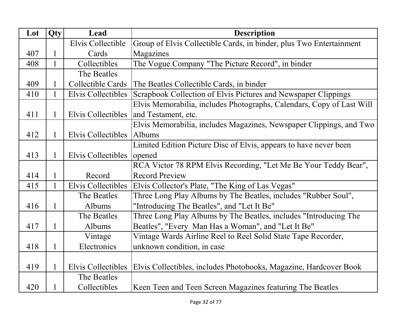| Lot | Qty          | Lead                      | <b>Description</b>                                                    |
|-----|--------------|---------------------------|-----------------------------------------------------------------------|
|     |              | Elvis Collectible         | Group of Elvis Collectible Cards, in binder, plus Two Entertainment   |
| 407 | 1            | Cards                     | Magazines                                                             |
| 408 | $\mathbf{1}$ | Collectibles              | The Vogue Company "The Picture Record", in binder                     |
|     |              | The Beatles               |                                                                       |
| 409 |              | Collectible Cards         | The Beatles Collectible Cards, in binder                              |
| 410 | $\mathbf{1}$ | Elvis Collectibles        | Scrapbook Collection of Elvis Pictures and Newspaper Clippings        |
|     |              |                           | Elvis Memorabilia, includes Photographs, Calendars, Copy of Last Will |
| 411 | $\mathbf{1}$ | Elvis Collectibles        | and Testament, etc.                                                   |
|     |              |                           | Elvis Memorabilia, includes Magazines, Newspaper Clippings, and Two   |
| 412 | 1            | Elvis Collectibles        | Albums                                                                |
|     |              |                           | Limited Edition Picture Disc of Elvis, appears to have never been     |
| 413 | 1            | <b>Elvis Collectibles</b> | opened                                                                |
|     |              |                           | RCA Victor 78 RPM Elvis Recording, "Let Me Be Your Teddy Bear",       |
| 414 | 1            | Record                    | <b>Record Preview</b>                                                 |
| 415 | $\mathbf{1}$ | Elvis Collectibles        | Elvis Collector's Plate, "The King of Las Vegas"                      |
|     |              | The Beatles               | Three Long Play Albums by The Beatles, includes "Rubber Soul",        |
| 416 | $\mathbf{1}$ | Albums                    | "Introducing The Beatles", and "Let It Be"                            |
|     |              | The Beatles               | Three Long Play Albums by The Beatles, includes "Introducing The      |
| 417 | $\mathbf{1}$ | Albums                    | Beatles", "Every Man Has a Woman", and "Let It Be"                    |
|     |              | Vintage                   | Vintage Wards Airline Reel to Reel Solid State Tape Recorder,         |
| 418 | 1            | Electronics               | unknown condition, in case                                            |
|     |              |                           |                                                                       |
| 419 | 1            | Elvis Collectibles        | Elvis Collectibles, includes Photobooks, Magazine, Hardcover Book     |
|     |              | The Beatles               |                                                                       |
| 420 | 1            | Collectibles              | Keen Teen and Teen Screen Magazines featuring The Beatles             |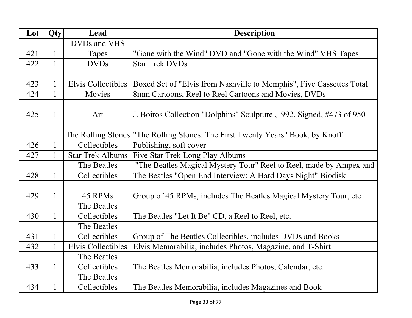| Lot | <b>Qty</b>   | Lead                      | <b>Description</b>                                                               |
|-----|--------------|---------------------------|----------------------------------------------------------------------------------|
|     |              | DVDs and VHS              |                                                                                  |
| 421 | 1            | Tapes                     | "Gone with the Wind" DVD and "Gone with the Wind" VHS Tapes                      |
| 422 | $\mathbf{1}$ | <b>DVDs</b>               | <b>Star Trek DVDs</b>                                                            |
|     |              |                           |                                                                                  |
| 423 |              | Elvis Collectibles        | Boxed Set of "Elvis from Nashville to Memphis", Five Cassettes Total             |
| 424 | $\mathbf{1}$ | Movies                    | 8mm Cartoons, Reel to Reel Cartoons and Movies, DVDs                             |
|     |              |                           |                                                                                  |
| 425 | $\mathbf{1}$ | Art                       | J. Boiros Collection "Dolphins" Sculpture , 1992, Signed, #473 of 950            |
|     |              |                           |                                                                                  |
|     |              |                           | The Rolling Stones   "The Rolling Stones: The First Twenty Years" Book, by Knoff |
| 426 | 1            | Collectibles              | Publishing, soft cover                                                           |
| 427 | $\mathbf{1}$ | <b>Star Trek Albums</b>   | Five Star Trek Long Play Albums                                                  |
|     |              | The Beatles               | "The Beatles Magical Mystery Tour" Reel to Reel, made by Ampex and               |
| 428 | 1            | Collectibles              | The Beatles "Open End Interview: A Hard Days Night" Biodisk                      |
|     |              |                           |                                                                                  |
| 429 | $\mathbf{1}$ | 45 RPMs                   | Group of 45 RPMs, includes The Beatles Magical Mystery Tour, etc.                |
|     |              | The Beatles               |                                                                                  |
| 430 | $\mathbf{1}$ | Collectibles              | The Beatles "Let It Be" CD, a Reel to Reel, etc.                                 |
|     |              | The Beatles               |                                                                                  |
| 431 | $\mathbf{1}$ | Collectibles              | Group of The Beatles Collectibles, includes DVDs and Books                       |
| 432 | $\mathbf{1}$ | <b>Elvis Collectibles</b> | Elvis Memorabilia, includes Photos, Magazine, and T-Shirt                        |
|     |              | The Beatles               |                                                                                  |
| 433 | $\mathbf{1}$ | Collectibles              | The Beatles Memorabilia, includes Photos, Calendar, etc.                         |
|     |              | The Beatles               |                                                                                  |
| 434 | 1            | Collectibles              | The Beatles Memorabilia, includes Magazines and Book                             |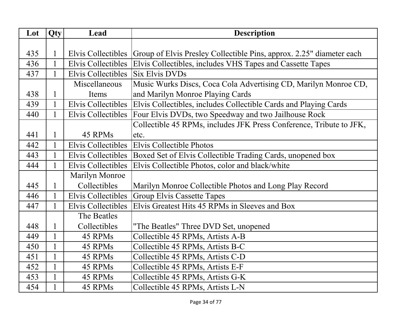| Lot | Qty          | Lead                      | <b>Description</b>                                                   |
|-----|--------------|---------------------------|----------------------------------------------------------------------|
|     |              |                           |                                                                      |
| 435 | $\mathbf{1}$ | Elvis Collectibles        | Group of Elvis Presley Collectible Pins, approx. 2.25" diameter each |
| 436 |              | Elvis Collectibles        | Elvis Collectibles, includes VHS Tapes and Cassette Tapes            |
| 437 |              | Elvis Collectibles        | <b>Six Elvis DVDs</b>                                                |
|     |              | Miscellaneous             | Music Wurks Discs, Coca Cola Advertising CD, Marilyn Monroe CD,      |
| 438 | $\mathbf{1}$ | Items                     | and Marilyn Monroe Playing Cards                                     |
| 439 | $\mathbf{1}$ | Elvis Collectibles        | Elvis Collectibles, includes Collectible Cards and Playing Cards     |
| 440 | $\mathbf{1}$ | <b>Elvis Collectibles</b> | Four Elvis DVDs, two Speedway and two Jailhouse Rock                 |
|     |              |                           | Collectible 45 RPMs, includes JFK Press Conference, Tribute to JFK,  |
| 441 | $\mathbf{1}$ | 45 RPMs                   | etc.                                                                 |
| 442 | $\mathbf{1}$ | Elvis Collectibles        | Elvis Collectible Photos                                             |
| 443 |              | <b>Elvis Collectibles</b> | Boxed Set of Elvis Collectible Trading Cards, unopened box           |
| 444 |              | <b>Elvis Collectibles</b> | Elvis Collectible Photos, color and black/white                      |
|     |              | <b>Marilyn Monroe</b>     |                                                                      |
| 445 | $\mathbf{1}$ | Collectibles              | Marilyn Monroe Collectible Photos and Long Play Record               |
| 446 | $\mathbf{1}$ | Elvis Collectibles        | <b>Group Elvis Cassette Tapes</b>                                    |
| 447 | $\mathbf{1}$ | <b>Elvis Collectibles</b> | Elvis Greatest Hits 45 RPMs in Sleeves and Box                       |
|     |              | The Beatles               |                                                                      |
| 448 | $\mathbf{1}$ | Collectibles              | "The Beatles" Three DVD Set, unopened                                |
| 449 | $\mathbf{1}$ | 45 RPMs                   | Collectible 45 RPMs, Artists A-B                                     |
| 450 | $\mathbf{1}$ | 45 RPMs                   | Collectible 45 RPMs, Artists B-C                                     |
| 451 | $\mathbf{1}$ | 45 RPMs                   | Collectible 45 RPMs, Artists C-D                                     |
| 452 | $\mathbf{1}$ | 45 RPMs                   | Collectible 45 RPMs, Artists E-F                                     |
| 453 | $\mathbf{1}$ | 45 RPMs                   | Collectible 45 RPMs, Artists G-K                                     |
| 454 | $\mathbf{1}$ | 45 RPMs                   | Collectible 45 RPMs, Artists L-N                                     |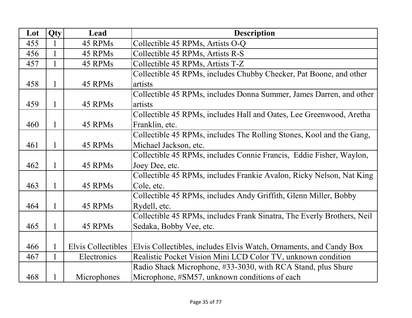| Lot | Qty          | Lead               | <b>Description</b>                                                     |
|-----|--------------|--------------------|------------------------------------------------------------------------|
| 455 |              | 45 RPMs            | Collectible 45 RPMs, Artists O-Q                                       |
| 456 | $\mathbf{1}$ | 45 RPMs            | Collectible 45 RPMs, Artists R-S                                       |
| 457 | $\mathbf{1}$ | 45 RPMs            | Collectible 45 RPMs, Artists T-Z                                       |
|     |              |                    | Collectible 45 RPMs, includes Chubby Checker, Pat Boone, and other     |
| 458 | $\mathbf{1}$ | 45 RPMs            | artists                                                                |
|     |              |                    | Collectible 45 RPMs, includes Donna Summer, James Darren, and other    |
| 459 | 1            | 45 RPMs            | artists                                                                |
|     |              |                    | Collectible 45 RPMs, includes Hall and Oates, Lee Greenwood, Aretha    |
| 460 | $\mathbf{1}$ | 45 RPMs            | Franklin, etc.                                                         |
|     |              |                    | Collectible 45 RPMs, includes The Rolling Stones, Kool and the Gang,   |
| 461 | $\mathbf{1}$ | 45 RPMs            | Michael Jackson, etc.                                                  |
|     |              |                    | Collectible 45 RPMs, includes Connie Francis, Eddie Fisher, Waylon,    |
| 462 | $\mathbf{1}$ | 45 RPMs            | Joey Dee, etc.                                                         |
|     |              |                    | Collectible 45 RPMs, includes Frankie Avalon, Ricky Nelson, Nat King   |
| 463 | $\mathbf{1}$ | 45 RPMs            | Cole, etc.                                                             |
|     |              |                    | Collectible 45 RPMs, includes Andy Griffith, Glenn Miller, Bobby       |
| 464 | $\mathbf{1}$ | 45 RPMs            | Rydell, etc.                                                           |
|     |              |                    | Collectible 45 RPMs, includes Frank Sinatra, The Everly Brothers, Neil |
| 465 | $\mathbf{1}$ | 45 RPMs            | Sedaka, Bobby Vee, etc.                                                |
|     |              |                    |                                                                        |
| 466 |              | Elvis Collectibles | Elvis Collectibles, includes Elvis Watch, Ornaments, and Candy Box     |
| 467 |              | Electronics        | Realistic Pocket Vision Mini LCD Color TV, unknown condition           |
|     |              |                    | Radio Shack Microphone, #33-3030, with RCA Stand, plus Shure           |
| 468 | $\mathbf{1}$ | Microphones        | Microphone, #SM57, unknown conditions of each                          |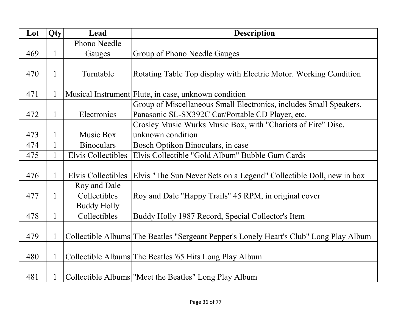| Lot | Qty          | Lead                      | <b>Description</b>                                                                     |
|-----|--------------|---------------------------|----------------------------------------------------------------------------------------|
|     |              | Phono Needle              |                                                                                        |
| 469 | $\mathbf{1}$ | Gauges                    | Group of Phono Needle Gauges                                                           |
|     |              |                           |                                                                                        |
| 470 | $\mathbf{1}$ | Turntable                 | Rotating Table Top display with Electric Motor. Working Condition                      |
|     |              |                           |                                                                                        |
| 471 | 1            |                           | Musical Instrument Flute, in case, unknown condition                                   |
|     |              |                           | Group of Miscellaneous Small Electronics, includes Small Speakers,                     |
| 472 | $\mathbf{1}$ | Electronics               | Panasonic SL-SX392C Car/Portable CD Player, etc.                                       |
|     |              |                           | Crosley Music Wurks Music Box, with "Chariots of Fire" Disc,                           |
| 473 | 1            | Music Box                 | unknown condition                                                                      |
| 474 |              | <b>Binoculars</b>         | Bosch Optikon Binoculars, in case                                                      |
| 475 | $\mathbf{1}$ | <b>Elvis Collectibles</b> | Elvis Collectible "Gold Album" Bubble Gum Cards                                        |
|     |              |                           |                                                                                        |
| 476 | 1            | Elvis Collectibles        | Elvis "The Sun Never Sets on a Legend" Collectible Doll, new in box                    |
|     |              | Roy and Dale              |                                                                                        |
| 477 | $\mathbf{1}$ | Collectibles              | Roy and Dale "Happy Trails" 45 RPM, in original cover                                  |
|     |              | <b>Buddy Holly</b>        |                                                                                        |
| 478 | $\mathbf{1}$ | Collectibles              | Buddy Holly 1987 Record, Special Collector's Item                                      |
|     |              |                           |                                                                                        |
| 479 | 1            |                           | Collectible Albums The Beatles "Sergeant Pepper's Lonely Heart's Club" Long Play Album |
|     |              |                           |                                                                                        |
| 480 | 1            |                           | Collectible Albums The Beatles '65 Hits Long Play Album                                |
|     |              |                           |                                                                                        |
| 481 |              |                           | Collectible Albums   "Meet the Beatles" Long Play Album                                |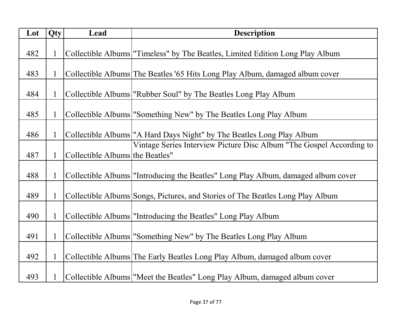| Lot | Qty          | Lead                            | <b>Description</b>                                                                  |
|-----|--------------|---------------------------------|-------------------------------------------------------------------------------------|
|     |              |                                 |                                                                                     |
| 482 | $\mathbf{1}$ |                                 | Collectible Albums   "Timeless" by The Beatles, Limited Edition Long Play Album     |
|     |              |                                 |                                                                                     |
| 483 | 1            |                                 | Collectible Albums The Beatles '65 Hits Long Play Album, damaged album cover        |
|     |              |                                 |                                                                                     |
| 484 | $\mathbf{1}$ |                                 | Collectible Albums   "Rubber Soul" by The Beatles Long Play Album                   |
|     |              |                                 |                                                                                     |
| 485 | $\mathbf{1}$ |                                 | Collectible Albums   "Something New" by The Beatles Long Play Album                 |
|     |              |                                 |                                                                                     |
| 486 | 1            |                                 | Collectible Albums <sup> </sup> "A Hard Days Night" by The Beatles Long Play Album  |
|     |              |                                 | Vintage Series Interview Picture Disc Album "The Gospel According to                |
| 487 | $\mathbf{1}$ | Collectible Albums the Beatles" |                                                                                     |
|     |              |                                 |                                                                                     |
| 488 | $\mathbf{1}$ |                                 | Collectible Albums   "Introducing the Beatles" Long Play Album, damaged album cover |
|     |              |                                 |                                                                                     |
| 489 |              |                                 | Collectible Albums Songs, Pictures, and Stories of The Beatles Long Play Album      |
|     |              |                                 |                                                                                     |
| 490 | $\mathbf{1}$ |                                 | Collectible Albums   "Introducing the Beatles" Long Play Album                      |
|     |              |                                 |                                                                                     |
| 491 | $\mathbf{1}$ |                                 | Collectible Albums   "Something New" by The Beatles Long Play Album                 |
|     |              |                                 |                                                                                     |
| 492 |              |                                 | Collectible Albums The Early Beatles Long Play Album, damaged album cover           |
|     |              |                                 |                                                                                     |
| 493 |              |                                 | Collectible Albums   "Meet the Beatles" Long Play Album, damaged album cover        |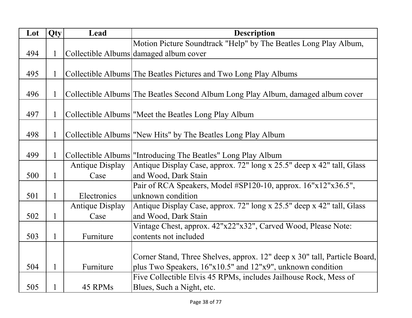| Lot | Qty          | Lead                   | <b>Description</b>                                                               |
|-----|--------------|------------------------|----------------------------------------------------------------------------------|
|     |              |                        | Motion Picture Soundtrack "Help" by The Beatles Long Play Album,                 |
| 494 |              |                        | Collectible Albums damaged album cover                                           |
|     |              |                        |                                                                                  |
| 495 | 1            |                        | Collectible Albums The Beatles Pictures and Two Long Play Albums                 |
|     |              |                        |                                                                                  |
| 496 |              |                        | Collectible Albums The Beatles Second Album Long Play Album, damaged album cover |
|     |              |                        |                                                                                  |
| 497 | $\mathbf{1}$ |                        | Collectible Albums   "Meet the Beatles Long Play Album                           |
|     |              |                        |                                                                                  |
| 498 |              |                        | Collectible Albums   "New Hits" by The Beatles Long Play Album                   |
|     |              |                        |                                                                                  |
| 499 | $\mathbf{1}$ |                        | Collectible Albums   "Introducing The Beatles" Long Play Album                   |
|     |              | <b>Antique Display</b> | Antique Display Case, approx. 72" long x 25.5" deep x 42" tall, Glass            |
| 500 | $\mathbf{1}$ | Case                   | and Wood, Dark Stain                                                             |
|     |              |                        | Pair of RCA Speakers, Model #SP120-10, approx. 16"x12"x36.5",                    |
| 501 | $\mathbf{1}$ | Electronics            | unknown condition                                                                |
|     |              | <b>Antique Display</b> | Antique Display Case, approx. 72" long x 25.5" deep x 42" tall, Glass            |
| 502 | $\mathbf{1}$ | Case                   | and Wood, Dark Stain                                                             |
|     |              |                        | Vintage Chest, approx. 42"x22"x32", Carved Wood, Please Note:                    |
| 503 | $\mathbf{1}$ | Furniture              | contents not included                                                            |
|     |              |                        |                                                                                  |
|     |              |                        | Corner Stand, Three Shelves, approx. 12" deep x 30" tall, Particle Board,        |
| 504 | $\mathbf{1}$ | Furniture              | plus Two Speakers, 16"x10.5" and 12"x9", unknown condition                       |
|     |              |                        | Five Collectible Elvis 45 RPMs, includes Jailhouse Rock, Mess of                 |
| 505 | $\mathbf{1}$ | 45 RPMs                | Blues, Such a Night, etc.                                                        |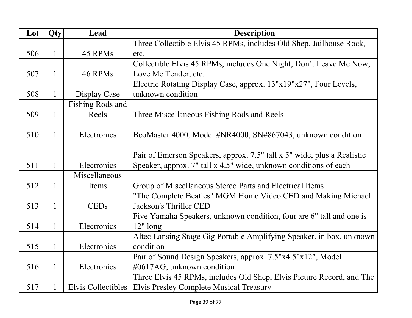| Lot | Qty          | Lead                      | <b>Description</b>                                                      |
|-----|--------------|---------------------------|-------------------------------------------------------------------------|
|     |              |                           | Three Collectible Elvis 45 RPMs, includes Old Shep, Jailhouse Rock,     |
| 506 | 1            | 45 RPMs                   | etc.                                                                    |
|     |              |                           | Collectible Elvis 45 RPMs, includes One Night, Don't Leave Me Now,      |
| 507 | 1            | 46 RPMs                   | Love Me Tender, etc.                                                    |
|     |              |                           | Electric Rotating Display Case, approx. 13"x19"x27", Four Levels,       |
| 508 | $\mathbf{1}$ | Display Case              | unknown condition                                                       |
|     |              | Fishing Rods and          |                                                                         |
| 509 | 1            | Reels                     | Three Miscellaneous Fishing Rods and Reels                              |
|     |              |                           |                                                                         |
| 510 | 1            | Electronics               | BeoMaster 4000, Model #NR4000, SN#867043, unknown condition             |
|     |              |                           |                                                                         |
|     |              |                           | Pair of Emerson Speakers, approx. 7.5" tall x 5" wide, plus a Realistic |
| 511 |              | Electronics               | Speaker, approx. 7" tall x 4.5" wide, unknown conditions of each        |
|     |              | Miscellaneous             |                                                                         |
| 512 | 1            | Items                     | Group of Miscellaneous Stereo Parts and Electrical Items                |
|     |              |                           | "The Complete Beatles" MGM Home Video CED and Making Michael            |
| 513 | 1            | <b>CEDs</b>               | Jackson's Thriller CED                                                  |
|     |              |                           | Five Yamaha Speakers, unknown condition, four are 6" tall and one is    |
| 514 | 1            | Electronics               | $12"$ long                                                              |
|     |              |                           | Altec Lansing Stage Gig Portable Amplifying Speaker, in box, unknown    |
| 515 | 1            | Electronics               | condition                                                               |
|     |              |                           | Pair of Sound Design Speakers, approx. 7.5"x4.5"x12", Model             |
| 516 | $\mathbf{1}$ | Electronics               | #0617AG, unknown condition                                              |
|     |              |                           | Three Elvis 45 RPMs, includes Old Shep, Elvis Picture Record, and The   |
| 517 |              | <b>Elvis Collectibles</b> | Elvis Presley Complete Musical Treasury                                 |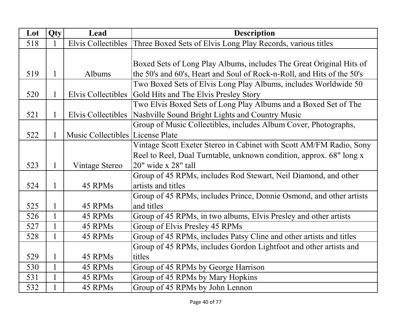| Lot | Qty          | Lead                             | <b>Description</b>                                                     |
|-----|--------------|----------------------------------|------------------------------------------------------------------------|
| 518 | $\mathbf{1}$ | Elvis Collectibles               | Three Boxed Sets of Elvis Long Play Records, various titles            |
|     |              |                                  |                                                                        |
|     |              |                                  | Boxed Sets of Long Play Albums, includes The Great Original Hits of    |
| 519 | $\mathbf{1}$ | Albums                           | the 50's and 60's, Heart and Soul of Rock-n-Roll, and Hits of the 50's |
|     |              |                                  | Two Boxed Sets of Elvis Long Play Albums, includes Worldwide 50        |
| 520 | 1            | Elvis Collectibles               | Gold Hits and The Elvis Presley Story                                  |
|     |              |                                  | Two Elvis Boxed Sets of Long Play Albums and a Boxed Set of The        |
| 521 | $\mathbf{1}$ | Elvis Collectibles               | Nashville Sound Bright Lights and Country Music                        |
|     |              |                                  | Group of Music Collectibles, includes Album Cover, Photographs,        |
| 522 | $\mathbf{1}$ | Music Collectibles License Plate |                                                                        |
|     |              |                                  | Vintage Scott Exeter Stereo in Cabinet with Scott AM/FM Radio, Sony    |
|     |              |                                  | Reel to Reel, Dual Turntable, unknown condition, approx. 68" long x    |
| 523 | $\mathbf{1}$ | Vintage Stereo                   | $20"$ wide x $28"$ tall                                                |
|     |              |                                  | Group of 45 RPMs, includes Rod Stewart, Neil Diamond, and other        |
| 524 | $\mathbf{1}$ | 45 RPMs                          | artists and titles                                                     |
|     |              |                                  | Group of 45 RPMs, includes Prince, Donnie Osmond, and other artists    |
| 525 | $\mathbf{1}$ | 45 RPMs                          | and titles                                                             |
| 526 | $\mathbf{1}$ | 45 RPMs                          | Group of 45 RPMs, in two albums, Elvis Presley and other artists       |
| 527 | 1            | 45 RPMs                          | Group of Elvis Presley 45 RPMs                                         |
| 528 | $\mathbf{1}$ | 45 RPMs                          | Group of 45 RPMs, includes Patsy Cline and other artists and titles    |
|     |              |                                  | Group of 45 RPMs, includes Gordon Lightfoot and other artists and      |
| 529 | $\mathbf{1}$ | 45 RPMs                          | titles                                                                 |
| 530 | $\mathbf{1}$ | 45 RPMs                          | Group of 45 RPMs by George Harrison                                    |
| 531 | $\mathbf{1}$ | 45 RPMs                          | Group of 45 RPMs by Mary Hopkins                                       |
| 532 | $\mathbf{1}$ | 45 RPMs                          | Group of 45 RPMs by John Lennon                                        |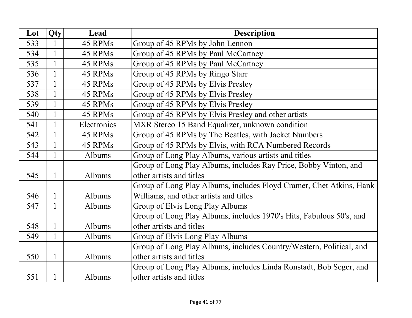| Lot | <b>Qty</b>   | Lead        | <b>Description</b>                                                  |
|-----|--------------|-------------|---------------------------------------------------------------------|
| 533 |              | 45 RPMs     | Group of 45 RPMs by John Lennon                                     |
| 534 | $\mathbf{1}$ | 45 RPMs     | Group of 45 RPMs by Paul McCartney                                  |
| 535 | $\mathbf{1}$ | 45 RPMs     | Group of 45 RPMs by Paul McCartney                                  |
| 536 | 1            | 45 RPMs     | Group of 45 RPMs by Ringo Starr                                     |
| 537 | $\mathbf{1}$ | 45 RPMs     | Group of 45 RPMs by Elvis Presley                                   |
| 538 | $\mathbf{1}$ | 45 RPMs     | Group of 45 RPMs by Elvis Presley                                   |
| 539 | $\mathbf{1}$ | 45 RPMs     | Group of 45 RPMs by Elvis Presley                                   |
| 540 | $\mathbf{1}$ | 45 RPMs     | Group of 45 RPMs by Elvis Presley and other artists                 |
| 541 | $\mathbf{1}$ | Electronics | MXR Stereo 15 Band Equalizer, unknown condition                     |
| 542 | 1            | 45 RPMs     | Group of 45 RPMs by The Beatles, with Jacket Numbers                |
| 543 | $\mathbf{1}$ | 45 RPMs     | Group of 45 RPMs by Elvis, with RCA Numbered Records                |
| 544 |              | Albums      | Group of Long Play Albums, various artists and titles               |
|     |              |             | Group of Long Play Albums, includes Ray Price, Bobby Vinton, and    |
| 545 | $\mathbf{1}$ | Albums      | other artists and titles                                            |
|     |              |             | Group of Long Play Albums, includes Floyd Cramer, Chet Atkins, Hank |
| 546 |              | Albums      | Williams, and other artists and titles                              |
| 547 | $\mathbf{1}$ | Albums      | Group of Elvis Long Play Albums                                     |
|     |              |             | Group of Long Play Albums, includes 1970's Hits, Fabulous 50's, and |
| 548 | $\mathbf{1}$ | Albums      | other artists and titles                                            |
| 549 | $\mathbf{1}$ | Albums      | Group of Elvis Long Play Albums                                     |
|     |              |             | Group of Long Play Albums, includes Country/Western, Political, and |
| 550 | $\mathbf{1}$ | Albums      | other artists and titles                                            |
|     |              |             | Group of Long Play Albums, includes Linda Ronstadt, Bob Seger, and  |
| 551 | 1            | Albums      | other artists and titles                                            |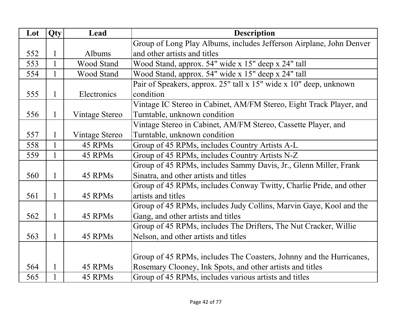| Lot | Qty          | Lead           | <b>Description</b>                                                  |
|-----|--------------|----------------|---------------------------------------------------------------------|
|     |              |                | Group of Long Play Albums, includes Jefferson Airplane, John Denver |
| 552 | $\mathbf{1}$ | Albums         | and other artists and titles                                        |
| 553 | $\mathbf{1}$ | Wood Stand     | Wood Stand, approx. 54" wide x 15" deep x 24" tall                  |
| 554 | $\mathbf{1}$ | Wood Stand     | Wood Stand, approx. 54" wide x 15" deep x 24" tall                  |
|     |              |                | Pair of Speakers, approx. 25" tall x 15" wide x 10" deep, unknown   |
| 555 | 1            | Electronics    | condition                                                           |
|     |              |                | Vintage IC Stereo in Cabinet, AM/FM Stereo, Eight Track Player, and |
| 556 | $\mathbf{1}$ | Vintage Stereo | Turntable, unknown condition                                        |
|     |              |                | Vintage Stereo in Cabinet, AM/FM Stereo, Cassette Player, and       |
| 557 | 1            | Vintage Stereo | Turntable, unknown condition                                        |
| 558 | $\mathbf{1}$ | 45 RPMs        | Group of 45 RPMs, includes Country Artists A-L                      |
| 559 | 1            | 45 RPMs        | Group of 45 RPMs, includes Country Artists N-Z                      |
|     |              |                | Group of 45 RPMs, includes Sammy Davis, Jr., Glenn Miller, Frank    |
| 560 | 1            | 45 RPMs        | Sinatra, and other artists and titles                               |
|     |              |                | Group of 45 RPMs, includes Conway Twitty, Charlie Pride, and other  |
| 561 | 1            | 45 RPMs        | artists and titles                                                  |
|     |              |                | Group of 45 RPMs, includes Judy Collins, Marvin Gaye, Kool and the  |
| 562 | 1            | 45 RPMs        | Gang, and other artists and titles                                  |
|     |              |                | Group of 45 RPMs, includes The Drifters, The Nut Cracker, Willie    |
| 563 | $\mathbf{1}$ | 45 RPMs        | Nelson, and other artists and titles                                |
|     |              |                |                                                                     |
|     |              |                | Group of 45 RPMs, includes The Coasters, Johnny and the Hurricanes, |
| 564 | $\mathbf{1}$ | 45 RPMs        | Rosemary Clooney, Ink Spots, and other artists and titles           |
| 565 |              | 45 RPMs        | Group of 45 RPMs, includes various artists and titles               |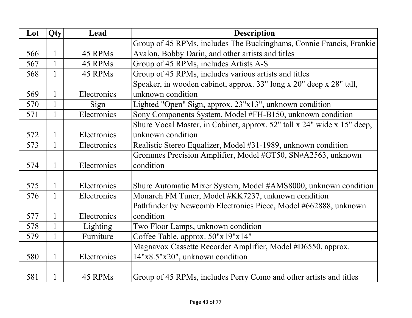| Lot | Qty          | Lead        | <b>Description</b>                                                      |
|-----|--------------|-------------|-------------------------------------------------------------------------|
|     |              |             | Group of 45 RPMs, includes The Buckinghams, Connie Francis, Frankie     |
| 566 | 1            | 45 RPMs     | Avalon, Bobby Darin, and other artists and titles                       |
| 567 | 1            | 45 RPMs     | Group of 45 RPMs, includes Artists A-S                                  |
| 568 | 1            | 45 RPMs     | Group of 45 RPMs, includes various artists and titles                   |
|     |              |             | Speaker, in wooden cabinet, approx. 33" long x 20" deep x 28" tall,     |
| 569 | 1            | Electronics | unknown condition                                                       |
| 570 | $\mathbf{1}$ | Sign        | Lighted "Open" Sign, approx. 23"x13", unknown condition                 |
| 571 | 1            | Electronics | Sony Components System, Model #FH-B150, unknown condition               |
|     |              |             | Shure Vocal Master, in Cabinet, approx. 52" tall x 24" wide x 15" deep, |
| 572 | 1            | Electronics | unknown condition                                                       |
| 573 | $\mathbf{1}$ | Electronics | Realistic Stereo Equalizer, Model #31-1989, unknown condition           |
|     |              |             | Grommes Precision Amplifier, Model #GT50, SN#A2563, unknown             |
| 574 | $\mathbf{1}$ | Electronics | condition                                                               |
|     |              |             |                                                                         |
| 575 | $\mathbf{1}$ | Electronics | Shure Automatic Mixer System, Model #AMS8000, unknown condition         |
| 576 |              | Electronics | Monarch FM Tuner, Model #KK7237, unknown condition                      |
|     |              |             | Pathfinder by Newcomb Electronics Piece, Model #662888, unknown         |
| 577 | 1            | Electronics | condition                                                               |
| 578 | $\mathbf{1}$ | Lighting    | Two Floor Lamps, unknown condition                                      |
| 579 | $\mathbf{1}$ | Furniture   | Coffee Table, approx. 50"x19"x14"                                       |
|     |              |             | Magnavox Cassette Recorder Amplifier, Model #D6550, approx.             |
| 580 | 1            | Electronics | 14"x8.5"x20", unknown condition                                         |
|     |              |             |                                                                         |
| 581 | 1            | 45 RPMs     | Group of 45 RPMs, includes Perry Como and other artists and titles      |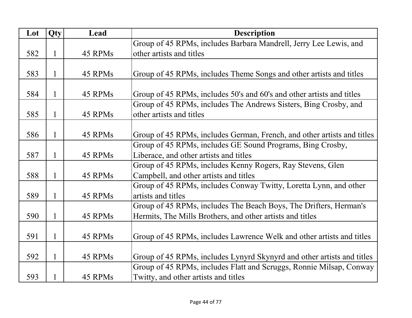| Lot | Qty | Lead    | <b>Description</b>                                                      |
|-----|-----|---------|-------------------------------------------------------------------------|
|     |     |         | Group of 45 RPMs, includes Barbara Mandrell, Jerry Lee Lewis, and       |
| 582 | 1   | 45 RPMs | other artists and titles                                                |
|     |     |         |                                                                         |
| 583 | 1   | 45 RPMs | Group of 45 RPMs, includes Theme Songs and other artists and titles     |
|     |     |         |                                                                         |
| 584 | 1   | 45 RPMs | Group of 45 RPMs, includes 50's and 60's and other artists and titles   |
|     |     |         | Group of 45 RPMs, includes The Andrews Sisters, Bing Crosby, and        |
| 585 | 1   | 45 RPMs | other artists and titles                                                |
|     |     |         |                                                                         |
| 586 | 1   | 45 RPMs | Group of 45 RPMs, includes German, French, and other artists and titles |
|     |     |         | Group of 45 RPMs, includes GE Sound Programs, Bing Crosby,              |
| 587 | 1   | 45 RPMs | Liberace, and other artists and titles                                  |
|     |     |         | Group of 45 RPMs, includes Kenny Rogers, Ray Stevens, Glen              |
| 588 | 1   | 45 RPMs | Campbell, and other artists and titles                                  |
|     |     |         | Group of 45 RPMs, includes Conway Twitty, Loretta Lynn, and other       |
| 589 | 1   | 45 RPMs | artists and titles                                                      |
|     |     |         | Group of 45 RPMs, includes The Beach Boys, The Drifters, Herman's       |
| 590 | 1   | 45 RPMs | Hermits, The Mills Brothers, and other artists and titles               |
|     |     |         |                                                                         |
| 591 | 1   | 45 RPMs | Group of 45 RPMs, includes Lawrence Welk and other artists and titles   |
|     |     |         |                                                                         |
| 592 | 1   | 45 RPMs | Group of 45 RPMs, includes Lynyrd Skynyrd and other artists and titles  |
|     |     |         | Group of 45 RPMs, includes Flatt and Scruggs, Ronnie Milsap, Conway     |
| 593 | 1   | 45 RPMs | Twitty, and other artists and titles                                    |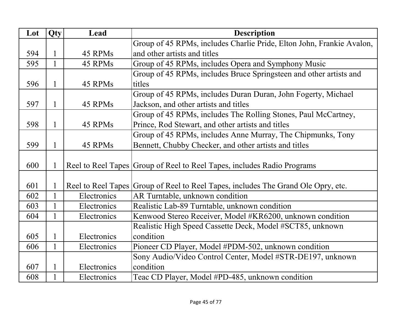| Lot | Qty          | Lead        | <b>Description</b>                                                                |
|-----|--------------|-------------|-----------------------------------------------------------------------------------|
|     |              |             | Group of 45 RPMs, includes Charlie Pride, Elton John, Frankie Avalon,             |
| 594 |              | 45 RPMs     | and other artists and titles                                                      |
| 595 | 1            | 45 RPMs     | Group of 45 RPMs, includes Opera and Symphony Music                               |
|     |              |             | Group of 45 RPMs, includes Bruce Springsteen and other artists and                |
| 596 | 1            | 45 RPMs     | titles                                                                            |
|     |              |             | Group of 45 RPMs, includes Duran Duran, John Fogerty, Michael                     |
| 597 | 1            | 45 RPMs     | Jackson, and other artists and titles                                             |
|     |              |             | Group of 45 RPMs, includes The Rolling Stones, Paul McCartney,                    |
| 598 | 1            | 45 RPMs     | Prince, Rod Stewart, and other artists and titles                                 |
|     |              |             | Group of 45 RPMs, includes Anne Murray, The Chipmunks, Tony                       |
| 599 | 1            | 45 RPMs     | Bennett, Chubby Checker, and other artists and titles                             |
|     |              |             |                                                                                   |
| 600 |              |             | Reel to Reel Tapes Group of Reel to Reel Tapes, includes Radio Programs           |
|     |              |             |                                                                                   |
| 601 |              |             | Reel to Reel Tapes Group of Reel to Reel Tapes, includes The Grand Ole Opry, etc. |
| 602 |              | Electronics | AR Turntable, unknown condition                                                   |
| 603 | $\mathbf{1}$ | Electronics | Realistic Lab-89 Turntable, unknown condition                                     |
| 604 |              | Electronics | Kenwood Stereo Receiver, Model #KR6200, unknown condition                         |
|     |              |             | Realistic High Speed Cassette Deck, Model #SCT85, unknown                         |
| 605 |              | Electronics | condition                                                                         |
| 606 | $\mathbf{1}$ | Electronics | Pioneer CD Player, Model #PDM-502, unknown condition                              |
|     |              |             | Sony Audio/Video Control Center, Model #STR-DE197, unknown                        |
| 607 | 1            | Electronics | condition                                                                         |
| 608 | 1            | Electronics | Teac CD Player, Model #PD-485, unknown condition                                  |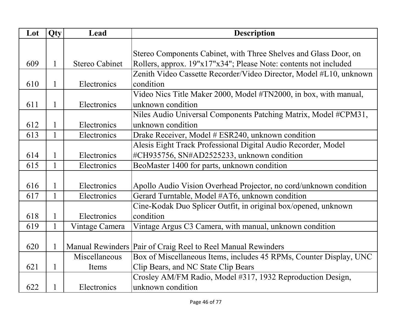| Lot | Qty          | Lead                  | <b>Description</b>                                                 |
|-----|--------------|-----------------------|--------------------------------------------------------------------|
|     |              |                       |                                                                    |
|     |              |                       | Stereo Components Cabinet, with Three Shelves and Glass Door, on   |
| 609 | $\mathbf{1}$ | <b>Stereo Cabinet</b> | Rollers, approx. 19"x17"x34"; Please Note: contents not included   |
|     |              |                       | Zenith Video Cassette Recorder/Video Director, Model #L10, unknown |
| 610 | 1            | Electronics           | condition                                                          |
|     |              |                       | Video Nics Title Maker 2000, Model #TN2000, in box, with manual,   |
| 611 | 1            | Electronics           | unknown condition                                                  |
|     |              |                       | Niles Audio Universal Components Patching Matrix, Model #CPM31,    |
| 612 | 1            | Electronics           | unknown condition                                                  |
| 613 | $\mathbf{1}$ | Electronics           | Drake Receiver, Model # ESR240, unknown condition                  |
|     |              |                       | Alesis Eight Track Professional Digital Audio Recorder, Model      |
| 614 | 1            | Electronics           | #CH935756, SN#AD2525233, unknown condition                         |
| 615 | 1            | Electronics           | BeoMaster 1400 for parts, unknown condition                        |
|     |              |                       |                                                                    |
| 616 | 1            | Electronics           | Apollo Audio Vision Overhead Projector, no cord/unknown condition  |
| 617 | $\mathbf{1}$ | Electronics           | Gerard Turntable, Model #AT6, unknown condition                    |
|     |              |                       | Cine-Kodak Duo Splicer Outfit, in original box/opened, unknown     |
| 618 |              | Electronics           | condition                                                          |
| 619 | $\mathbf{1}$ | Vintage Camera        | Vintage Argus C3 Camera, with manual, unknown condition            |
|     |              |                       |                                                                    |
| 620 |              |                       | Manual Rewinders Pair of Craig Reel to Reel Manual Rewinders       |
|     |              | Miscellaneous         | Box of Miscellaneous Items, includes 45 RPMs, Counter Display, UNC |
| 621 | 1            | Items                 | Clip Bears, and NC State Clip Bears                                |
|     |              |                       | Crosley AM/FM Radio, Model #317, 1932 Reproduction Design,         |
| 622 | 1            | Electronics           | unknown condition                                                  |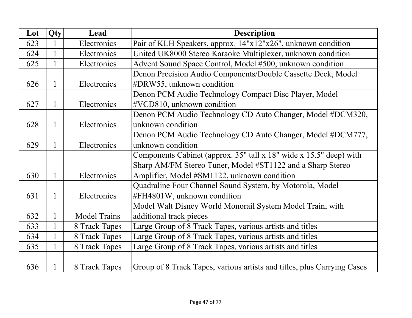| Lot | Qty          | Lead                | <b>Description</b>                                                      |
|-----|--------------|---------------------|-------------------------------------------------------------------------|
| 623 |              | Electronics         | Pair of KLH Speakers, approx. 14"x12"x26", unknown condition            |
| 624 | $\mathbf{1}$ | Electronics         | United UK8000 Stereo Karaoke Multiplexer, unknown condition             |
| 625 | $\mathbf{1}$ | Electronics         | Advent Sound Space Control, Model #500, unknown condition               |
|     |              |                     | Denon Precision Audio Components/Double Cassette Deck, Model            |
| 626 | $\mathbf{1}$ | Electronics         | #DRW55, unknown condition                                               |
|     |              |                     | Denon PCM Audio Technology Compact Disc Player, Model                   |
| 627 | $\mathbf{1}$ | Electronics         | #VCD810, unknown condition                                              |
|     |              |                     | Denon PCM Audio Technology CD Auto Changer, Model #DCM320,              |
| 628 | 1            | Electronics         | unknown condition                                                       |
|     |              |                     | Denon PCM Audio Technology CD Auto Changer, Model #DCM777,              |
| 629 | 1            | Electronics         | unknown condition                                                       |
|     |              |                     | Components Cabinet (approx. $35$ " tall x 18" wide x 15.5" deep) with   |
|     |              |                     | Sharp AM/FM Stereo Tuner, Model #ST1122 and a Sharp Stereo              |
| 630 | $\mathbf{1}$ | Electronics         | Amplifier, Model #SM1122, unknown condition                             |
|     |              |                     | Quadraline Four Channel Sound System, by Motorola, Model                |
| 631 | $\mathbf{1}$ | Electronics         | #FH4801W, unknown condition                                             |
|     |              |                     | Model Walt Disney World Monorail System Model Train, with               |
| 632 | $\mathbf{1}$ | <b>Model Trains</b> | additional track pieces                                                 |
| 633 | $\mathbf{1}$ | 8 Track Tapes       | Large Group of 8 Track Tapes, various artists and titles                |
| 634 | $\mathbf{1}$ | 8 Track Tapes       | Large Group of 8 Track Tapes, various artists and titles                |
| 635 |              | 8 Track Tapes       | Large Group of 8 Track Tapes, various artists and titles                |
|     |              |                     |                                                                         |
| 636 |              | 8 Track Tapes       | Group of 8 Track Tapes, various artists and titles, plus Carrying Cases |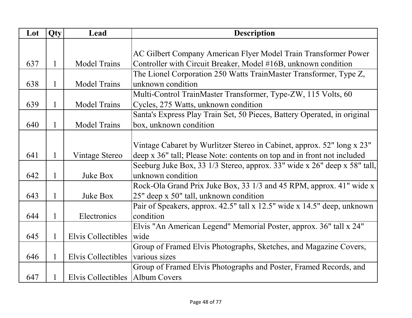| Lot | Qty | Lead                              | <b>Description</b>                                                       |
|-----|-----|-----------------------------------|--------------------------------------------------------------------------|
|     |     |                                   |                                                                          |
|     |     |                                   | AC Gilbert Company American Flyer Model Train Transformer Power          |
| 637 | 1   | <b>Model Trains</b>               | Controller with Circuit Breaker, Model #16B, unknown condition           |
|     |     |                                   | The Lionel Corporation 250 Watts TrainMaster Transformer, Type Z,        |
| 638 | 1   | <b>Model Trains</b>               | unknown condition                                                        |
|     |     |                                   | Multi-Control TrainMaster Transformer, Type-ZW, 115 Volts, 60            |
| 639 | 1   | <b>Model Trains</b>               | Cycles, 275 Watts, unknown condition                                     |
|     |     |                                   | Santa's Express Play Train Set, 50 Pieces, Battery Operated, in original |
| 640 | 1   | <b>Model Trains</b>               | box, unknown condition                                                   |
|     |     |                                   |                                                                          |
|     |     |                                   | Vintage Cabaret by Wurlitzer Stereo in Cabinet, approx. 52" long x 23"   |
| 641 |     | Vintage Stereo                    | deep x 36" tall; Please Note: contents on top and in front not included  |
|     |     |                                   | Seeburg Juke Box, 33 1/3 Stereo, approx. 33" wide x 26" deep x 58" tall, |
| 642 | 1   | Juke Box                          | unknown condition                                                        |
|     |     |                                   | Rock-Ola Grand Prix Juke Box, 33 1/3 and 45 RPM, approx. 41" wide x      |
| 643 | 1   | Juke Box                          | 25" deep x 50" tall, unknown condition                                   |
|     |     |                                   | Pair of Speakers, approx. 42.5" tall x 12.5" wide x 14.5" deep, unknown  |
| 644 |     | Electronics                       | condition                                                                |
|     |     |                                   | Elvis "An American Legend" Memorial Poster, approx. 36" tall x 24"       |
| 645 |     | Elvis Collectibles                | wide                                                                     |
|     |     |                                   | Group of Framed Elvis Photographs, Sketches, and Magazine Covers,        |
| 646 |     | Elvis Collectibles                | various sizes                                                            |
|     |     |                                   | Group of Framed Elvis Photographs and Poster, Framed Records, and        |
| 647 |     | Elvis Collectibles   Album Covers |                                                                          |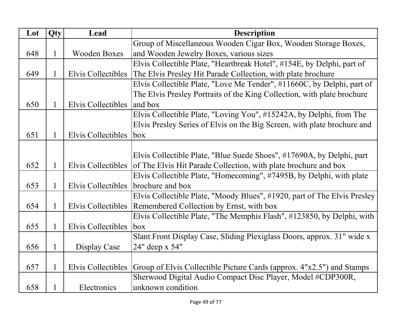| Lot | Qty          | Lead                | <b>Description</b>                                                       |
|-----|--------------|---------------------|--------------------------------------------------------------------------|
|     |              |                     | Group of Miscellaneous Wooden Cigar Box, Wooden Storage Boxes,           |
| 648 | 1            | <b>Wooden Boxes</b> | and Wooden Jewelry Boxes, various sizes                                  |
|     |              |                     | Elvis Collectible Plate, "Heartbreak Hotel", #154E, by Delphi, part of   |
| 649 |              | Elvis Collectibles  | The Elvis Presley Hit Parade Collection, with plate brochure             |
|     |              |                     | Elvis Collectible Plate, "Love Me Tender", #11660C, by Delphi, part of   |
|     |              |                     | The Elvis Presley Portraits of the King Collection, with plate brochure  |
| 650 |              | Elvis Collectibles  | and box                                                                  |
|     |              |                     | Elvis Collectible Plate, "Loving You", #15242A, by Delphi, from The      |
|     |              |                     | Elvis Presley Series of Elvis on the Big Screen, with plate brochure and |
| 651 |              | Elvis Collectibles  | <b>b</b> ox                                                              |
|     |              |                     |                                                                          |
|     |              |                     | Elvis Collectible Plate, "Blue Suede Shoes", #17690A, by Delphi, part    |
| 652 |              | Elvis Collectibles  | of The Elvis Hit Parade Collection, with plate brochure and box          |
|     |              |                     | Elvis Collectible Plate, "Homecoming", #7495B, by Delphi, with plate     |
| 653 | 1            | Elvis Collectibles  | brochure and box                                                         |
|     |              |                     | Elvis Collectible Plate, "Moody Blues", #1920, part of The Elvis Presley |
| 654 | $\mathbf{1}$ |                     | Elvis Collectibles   Remembered Collection by Ernst, with box            |
|     |              |                     | Elvis Collectible Plate, "The Memphis Flash", #123850, by Delphi, with   |
| 655 | 1            | Elvis Collectibles  | <b>box</b>                                                               |
|     |              |                     | Slant Front Display Case, Sliding Plexiglass Doors, approx. 31" wide x   |
| 656 | 1            | Display Case        | 24" deep x 54"                                                           |
|     |              |                     |                                                                          |
| 657 |              | Elvis Collectibles  | Group of Elvis Collectible Picture Cards (approx. 4"x2.5") and Stamps    |
|     |              |                     | Sherwood Digital Audio Compact Disc Player, Model #CDP300R,              |
| 658 |              | Electronics         | unknown condition                                                        |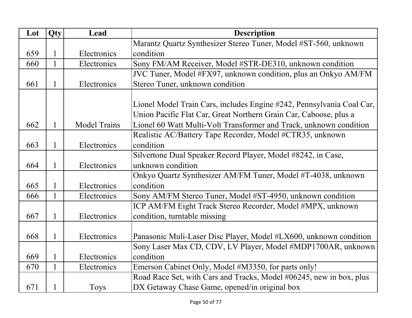| Lot | Qty          | Lead                | <b>Description</b>                                                    |
|-----|--------------|---------------------|-----------------------------------------------------------------------|
|     |              |                     | Marantz Quartz Synthesizer Stereo Tuner, Model #ST-560, unknown       |
| 659 |              | Electronics         | condition                                                             |
| 660 |              | Electronics         | Sony FM/AM Receiver, Model #STR-DE310, unknown condition              |
|     |              |                     | JVC Tuner, Model #FX97, unknown condition, plus an Onkyo AM/FM        |
| 661 |              | Electronics         | Stereo Tuner, unknown condition                                       |
|     |              |                     |                                                                       |
|     |              |                     | Lionel Model Train Cars, includes Engine #242, Pennsylvania Coal Car, |
|     |              |                     | Union Pacific Flat Car, Great Northern Grain Car, Caboose, plus a     |
| 662 |              | <b>Model Trains</b> | Lionel 60 Watt Multi-Volt Transformer and Track, unknown condition    |
|     |              |                     | Realistic AC/Battery Tape Recorder, Model #CTR35, unknown             |
| 663 | $\mathbf{1}$ | Electronics         | condition                                                             |
|     |              |                     | Silvertone Dual Speaker Record Player, Model #8242, in Case,          |
| 664 |              | Electronics         | unknown condition                                                     |
|     |              |                     | Onkyo Quartz Synthesizer AM/FM Tuner, Model #T-4038, unknown          |
| 665 |              | Electronics         | condition                                                             |
| 666 |              | Electronics         | Sony AM/FM Stereo Tuner, Model #ST-4950, unknown condition            |
|     |              |                     | ICP AM/FM Eight Track Stereo Recorder, Model #MPX, unknown            |
| 667 | 1            | Electronics         | condition, turntable missing                                          |
|     |              |                     |                                                                       |
| 668 |              | Electronics         | Panasonic Muli-Laser Disc Player, Model #LX600, unknown condition     |
|     |              |                     | Sony Laser Max CD, CDV, LV Player, Model #MDP1700AR, unknown          |
| 669 |              | Electronics         | condition                                                             |
| 670 | 1            | Electronics         | Emerson Cabinet Only, Model #M3350, for parts only!                   |
|     |              |                     | Road Race Set, with Cars and Tracks, Model #06245, new in box, plus   |
| 671 |              | <b>Toys</b>         | DX Getaway Chase Game, opened/in original box                         |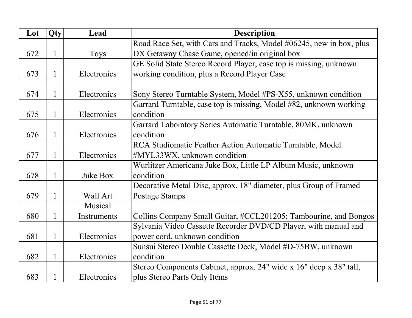| Lot | Qty          | Lead        | <b>Description</b>                                                  |
|-----|--------------|-------------|---------------------------------------------------------------------|
|     |              |             | Road Race Set, with Cars and Tracks, Model #06245, new in box, plus |
| 672 | $\mathbf{1}$ | <b>Toys</b> | DX Getaway Chase Game, opened/in original box                       |
|     |              |             | GE Solid State Stereo Record Player, case top is missing, unknown   |
| 673 | 1            | Electronics | working condition, plus a Record Player Case                        |
|     |              |             |                                                                     |
| 674 | 1            | Electronics | Sony Stereo Turntable System, Model #PS-X55, unknown condition      |
|     |              |             | Garrard Turntable, case top is missing, Model #82, unknown working  |
| 675 | $\mathbf{1}$ | Electronics | condition                                                           |
|     |              |             | Garrard Laboratory Series Automatic Turntable, 80MK, unknown        |
| 676 | 1            | Electronics | condition                                                           |
|     |              |             | RCA Studiomatic Feather Action Automatic Turntable, Model           |
| 677 | 1            | Electronics | #MYL33WX, unknown condition                                         |
|     |              |             | Wurlitzer Americana Juke Box, Little LP Album Music, unknown        |
| 678 |              | Juke Box    | condition                                                           |
|     |              |             | Decorative Metal Disc, approx. 18" diameter, plus Group of Framed   |
| 679 |              | Wall Art    | <b>Postage Stamps</b>                                               |
|     |              | Musical     |                                                                     |
| 680 |              | Instruments | Collins Company Small Guitar, #CCL201205; Tambourine, and Bongos    |
|     |              |             | Sylvania Video Cassette Recorder DVD/CD Player, with manual and     |
| 681 | 1            | Electronics | power cord, unknown condition                                       |
|     |              |             | Sunsui Stereo Double Cassette Deck, Model #D-75BW, unknown          |
| 682 | 1            | Electronics | condition                                                           |
|     |              |             | Stereo Components Cabinet, approx. 24" wide x 16" deep x 38" tall,  |
| 683 |              | Electronics | plus Stereo Parts Only Items                                        |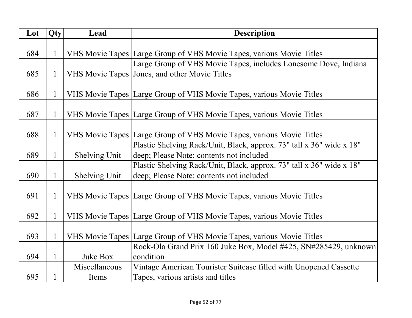| Lot | Qty          | Lead                 | <b>Description</b>                                                   |
|-----|--------------|----------------------|----------------------------------------------------------------------|
|     |              |                      |                                                                      |
| 684 | $\mathbf{1}$ |                      | VHS Movie Tapes Large Group of VHS Movie Tapes, various Movie Titles |
|     |              |                      | Large Group of VHS Movie Tapes, includes Lonesome Dove, Indiana      |
| 685 |              |                      | VHS Movie Tapes Jones, and other Movie Titles                        |
|     |              |                      |                                                                      |
| 686 | $\mathbf{1}$ |                      | VHS Movie Tapes Large Group of VHS Movie Tapes, various Movie Titles |
|     |              |                      |                                                                      |
| 687 | $\mathbf{1}$ |                      | VHS Movie Tapes Large Group of VHS Movie Tapes, various Movie Titles |
|     |              |                      |                                                                      |
| 688 | 1            |                      | VHS Movie Tapes Large Group of VHS Movie Tapes, various Movie Titles |
|     |              |                      | Plastic Shelving Rack/Unit, Black, approx. 73" tall x 36" wide x 18" |
| 689 | $\mathbf{1}$ | <b>Shelving Unit</b> | deep; Please Note: contents not included                             |
|     |              |                      | Plastic Shelving Rack/Unit, Black, approx. 73" tall x 36" wide x 18" |
| 690 | $\mathbf{1}$ | <b>Shelving Unit</b> | deep; Please Note: contents not included                             |
|     |              |                      |                                                                      |
| 691 | $\mathbf{1}$ |                      | VHS Movie Tapes Large Group of VHS Movie Tapes, various Movie Titles |
|     |              |                      |                                                                      |
| 692 | $\mathbf{1}$ |                      | VHS Movie Tapes Large Group of VHS Movie Tapes, various Movie Titles |
|     |              |                      |                                                                      |
| 693 | $\mathbf{1}$ |                      | VHS Movie Tapes Large Group of VHS Movie Tapes, various Movie Titles |
|     |              |                      | Rock-Ola Grand Prix 160 Juke Box, Model #425, SN#285429, unknown     |
| 694 | $\mathbf{1}$ | Juke Box             | condition                                                            |
|     |              | Miscellaneous        | Vintage American Tourister Suitcase filled with Unopened Cassette    |
| 695 | $\mathbf{1}$ | Items                | Tapes, various artists and titles                                    |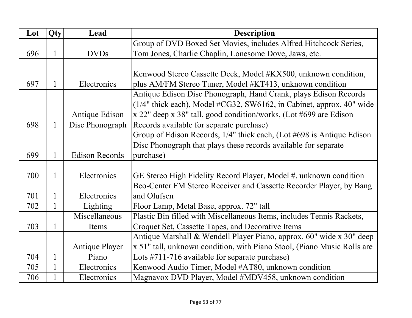| Lot | Qty | Lead                  | <b>Description</b>                                                      |
|-----|-----|-----------------------|-------------------------------------------------------------------------|
|     |     |                       | Group of DVD Boxed Set Movies, includes Alfred Hitchcock Series,        |
| 696 | 1   | <b>DVDs</b>           | Tom Jones, Charlie Chaplin, Lonesome Dove, Jaws, etc.                   |
|     |     |                       |                                                                         |
|     |     |                       | Kenwood Stereo Cassette Deck, Model #KX500, unknown condition,          |
| 697 | 1   | Electronics           | plus AM/FM Stereo Tuner, Model #KT413, unknown condition                |
|     |     |                       | Antique Edison Disc Phonograph, Hand Crank, plays Edison Records        |
|     |     |                       | $(1/4"$ thick each), Model #CG32, SW6162, in Cabinet, approx. 40" wide  |
|     |     | Antique Edison        | $x$ 22" deep x 38" tall, good condition/works, (Lot #699 are Edison     |
| 698 | 1   | Disc Phonograph       | Records available for separate purchase)                                |
|     |     |                       | Group of Edison Records, 1/4" thick each, (Lot #698 is Antique Edison   |
|     |     |                       | Disc Phonograph that plays these records available for separate         |
| 699 |     | <b>Edison Records</b> | purchase)                                                               |
|     |     |                       |                                                                         |
| 700 |     | Electronics           | GE Stereo High Fidelity Record Player, Model #, unknown condition       |
|     |     |                       | Beo-Center FM Stereo Receiver and Cassette Recorder Player, by Bang     |
| 701 |     | Electronics           | and Olufsen                                                             |
| 702 | 1   | Lighting              | Floor Lamp, Metal Base, approx. 72" tall                                |
|     |     | Miscellaneous         | Plastic Bin filled with Miscellaneous Items, includes Tennis Rackets,   |
| 703 | 1   | Items                 | Croquet Set, Cassette Tapes, and Decorative Items                       |
|     |     |                       | Antique Marshall & Wendell Player Piano, approx. 60" wide x 30" deep    |
|     |     | <b>Antique Player</b> | x 51" tall, unknown condition, with Piano Stool, (Piano Music Rolls are |
| 704 |     | Piano                 | Lots $\#711 - 716$ available for separate purchase)                     |
| 705 | 1   | Electronics           | Kenwood Audio Timer, Model #AT80, unknown condition                     |
| 706 |     | Electronics           | Magnavox DVD Player, Model #MDV458, unknown condition                   |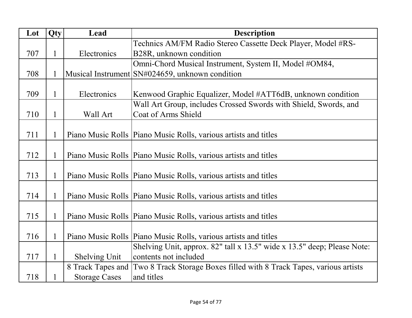| Lot | Qty          | Lead                 | <b>Description</b>                                                      |
|-----|--------------|----------------------|-------------------------------------------------------------------------|
|     |              |                      | Technics AM/FM Radio Stereo Cassette Deck Player, Model #RS-            |
| 707 | 1            | Electronics          | B28R, unknown condition                                                 |
|     |              |                      | Omni-Chord Musical Instrument, System II, Model #OM84,                  |
| 708 | 1            |                      | Musical Instrument SN#024659, unknown condition                         |
|     |              |                      |                                                                         |
| 709 | 1            | Electronics          | Kenwood Graphic Equalizer, Model #ATT6dB, unknown condition             |
|     |              |                      | Wall Art Group, includes Crossed Swords with Shield, Swords, and        |
| 710 | 1            | Wall Art             | Coat of Arms Shield                                                     |
|     |              |                      |                                                                         |
| 711 | 1            |                      | Piano Music Rolls   Piano Music Rolls, various artists and titles       |
|     |              |                      |                                                                         |
| 712 | 1            |                      | Piano Music Rolls   Piano Music Rolls, various artists and titles       |
|     |              |                      |                                                                         |
| 713 | 1            |                      | Piano Music Rolls   Piano Music Rolls, various artists and titles       |
|     |              |                      |                                                                         |
| 714 | 1            |                      | Piano Music Rolls   Piano Music Rolls, various artists and titles       |
|     |              |                      |                                                                         |
| 715 | $\mathbf{1}$ |                      | Piano Music Rolls   Piano Music Rolls, various artists and titles       |
|     |              |                      |                                                                         |
| 716 | 1            |                      | Piano Music Rolls   Piano Music Rolls, various artists and titles       |
|     |              |                      | Shelving Unit, approx. 82" tall x 13.5" wide x 13.5" deep; Please Note: |
| 717 | 1            | <b>Shelving Unit</b> | contents not included                                                   |
|     |              | 8 Track Tapes and    | Two 8 Track Storage Boxes filled with 8 Track Tapes, various artists    |
| 718 |              | <b>Storage Cases</b> | and titles                                                              |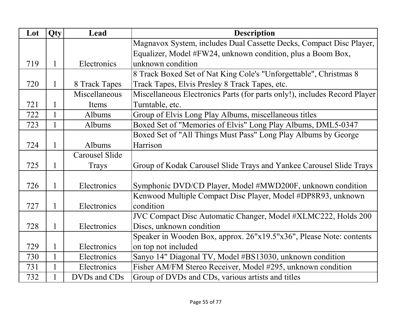| Lot | Qty          | Lead                  | <b>Description</b>                                                        |
|-----|--------------|-----------------------|---------------------------------------------------------------------------|
|     |              |                       | Magnavox System, includes Dual Cassette Decks, Compact Disc Player,       |
|     |              |                       | Equalizer, Model #FW24, unknown condition, plus a Boom Box,               |
| 719 | 1            | Electronics           | unknown condition                                                         |
|     |              |                       | 8 Track Boxed Set of Nat King Cole's "Unforgettable", Christmas 8         |
| 720 | 1            | 8 Track Tapes         | Track Tapes, Elvis Presley 8 Track Tapes, etc.                            |
|     |              | Miscellaneous         | Miscellaneous Electronics Parts (for parts only!), includes Record Player |
| 721 |              | Items                 | Turntable, etc.                                                           |
| 722 |              | Albums                | Group of Elvis Long Play Albums, miscellaneous titles                     |
| 723 | 1            | Albums                | Boxed Set of "Memories of Elvis" Long Play Albums, DML5-0347              |
|     |              |                       | Boxed Set of "All Things Must Pass" Long Play Albums by George            |
| 724 | $\mathbf{1}$ | Albums                | Harrison                                                                  |
|     |              | <b>Carousel Slide</b> |                                                                           |
| 725 | 1            | Trays                 | Group of Kodak Carousel Slide Trays and Yankee Carousel Slide Trays       |
|     |              |                       |                                                                           |
| 726 | 1            | Electronics           | Symphonic DVD/CD Player, Model #MWD200F, unknown condition                |
|     |              |                       | Kenwood Multiple Compact Disc Player, Model #DP8R93, unknown              |
| 727 | 1            | Electronics           | condition                                                                 |
|     |              |                       | JVC Compact Disc Automatic Changer, Model #XLMC222, Holds 200             |
| 728 | 1            | Electronics           | Discs, unknown condition                                                  |
|     |              |                       | Speaker in Wooden Box, approx. 26"x19.5"x36", Please Note: contents       |
| 729 |              | Electronics           | on top not included                                                       |
| 730 |              | Electronics           | Sanyo 14" Diagonal TV, Model #BS13030, unknown condition                  |
| 731 |              | Electronics           | Fisher AM/FM Stereo Receiver, Model #295, unknown condition               |
| 732 |              | DVDs and CDs          | Group of DVDs and CDs, various artists and titles                         |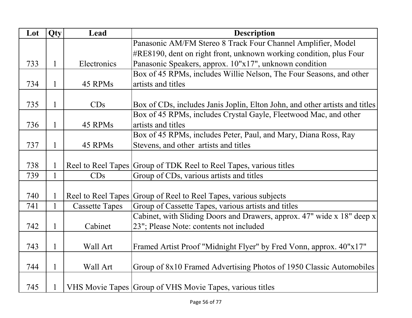| Lot | Qty          | Lead                  | <b>Description</b>                                                          |
|-----|--------------|-----------------------|-----------------------------------------------------------------------------|
|     |              |                       | Panasonic AM/FM Stereo 8 Track Four Channel Amplifier, Model                |
|     |              |                       | #RE8190, dent on right front, unknown working condition, plus Four          |
| 733 | $\mathbf{1}$ | Electronics           | Panasonic Speakers, approx. 10"x17", unknown condition                      |
|     |              |                       | Box of 45 RPMs, includes Willie Nelson, The Four Seasons, and other         |
| 734 | 1            | 45 RPMs               | artists and titles                                                          |
|     |              |                       |                                                                             |
| 735 | 1            | CDs                   | Box of CDs, includes Janis Joplin, Elton John, and other artists and titles |
|     |              |                       | Box of 45 RPMs, includes Crystal Gayle, Fleetwood Mac, and other            |
| 736 | 1            | 45 RPMs               | artists and titles                                                          |
|     |              |                       | Box of 45 RPMs, includes Peter, Paul, and Mary, Diana Ross, Ray             |
| 737 | 1            | 45 RPMs               | Stevens, and other artists and titles                                       |
|     |              |                       |                                                                             |
| 738 |              |                       | Reel to Reel Tapes Group of TDK Reel to Reel Tapes, various titles          |
| 739 | $\mathbf{1}$ | CDs                   | Group of CDs, various artists and titles                                    |
|     |              |                       |                                                                             |
| 740 |              |                       | Reel to Reel Tapes Group of Reel to Reel Tapes, various subjects            |
| 741 | $\mathbf{1}$ | <b>Cassette Tapes</b> | Group of Cassette Tapes, various artists and titles                         |
|     |              |                       | Cabinet, with Sliding Doors and Drawers, approx. 47" wide x 18" deep x      |
| 742 | 1            | Cabinet               | 23"; Please Note: contents not included                                     |
|     |              |                       |                                                                             |
| 743 | 1            | Wall Art              | Framed Artist Proof "Midnight Flyer" by Fred Vonn, approx. 40"x17"          |
|     |              |                       |                                                                             |
| 744 | $\mathbf{1}$ | Wall Art              | Group of 8x10 Framed Advertising Photos of 1950 Classic Automobiles         |
|     |              |                       |                                                                             |
| 745 |              |                       | VHS Movie Tapes Group of VHS Movie Tapes, various titles                    |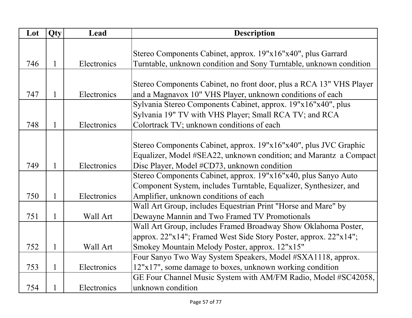| Lot | Qty          | Lead        | <b>Description</b>                                                  |
|-----|--------------|-------------|---------------------------------------------------------------------|
|     |              |             |                                                                     |
|     |              |             | Stereo Components Cabinet, approx. 19"x16"x40", plus Garrard        |
| 746 |              | Electronics | Turntable, unknown condition and Sony Turntable, unknown condition  |
|     |              |             |                                                                     |
|     |              |             | Stereo Components Cabinet, no front door, plus a RCA 13" VHS Player |
| 747 |              | Electronics | and a Magnavox 10" VHS Player, unknown conditions of each           |
|     |              |             | Sylvania Stereo Components Cabinet, approx. 19"x16"x40", plus       |
|     |              |             | Sylvania 19" TV with VHS Player; Small RCA TV; and RCA              |
| 748 |              | Electronics | Colortrack TV; unknown conditions of each                           |
|     |              |             |                                                                     |
|     |              |             | Stereo Components Cabinet, approx. 19"x16"x40", plus JVC Graphic    |
|     |              |             | Equalizer, Model #SEA22, unknown condition; and Marantz a Compact   |
| 749 |              | Electronics | Disc Player, Model #CD73, unknown condition                         |
|     |              |             | Stereo Components Cabinet, approx. 19"x16"x40, plus Sanyo Auto      |
|     |              |             | Component System, includes Turntable, Equalizer, Synthesizer, and   |
| 750 |              | Electronics | Amplifier, unknown conditions of each                               |
|     |              |             | Wall Art Group, includes Equestrian Print "Horse and Mare" by       |
| 751 | $\mathbf{1}$ | Wall Art    | Dewayne Mannin and Two Framed TV Promotionals                       |
|     |              |             | Wall Art Group, includes Framed Broadway Show Oklahoma Poster,      |
|     |              |             | approx. 22"x14"; Framed West Side Story Poster, approx. 22"x14";    |
| 752 | 1            | Wall Art    | Smokey Mountain Melody Poster, approx. 12"x15"                      |
|     |              |             | Four Sanyo Two Way System Speakers, Model #SXA1118, approx.         |
| 753 | 1            | Electronics | 12"x17", some damage to boxes, unknown working condition            |
|     |              |             | GE Four Channel Music System with AM/FM Radio, Model #SC42058,      |
| 754 |              | Electronics | unknown condition                                                   |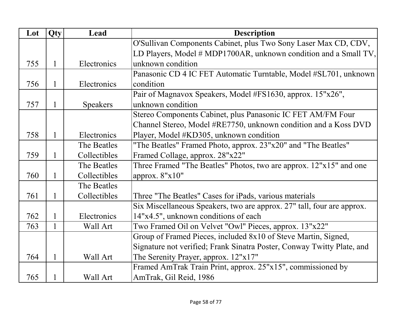| Lot | Qty          | Lead            | <b>Description</b>                                                          |
|-----|--------------|-----------------|-----------------------------------------------------------------------------|
|     |              |                 | O'Sullivan Components Cabinet, plus Two Sony Laser Max CD, CDV,             |
|     |              |                 | LD Players, Model $\# \text{MDP1700AR}$ , unknown condition and a Small TV, |
| 755 | 1            | Electronics     | unknown condition                                                           |
|     |              |                 | Panasonic CD 4 IC FET Automatic Turntable, Model #SL701, unknown            |
| 756 | 1            | Electronics     | condition                                                                   |
|     |              |                 | Pair of Magnavox Speakers, Model #FS1630, approx. 15"x26",                  |
| 757 | $\mathbf{1}$ | <b>Speakers</b> | unknown condition                                                           |
|     |              |                 | Stereo Components Cabinet, plus Panasonic IC FET AM/FM Four                 |
|     |              |                 | Channel Stereo, Model #RE7750, unknown condition and a Koss DVD             |
| 758 | 1            | Electronics     | Player, Model #KD305, unknown condition                                     |
|     |              | The Beatles     | "The Beatles" Framed Photo, approx. 23"x20" and "The Beatles"               |
| 759 | 1            | Collectibles    | Framed Collage, approx. 28"x22"                                             |
|     |              | The Beatles     | Three Framed "The Beatles" Photos, two are approx. 12"x15" and one          |
| 760 | 1            | Collectibles    | approx. 8"x10"                                                              |
|     |              | The Beatles     |                                                                             |
| 761 | 1            | Collectibles    | Three "The Beatles" Cases for iPads, various materials                      |
|     |              |                 | Six Miscellaneous Speakers, two are approx. 27" tall, four are approx.      |
| 762 | 1            | Electronics     | 14"x4.5", unknown conditions of each                                        |
| 763 | $\mathbf{1}$ | Wall Art        | Two Framed Oil on Velvet "Owl" Pieces, approx. 13"x22"                      |
|     |              |                 | Group of Framed Pieces, included 8x10 of Steve Martin, Signed,              |
|     |              |                 | Signature not verified; Frank Sinatra Poster, Conway Twitty Plate, and      |
| 764 | 1            | Wall Art        | The Serenity Prayer, approx. 12"x17"                                        |
|     |              |                 | Framed AmTrak Train Print, approx. 25"x15", commissioned by                 |
| 765 | 1            | Wall Art        | AmTrak, Gil Reid, 1986                                                      |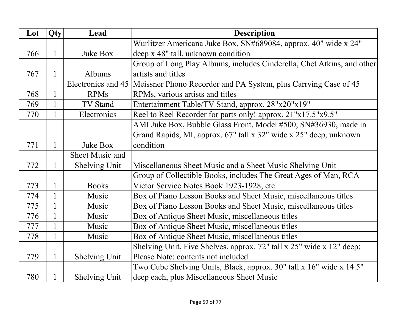| Lot | Qty          | Lead                   | <b>Description</b>                                                     |
|-----|--------------|------------------------|------------------------------------------------------------------------|
|     |              |                        | Wurlitzer Americana Juke Box, SN#689084, approx. 40" wide x 24"        |
| 766 | 1            | Juke Box               | deep x 48" tall, unknown condition                                     |
|     |              |                        | Group of Long Play Albums, includes Cinderella, Chet Atkins, and other |
| 767 |              | Albums                 | artists and titles                                                     |
|     |              | Electronics and 45     | Meissner Phono Recorder and PA System, plus Carrying Case of 45        |
| 768 |              | <b>RPMs</b>            | RPMs, various artists and titles                                       |
| 769 | $\mathbf{1}$ | TV Stand               | Entertainment Table/TV Stand, approx. 28"x20"x19"                      |
| 770 |              | Electronics            | Reel to Reel Recorder for parts only! approx. 21"x17.5"x9.5"           |
|     |              |                        | AMI Juke Box, Bubble Glass Front, Model #500, SN#36930, made in        |
|     |              |                        | Grand Rapids, MI, approx. 67" tall x 32" wide x 25" deep, unknown      |
| 771 | 1            | Juke Box               | condition                                                              |
|     |              | <b>Sheet Music and</b> |                                                                        |
| 772 |              | <b>Shelving Unit</b>   | Miscellaneous Sheet Music and a Sheet Music Shelving Unit              |
|     |              |                        | Group of Collectible Books, includes The Great Ages of Man, RCA        |
| 773 | 1            | <b>Books</b>           | Victor Service Notes Book 1923-1928, etc.                              |
| 774 |              | Music                  | Box of Piano Lesson Books and Sheet Music, miscellaneous titles        |
| 775 | $\mathbf{1}$ | Music                  | Box of Piano Lesson Books and Sheet Music, miscellaneous titles        |
| 776 | $\mathbf{1}$ | Music                  | Box of Antique Sheet Music, miscellaneous titles                       |
| 777 | $\mathbf{1}$ | Music                  | Box of Antique Sheet Music, miscellaneous titles                       |
| 778 |              | Music                  | Box of Antique Sheet Music, miscellaneous titles                       |
|     |              |                        | Shelving Unit, Five Shelves, approx. 72" tall x 25" wide x 12" deep;   |
| 779 | 1            | <b>Shelving Unit</b>   | Please Note: contents not included                                     |
|     |              |                        | Two Cube Shelving Units, Black, approx. 30" tall x 16" wide x 14.5"    |
| 780 |              | <b>Shelving Unit</b>   | deep each, plus Miscellaneous Sheet Music                              |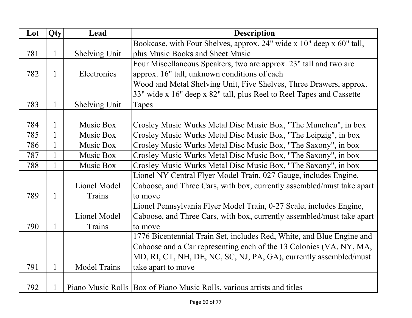| Lot | Qty          | Lead                 | <b>Description</b>                                                     |
|-----|--------------|----------------------|------------------------------------------------------------------------|
|     |              |                      | Bookcase, with Four Shelves, approx. 24" wide x 10" deep x 60" tall,   |
| 781 | $\mathbf{1}$ | <b>Shelving Unit</b> | plus Music Books and Sheet Music                                       |
|     |              |                      | Four Miscellaneous Speakers, two are approx. 23" tall and two are      |
| 782 |              | Electronics          | approx. 16" tall, unknown conditions of each                           |
|     |              |                      | Wood and Metal Shelving Unit, Five Shelves, Three Drawers, approx.     |
|     |              |                      | 33" wide x 16" deep x 82" tall, plus Reel to Reel Tapes and Cassette   |
| 783 | 1            | <b>Shelving Unit</b> | Tapes                                                                  |
|     |              |                      |                                                                        |
| 784 |              | Music Box            | Crosley Music Wurks Metal Disc Music Box, "The Munchen", in box        |
| 785 | $\mathbf{1}$ | Music Box            | Crosley Music Wurks Metal Disc Music Box, "The Leipzig", in box        |
| 786 | $\mathbf{1}$ | Music Box            | Crosley Music Wurks Metal Disc Music Box, "The Saxony", in box         |
| 787 |              | Music Box            | Crosley Music Wurks Metal Disc Music Box, "The Saxony", in box         |
| 788 | $\mathbf{1}$ | Music Box            | Crosley Music Wurks Metal Disc Music Box, "The Saxony", in box         |
|     |              |                      | Lionel NY Central Flyer Model Train, 027 Gauge, includes Engine,       |
|     |              | Lionel Model         | Caboose, and Three Cars, with box, currently assembled/must take apart |
| 789 | 1            | Trains               | to move                                                                |
|     |              |                      | Lionel Pennsylvania Flyer Model Train, 0-27 Scale, includes Engine,    |
|     |              | Lionel Model         | Caboose, and Three Cars, with box, currently assembled/must take apart |
| 790 | 1            | Trains               | to move                                                                |
|     |              |                      | 1776 Bicentennial Train Set, includes Red, White, and Blue Engine and  |
|     |              |                      | Caboose and a Car representing each of the 13 Colonies (VA, NY, MA,    |
|     |              |                      | MD, RI, CT, NH, DE, NC, SC, NJ, PA, GA), currently assembled/must      |
| 791 | 1            | <b>Model Trains</b>  | take apart to move                                                     |
|     |              |                      |                                                                        |
| 792 |              |                      | Piano Music Rolls Box of Piano Music Rolls, various artists and titles |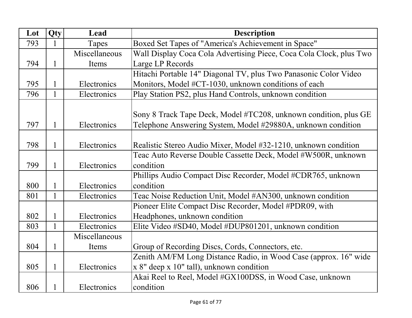| Lot | Qty          | Lead          | <b>Description</b>                                                  |
|-----|--------------|---------------|---------------------------------------------------------------------|
| 793 |              | Tapes         | Boxed Set Tapes of "America's Achievement in Space"                 |
|     |              | Miscellaneous | Wall Display Coca Cola Advertising Piece, Coca Cola Clock, plus Two |
| 794 | 1            | Items         | Large LP Records                                                    |
|     |              |               | Hitachi Portable 14" Diagonal TV, plus Two Panasonic Color Video    |
| 795 |              | Electronics   | Monitors, Model #CT-1030, unknown conditions of each                |
| 796 | $\mathbf{1}$ | Electronics   | Play Station PS2, plus Hand Controls, unknown condition             |
|     |              |               |                                                                     |
|     |              |               | Sony 8 Track Tape Deck, Model #TC208, unknown condition, plus GE    |
| 797 | 1            | Electronics   | Telephone Answering System, Model #29880A, unknown condition        |
|     |              |               |                                                                     |
| 798 | $\mathbf{1}$ | Electronics   | Realistic Stereo Audio Mixer, Model #32-1210, unknown condition     |
|     |              |               | Teac Auto Reverse Double Cassette Deck, Model #W500R, unknown       |
| 799 | 1            | Electronics   | condition                                                           |
|     |              |               | Phillips Audio Compact Disc Recorder, Model #CDR765, unknown        |
| 800 | 1            | Electronics   | condition                                                           |
| 801 |              | Electronics   | Teac Noise Reduction Unit, Model #AN300, unknown condition          |
|     |              |               | Pioneer Elite Compact Disc Recorder, Model #PDR09, with             |
| 802 | 1            | Electronics   | Headphones, unknown condition                                       |
| 803 | $\mathbf{1}$ | Electronics   | Elite Video #SD40, Model #DUP801201, unknown condition              |
|     |              | Miscellaneous |                                                                     |
| 804 | 1            | Items         | Group of Recording Discs, Cords, Connectors, etc.                   |
|     |              |               | Zenith AM/FM Long Distance Radio, in Wood Case (approx. 16" wide    |
| 805 | $\mathbf{1}$ | Electronics   | $x 8$ " deep $x 10$ " tall), unknown condition                      |
|     |              |               | Akai Reel to Reel, Model #GX100DSS, in Wood Case, unknown           |
| 806 |              | Electronics   | condition                                                           |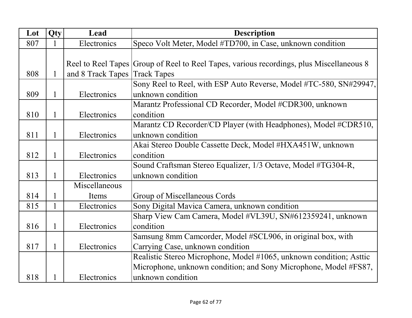| Lot | Qty          | Lead              | <b>Description</b>                                                                       |
|-----|--------------|-------------------|------------------------------------------------------------------------------------------|
| 807 | $\mathbf{1}$ | Electronics       | Speco Volt Meter, Model #TD700, in Case, unknown condition                               |
|     |              |                   |                                                                                          |
|     |              |                   | Reel to Reel Tapes Group of Reel to Reel Tapes, various recordings, plus Miscellaneous 8 |
| 808 |              | and 8 Track Tapes | <b>Track Tapes</b>                                                                       |
|     |              |                   | Sony Reel to Reel, with ESP Auto Reverse, Model #TC-580, SN#29947,                       |
| 809 | 1            | Electronics       | unknown condition                                                                        |
|     |              |                   | Marantz Professional CD Recorder, Model #CDR300, unknown                                 |
| 810 | 1            | Electronics       | condition                                                                                |
|     |              |                   | Marantz CD Recorder/CD Player (with Headphones), Model #CDR510,                          |
| 811 | $\mathbf{1}$ | Electronics       | unknown condition                                                                        |
|     |              |                   | Akai Stereo Double Cassette Deck, Model #HXA451W, unknown                                |
| 812 | 1            | Electronics       | condition                                                                                |
|     |              |                   | Sound Craftsman Stereo Equalizer, 1/3 Octave, Model #TG304-R,                            |
| 813 | 1            | Electronics       | unknown condition                                                                        |
|     |              | Miscellaneous     |                                                                                          |
| 814 |              | Items             | Group of Miscellaneous Cords                                                             |
| 815 | $\mathbf{1}$ | Electronics       | Sony Digital Mavica Camera, unknown condition                                            |
|     |              |                   | Sharp View Cam Camera, Model #VL39U, SN#612359241, unknown                               |
| 816 | $\mathbf{1}$ | Electronics       | condition                                                                                |
|     |              |                   | Samsung 8mm Camcorder, Model #SCL906, in original box, with                              |
| 817 | $\mathbf{1}$ | Electronics       | Carrying Case, unknown condition                                                         |
|     |              |                   | Realistic Stereo Microphone, Model #1065, unknown condition; Asttic                      |
|     |              |                   | Microphone, unknown condition; and Sony Microphone, Model #FS87,                         |
| 818 |              | Electronics       | unknown condition                                                                        |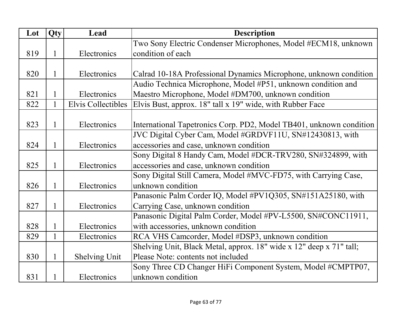| Lot | Qty          | Lead                      | <b>Description</b>                                                  |
|-----|--------------|---------------------------|---------------------------------------------------------------------|
|     |              |                           | Two Sony Electric Condenser Microphones, Model #ECM18, unknown      |
| 819 | 1            | Electronics               | condition of each                                                   |
|     |              |                           |                                                                     |
| 820 | 1            | Electronics               | Calrad 10-18A Professional Dynamics Microphone, unknown condition   |
|     |              |                           | Audio Technica Microphone, Model #P51, unknown condition and        |
| 821 | 1            | Electronics               | Maestro Microphone, Model #DM700, unknown condition                 |
| 822 | $\mathbf{1}$ | <b>Elvis Collectibles</b> | Elvis Bust, approx. 18" tall x 19" wide, with Rubber Face           |
|     |              |                           |                                                                     |
| 823 | 1            | Electronics               | International Tapetronics Corp. PD2, Model TB401, unknown condition |
|     |              |                           | JVC Digital Cyber Cam, Model #GRDVF11U, SN#12430813, with           |
| 824 | 1            | Electronics               | accessories and case, unknown condition                             |
|     |              |                           | Sony Digital 8 Handy Cam, Model #DCR-TRV280, SN#324899, with        |
| 825 | 1            | Electronics               | accessories and case, unknown condition                             |
|     |              |                           | Sony Digital Still Camera, Model #MVC-FD75, with Carrying Case,     |
| 826 | 1            | Electronics               | unknown condition                                                   |
|     |              |                           | Panasonic Palm Corder IQ, Model #PV1Q305, SN#151A25180, with        |
| 827 | $\mathbf{1}$ | Electronics               | Carrying Case, unknown condition                                    |
|     |              |                           | Panasonic Digital Palm Corder, Model #PV-L5500, SN#CONC11911,       |
| 828 | $\mathbf{1}$ | Electronics               | with accessories, unknown condition                                 |
| 829 | $\mathbf{1}$ | Electronics               | RCA VHS Camcorder, Model #DSP3, unknown condition                   |
|     |              |                           | Shelving Unit, Black Metal, approx. 18" wide x 12" deep x 71" tall; |
| 830 | $\mathbf{1}$ | Shelving Unit             | Please Note: contents not included                                  |
|     |              |                           | Sony Three CD Changer HiFi Component System, Model #CMPTP07,        |
| 831 |              | Electronics               | unknown condition                                                   |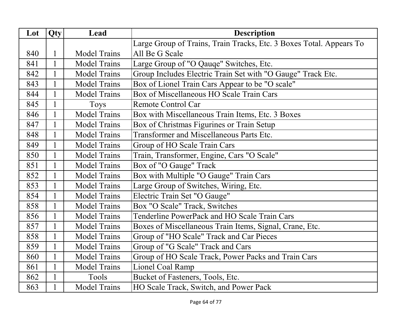| Lot | $Qt\underline{y}$ | Lead                | Description                                                         |
|-----|-------------------|---------------------|---------------------------------------------------------------------|
|     |                   |                     | Large Group of Trains, Train Tracks, Etc. 3 Boxes Total. Appears To |
| 840 | 1                 | <b>Model Trains</b> | All Be G Scale                                                      |
| 841 | 1                 | <b>Model Trains</b> | Large Group of "O Qauqe" Switches, Etc.                             |
| 842 |                   | <b>Model Trains</b> | Group Includes Electric Train Set with "O Gauge" Track Etc.         |
| 843 |                   | <b>Model Trains</b> | Box of Lionel Train Cars Appear to be "O scale"                     |
| 844 | $\mathbf{1}$      | <b>Model Trains</b> | Box of Miscellaneous HO Scale Train Cars                            |
| 845 | $\mathbf{1}$      | <b>Toys</b>         | <b>Remote Control Car</b>                                           |
| 846 | $\mathbf{1}$      | <b>Model Trains</b> | Box with Miscellaneous Train Items, Etc. 3 Boxes                    |
| 847 | $\mathbf{1}$      | <b>Model Trains</b> | Box of Christmas Figurines or Train Setup                           |
| 848 |                   | <b>Model Trains</b> | <b>Transformer and Miscellaneous Parts Etc.</b>                     |
| 849 |                   | <b>Model Trains</b> | Group of HO Scale Train Cars                                        |
| 850 | $\mathbf{1}$      | <b>Model Trains</b> | Train, Transformer, Engine, Cars "O Scale"                          |
| 851 |                   | <b>Model Trains</b> | Box of "O Gauge" Track                                              |
| 852 | $\mathbf{1}$      | <b>Model Trains</b> | Box with Multiple "O Gauge" Train Cars                              |
| 853 | $\mathbf{1}$      | <b>Model Trains</b> | Large Group of Switches, Wiring, Etc.                               |
| 854 | $\mathbf{1}$      | <b>Model Trains</b> | Electric Train Set "O Gauge"                                        |
| 858 | $\mathbf{1}$      | <b>Model Trains</b> | Box "O Scale" Track, Switches                                       |
| 856 |                   | <b>Model Trains</b> | Tenderline PowerPack and HO Scale Train Cars                        |
| 857 | 1                 | <b>Model Trains</b> | Boxes of Miscellaneous Train Items, Signal, Crane, Etc.             |
| 858 |                   | <b>Model Trains</b> | Group of "HO Scale" Track and Car Pieces                            |
| 859 | $\mathbf{1}$      | <b>Model Trains</b> | Group of "G Scale" Track and Cars                                   |
| 860 | $\mathbf{1}$      | <b>Model Trains</b> | Group of HO Scale Track, Power Packs and Train Cars                 |
| 861 | $\mathbf{1}$      | <b>Model Trains</b> | Lionel Coal Ramp                                                    |
| 862 | $\mathbf{1}$      | Tools               | Bucket of Fasteners, Tools, Etc.                                    |
| 863 | 1                 | <b>Model Trains</b> | HO Scale Track, Switch, and Power Pack                              |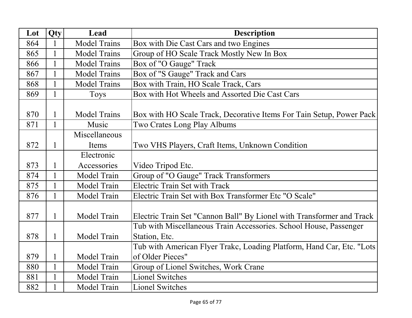| Lot | Qty          | Lead                | <b>Description</b>                                                    |
|-----|--------------|---------------------|-----------------------------------------------------------------------|
| 864 |              | <b>Model Trains</b> | Box with Die Cast Cars and two Engines                                |
| 865 | $\mathbf{1}$ | <b>Model Trains</b> | Group of HO Scale Track Mostly New In Box                             |
| 866 |              | <b>Model Trains</b> | Box of "O Gauge" Track                                                |
| 867 |              | <b>Model Trains</b> | Box of "S Gauge" Track and Cars                                       |
| 868 |              | <b>Model Trains</b> | Box with Train, HO Scale Track, Cars                                  |
| 869 | $\mathbf{1}$ | Toys                | Box with Hot Wheels and Assorted Die Cast Cars                        |
| 870 |              |                     |                                                                       |
|     | 1            | <b>Model Trains</b> | Box with HO Scale Track, Decorative Items For Tain Setup, Power Pack  |
| 871 |              | Music               | Two Crates Long Play Albums                                           |
|     |              | Miscellaneous       |                                                                       |
| 872 | $\mathbf{1}$ | Items               | Two VHS Players, Craft Items, Unknown Condition                       |
|     |              | Electronic          |                                                                       |
| 873 |              | Accessories         | Video Tripod Etc.                                                     |
| 874 | $\mathbf{1}$ | Model Train         | Group of "O Gauge" Track Transformers                                 |
| 875 | $\mathbf{1}$ | Model Train         | <b>Electric Train Set with Track</b>                                  |
| 876 |              | Model Train         | Electric Train Set with Box Transformer Etc "O Scale"                 |
| 877 | 1            | Model Train         | Electric Train Set "Cannon Ball" By Lionel with Transformer and Track |
|     |              |                     | Tub with Miscellaneous Train Accessories. School House, Passenger     |
| 878 | 1            | Model Train         | Station, Etc.                                                         |
|     |              |                     | Tub with American Flyer Trakc, Loading Platform, Hand Car, Etc. "Lots |
| 879 |              | Model Train         | of Older Pieces"                                                      |
| 880 | $\mathbf{1}$ | Model Train         | Group of Lionel Switches, Work Crane                                  |
| 881 | 1            | Model Train         | <b>Lionel Switches</b>                                                |
| 882 |              | Model Train         | <b>Lionel Switches</b>                                                |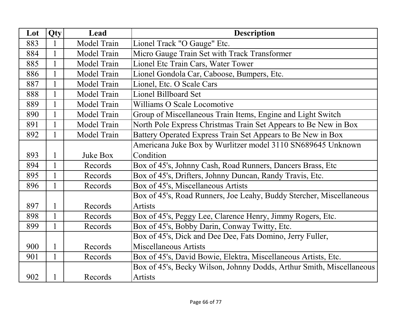| Lot | Qty          | Lead        | <b>Description</b>                                                   |
|-----|--------------|-------------|----------------------------------------------------------------------|
| 883 | 1            | Model Train | Lionel Track "O Gauge" Etc.                                          |
| 884 | 1            | Model Train | Micro Gauge Train Set with Track Transformer                         |
| 885 | 1            | Model Train | Lionel Etc Train Cars, Water Tower                                   |
| 886 | $\mathbf{1}$ | Model Train | Lionel Gondola Car, Caboose, Bumpers, Etc.                           |
| 887 | 1            | Model Train | Lionel, Etc. O Scale Cars                                            |
| 888 |              | Model Train | <b>Lionel Billboard Set</b>                                          |
| 889 | 1            | Model Train | Williams O Scale Locomotive                                          |
| 890 |              | Model Train | Group of Miscellaneous Train Items, Engine and Light Switch          |
| 891 |              | Model Train | North Pole Express Christmas Train Set Appears to Be New in Box      |
| 892 |              | Model Train | Battery Operated Express Train Set Appears to Be New in Box          |
|     |              |             | Americana Juke Box by Wurlitzer model 3110 SN689645 Unknown          |
| 893 |              | Juke Box    | Condition                                                            |
| 894 |              | Records     | Box of 45's, Johnny Cash, Road Runners, Dancers Brass, Etc           |
| 895 |              | Records     | Box of 45's, Drifters, Johnny Duncan, Randy Travis, Etc.             |
| 896 |              | Records     | Box of 45's, Miscellaneous Artists                                   |
|     |              |             | Box of 45's, Road Runners, Joe Leahy, Buddy Stercher, Miscellaneous  |
| 897 | 1            | Records     | <b>Artists</b>                                                       |
| 898 | 1            | Records     | Box of 45's, Peggy Lee, Clarence Henry, Jimmy Rogers, Etc.           |
| 899 | $\mathbf{1}$ | Records     | Box of 45's, Bobby Darin, Conway Twitty, Etc.                        |
|     |              |             | Box of 45's, Dick and Dee Dee, Fats Domino, Jerry Fuller,            |
| 900 | 1            | Records     | Miscellaneous Artists                                                |
| 901 | $\mathbf{1}$ | Records     | Box of 45's, David Bowie, Elektra, Miscellaneous Artists, Etc.       |
|     |              |             | Box of 45's, Becky Wilson, Johnny Dodds, Arthur Smith, Miscellaneous |
| 902 |              | Records     | <b>Artists</b>                                                       |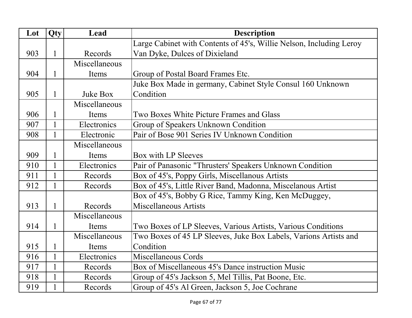| Lot | Qty          | Lead          | <b>Description</b>                                                  |
|-----|--------------|---------------|---------------------------------------------------------------------|
|     |              |               | Large Cabinet with Contents of 45's, Willie Nelson, Including Leroy |
| 903 | 1            | Records       | Van Dyke, Dulces of Dixieland                                       |
|     |              | Miscellaneous |                                                                     |
| 904 | 1            | Items         | Group of Postal Board Frames Etc.                                   |
|     |              |               | Juke Box Made in germany, Cabinet Style Consul 160 Unknown          |
| 905 | 1            | Juke Box      | Condition                                                           |
|     |              | Miscellaneous |                                                                     |
| 906 | 1            | Items         | Two Boxes White Picture Frames and Glass                            |
| 907 | 1            | Electronics   | Group of Speakers Unknown Condition                                 |
| 908 | 1            | Electronic    | Pair of Bose 901 Series IV Unknown Condition                        |
|     |              | Miscellaneous |                                                                     |
| 909 | 1            | Items         | Box with LP Sleeves                                                 |
| 910 |              | Electronics   | Pair of Panasonic "Thrusters' Speakers Unknown Condition            |
| 911 |              | Records       | Box of 45's, Poppy Girls, Miscellanous Artists                      |
| 912 | 1            | Records       | Box of 45's, Little River Band, Madonna, Miscelanous Artist         |
|     |              |               | Box of 45's, Bobby G Rice, Tammy King, Ken McDuggey,                |
| 913 | 1            | Records       | <b>Miscellaneous Artists</b>                                        |
|     |              | Miscellaneous |                                                                     |
| 914 | $\mathbf{1}$ | Items         | Two Boxes of LP Sleeves, Various Artists, Various Conditions        |
|     |              | Miscellaneous | Two Boxes of 45 LP Sleeves, Juke Box Labels, Varions Artists and    |
| 915 | 1            | Items         | Condition                                                           |
| 916 | 1            | Electronics   | Miscellaneous Cords                                                 |
| 917 | $\mathbf{1}$ | Records       | Box of Miscellaneous 45's Dance instruction Music                   |
| 918 | 1            | Records       | Group of 45's Jackson 5, Mel Tillis, Pat Boone, Etc.                |
| 919 | 1            | Records       | Group of 45's Al Green, Jackson 5, Joe Cochrane                     |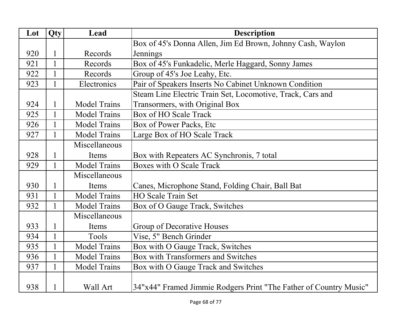| Lot | Qty          | Lead                | <b>Description</b>                                                |
|-----|--------------|---------------------|-------------------------------------------------------------------|
|     |              |                     | Box of 45's Donna Allen, Jim Ed Brown, Johnny Cash, Waylon        |
| 920 | $\mathbf{1}$ | Records             | Jennings                                                          |
| 921 | $\mathbf{1}$ | Records             | Box of 45's Funkadelic, Merle Haggard, Sonny James                |
| 922 | $\mathbf{1}$ | Records             | Group of 45's Joe Leahy, Etc.                                     |
| 923 | $\mathbf{1}$ | Electronics         | Pair of Speakers Inserts No Cabinet Unknown Condition             |
|     |              |                     | Steam Line Electric Train Set, Locomotive, Track, Cars and        |
| 924 | $\mathbf{1}$ | <b>Model Trains</b> | Transormers, with Original Box                                    |
| 925 | $\mathbf{1}$ | <b>Model Trains</b> | <b>Box of HO Scale Track</b>                                      |
| 926 |              | <b>Model Trains</b> | Box of Power Packs, Etc                                           |
| 927 | $\mathbf{1}$ | <b>Model Trains</b> | Large Box of HO Scale Track                                       |
|     |              | Miscellaneous       |                                                                   |
| 928 | $\mathbf{1}$ | Items               | Box with Repeaters AC Synchronis, 7 total                         |
| 929 | $\mathbf{1}$ | <b>Model Trains</b> | <b>Boxes with O Scale Track</b>                                   |
|     |              | Miscellaneous       |                                                                   |
| 930 | $\mathbf{1}$ | Items               | Canes, Microphone Stand, Folding Chair, Ball Bat                  |
| 931 | 1            | <b>Model Trains</b> | HO Scale Train Set                                                |
| 932 | 1            | <b>Model Trains</b> | Box of O Gauge Track, Switches                                    |
|     |              | Miscellaneous       |                                                                   |
| 933 | $\mathbf{1}$ | Items               | Group of Decorative Houses                                        |
| 934 | $\mathbf{1}$ | Tools               | Vise, 5" Bench Grinder                                            |
| 935 | $\mathbf{1}$ | <b>Model Trains</b> | Box with O Gauge Track, Switches                                  |
| 936 | $\mathbf{1}$ | <b>Model Trains</b> | <b>Box with Transformers and Switches</b>                         |
| 937 | $\mathbf{1}$ | <b>Model Trains</b> | Box with O Gauge Track and Switches                               |
|     |              |                     |                                                                   |
| 938 | $\mathbf{1}$ | Wall Art            | 34"x44" Framed Jimmie Rodgers Print "The Father of Country Music" |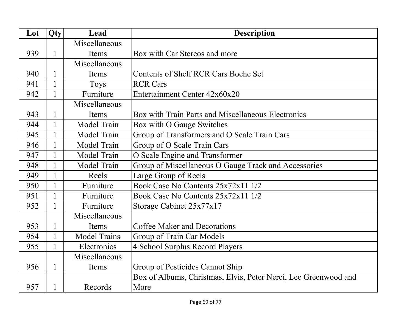| Lot | Qty          | Lead                | <b>Description</b>                                              |
|-----|--------------|---------------------|-----------------------------------------------------------------|
|     |              | Miscellaneous       |                                                                 |
| 939 | 1            | Items               | Box with Car Stereos and more                                   |
|     |              | Miscellaneous       |                                                                 |
| 940 | 1            | Items               | <b>Contents of Shelf RCR Cars Boche Set</b>                     |
| 941 | $\mathbf{1}$ | Toys                | <b>RCR Cars</b>                                                 |
| 942 | $\mathbf{1}$ | Furniture           | Entertainment Center 42x60x20                                   |
|     |              | Miscellaneous       |                                                                 |
| 943 | 1            | Items               | Box with Train Parts and Miscellaneous Electronics              |
| 944 |              | Model Train         | Box with O Gauge Switches                                       |
| 945 |              | Model Train         | Group of Transformers and O Scale Train Cars                    |
| 946 |              | Model Train         | Group of O Scale Train Cars                                     |
| 947 | $\mathbf{1}$ | Model Train         | O Scale Engine and Transformer                                  |
| 948 | 1            | Model Train         | Group of Miscellaneous O Gauge Track and Accessories            |
| 949 | 1            | Reels               | Large Group of Reels                                            |
| 950 | $\mathbf{1}$ | Furniture           | Book Case No Contents 25x72x11 1/2                              |
| 951 |              | Furniture           | Book Case No Contents 25x72x11 1/2                              |
| 952 | $\mathbf{1}$ | Furniture           | Storage Cabinet 25x77x17                                        |
|     |              | Miscellaneous       |                                                                 |
| 953 | 1            | Items               | <b>Coffee Maker and Decorations</b>                             |
| 954 | $\mathbf{1}$ | <b>Model Trains</b> | Group of Train Car Models                                       |
| 955 | 1            | Electronics         | 4 School Surplus Record Players                                 |
|     |              | Miscellaneous       |                                                                 |
| 956 | 1            | Items               | Group of Pesticides Cannot Ship                                 |
|     |              |                     | Box of Albums, Christmas, Elvis, Peter Nerci, Lee Greenwood and |
| 957 | 1            | Records             | More                                                            |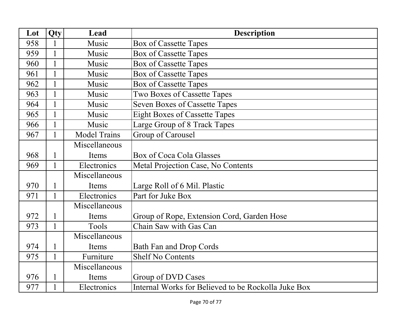| Lot | Qty          | Lead                | <b>Description</b>                                  |
|-----|--------------|---------------------|-----------------------------------------------------|
| 958 |              | Music               | <b>Box of Cassette Tapes</b>                        |
| 959 | $\mathbf{1}$ | Music               | <b>Box of Cassette Tapes</b>                        |
| 960 | $\mathbf{1}$ | Music               | <b>Box of Cassette Tapes</b>                        |
| 961 |              | Music               | <b>Box of Cassette Tapes</b>                        |
| 962 | $\mathbf{1}$ | Music               | <b>Box of Cassette Tapes</b>                        |
| 963 | $\mathbf{1}$ | Music               | Two Boxes of Cassette Tapes                         |
| 964 | 1            | Music               | <b>Seven Boxes of Cassette Tapes</b>                |
| 965 | 1            | Music               | <b>Eight Boxes of Cassette Tapes</b>                |
| 966 |              | Music               | Large Group of 8 Track Tapes                        |
| 967 | $\mathbf{1}$ | <b>Model Trains</b> | Group of Carousel                                   |
|     |              | Miscellaneous       |                                                     |
| 968 |              | Items               | Box of Coca Cola Glasses                            |
| 969 | $\mathbf{1}$ | Electronics         | Metal Projection Case, No Contents                  |
|     |              | Miscellaneous       |                                                     |
| 970 | 1            | Items               | Large Roll of 6 Mil. Plastic                        |
| 971 | 1            | Electronics         | Part for Juke Box                                   |
|     |              | Miscellaneous       |                                                     |
| 972 |              | Items               | Group of Rope, Extension Cord, Garden Hose          |
| 973 | $\mathbf{1}$ | Tools               | Chain Saw with Gas Can                              |
|     |              | Miscellaneous       |                                                     |
| 974 |              | Items               | <b>Bath Fan and Drop Cords</b>                      |
| 975 | 1            | Furniture           | <b>Shelf No Contents</b>                            |
|     |              | Miscellaneous       |                                                     |
| 976 | 1            | Items               | Group of DVD Cases                                  |
| 977 | $\mathbf{1}$ | Electronics         | Internal Works for Believed to be Rockolla Juke Box |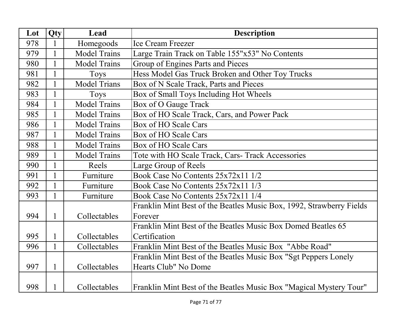| Lot | Qty          | Lead                | <b>Description</b>                                                   |
|-----|--------------|---------------------|----------------------------------------------------------------------|
| 978 | 1            | Homegoods           | <b>Ice Cream Freezer</b>                                             |
| 979 | $\mathbf{1}$ | <b>Model Trains</b> | Large Train Track on Table 155"x53" No Contents                      |
| 980 | $\mathbf{1}$ | <b>Model Trains</b> | Group of Engines Parts and Pieces                                    |
| 981 | 1            | Toys                | Hess Model Gas Truck Broken and Other Toy Trucks                     |
| 982 | $\mathbf{1}$ | <b>Model Trians</b> | Box of N Scale Track, Parts and Pieces                               |
| 983 | $\mathbf{1}$ | <b>Toys</b>         | Box of Small Toys Including Hot Wheels                               |
| 984 | $\mathbf{1}$ | <b>Model Trains</b> | Box of O Gauge Track                                                 |
| 985 | 1            | <b>Model Trains</b> | Box of HO Scale Track, Cars, and Power Pack                          |
| 986 | $\mathbf{1}$ | <b>Model Trains</b> | Box of HO Scale Cars                                                 |
| 987 | $\mathbf{1}$ | <b>Model Trains</b> | <b>Box of HO Scale Cars</b>                                          |
| 988 | $\mathbf{1}$ | <b>Model Trains</b> | Box of HO Scale Cars                                                 |
| 989 | $\mathbf{1}$ | <b>Model Trains</b> | Tote with HO Scale Track, Cars- Track Accessories                    |
| 990 | $\mathbf{1}$ | Reels               | Large Group of Reels                                                 |
| 991 | $\mathbf{1}$ | Furniture           | Book Case No Contents 25x72x11 1/2                                   |
| 992 | $\mathbf{1}$ | Furniture           | Book Case No Contents 25x72x11 1/3                                   |
| 993 | $\mathbf{1}$ | Furniture           | Book Case No Contents 25x72x11 1/4                                   |
|     |              |                     | Franklin Mint Best of the Beatles Music Box, 1992, Strawberry Fields |
| 994 | $\mathbf{1}$ | Collectables        | Forever                                                              |
|     |              |                     | Franklin Mint Best of the Beatles Music Box Domed Beatles 65         |
| 995 | $\mathbf{1}$ | Collectables        | Certification                                                        |
| 996 | $\mathbf{1}$ | Collectables        | Franklin Mint Best of the Beatles Music Box "Abbe Road"              |
|     |              |                     | Franklin Mint Best of the Beatles Music Box "Sgt Peppers Lonely      |
| 997 | $\mathbf{1}$ | Collectables        | Hearts Club" No Dome                                                 |
|     |              |                     |                                                                      |
| 998 | $\mathbf{1}$ | Collectables        | Franklin Mint Best of the Beatles Music Box "Magical Mystery Tour"   |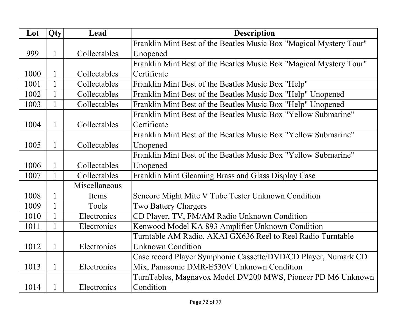| Lot  | Qty          | Lead          | <b>Description</b>                                                 |
|------|--------------|---------------|--------------------------------------------------------------------|
|      |              |               | Franklin Mint Best of the Beatles Music Box "Magical Mystery Tour" |
| 999  | $\mathbf{1}$ | Collectables  | Unopened                                                           |
|      |              |               | Franklin Mint Best of the Beatles Music Box "Magical Mystery Tour" |
| 1000 | 1            | Collectables  | Certificate                                                        |
| 1001 | $\mathbf{1}$ | Collectables  | Franklin Mint Best of the Beatles Music Box "Help"                 |
| 1002 | $\mathbf{1}$ | Collectables  | Franklin Mint Best of the Beatles Music Box "Help" Unopened        |
| 1003 | $\mathbf{1}$ | Collectables  | Franklin Mint Best of the Beatles Music Box "Help" Unopened        |
|      |              |               | Franklin Mint Best of the Beatles Music Box "Yellow Submarine"     |
| 1004 | $\mathbf{1}$ | Collectables  | Certificate                                                        |
|      |              |               | Franklin Mint Best of the Beatles Music Box "Yellow Submarine"     |
| 1005 | $\mathbf{1}$ | Collectables  | Unopened                                                           |
|      |              |               | Franklin Mint Best of the Beatles Music Box "Yellow Submarine"     |
| 1006 | $\mathbf{1}$ | Collectables  | Unopened                                                           |
| 1007 | $\mathbf{1}$ | Collectables  | Franklin Mint Gleaming Brass and Glass Display Case                |
|      |              | Miscellaneous |                                                                    |
| 1008 | 1            | Items         | Sencore Might Mite V Tube Tester Unknown Condition                 |
| 1009 | $\mathbf{1}$ | Tools         | <b>Two Battery Chargers</b>                                        |
| 1010 | $\mathbf{1}$ | Electronics   | CD Player, TV, FM/AM Radio Unknown Condition                       |
| 1011 | $\mathbf{1}$ | Electronics   | Kenwood Model KA 893 Amplifier Unknown Condition                   |
|      |              |               | Turntable AM Radio, AKAI GX636 Reel to Reel Radio Turntable        |
| 1012 | $\mathbf{1}$ | Electronics   | <b>Unknown Condition</b>                                           |
|      |              |               | Case record Player Symphonic Cassette/DVD/CD Player, Numark CD     |
| 1013 | $\mathbf{1}$ | Electronics   | Mix, Panasonic DMR-E530V Unknown Condition                         |
|      |              |               | TurnTables, Magnavox Model DV200 MWS, Pioneer PD M6 Unknown        |
| 1014 | 1            | Electronics   | Condition                                                          |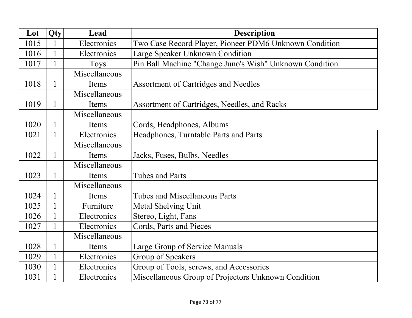| Lot  | Qty          | Lead          | <b>Description</b>                                      |
|------|--------------|---------------|---------------------------------------------------------|
| 1015 |              | Electronics   | Two Case Record Player, Pioneer PDM6 Unknown Condition  |
| 1016 |              | Electronics   | Large Speaker Unknown Condition                         |
| 1017 |              | <b>Toys</b>   | Pin Ball Machine "Change Juno's Wish" Unknown Condition |
|      |              | Miscellaneous |                                                         |
| 1018 | $\mathbf{1}$ | Items         | <b>Assortment of Cartridges and Needles</b>             |
|      |              | Miscellaneous |                                                         |
| 1019 | 1            | Items         | Assortment of Cartridges, Needles, and Racks            |
|      |              | Miscellaneous |                                                         |
| 1020 | 1            | Items         | Cords, Headphones, Albums                               |
| 1021 |              | Electronics   | Headphones, Turntable Parts and Parts                   |
|      |              | Miscellaneous |                                                         |
| 1022 |              | Items         | Jacks, Fuses, Bulbs, Needles                            |
|      |              | Miscellaneous |                                                         |
| 1023 | $\mathbf{1}$ | Items         | <b>Tubes and Parts</b>                                  |
|      |              | Miscellaneous |                                                         |
| 1024 |              | Items         | Tubes and Miscellaneous Parts                           |
| 1025 | $\mathbf{1}$ | Furniture     | Metal Shelving Unit                                     |
| 1026 |              | Electronics   | Stereo, Light, Fans                                     |
| 1027 |              | Electronics   | Cords, Parts and Pieces                                 |
|      |              | Miscellaneous |                                                         |
| 1028 | 1            | Items         | Large Group of Service Manuals                          |
| 1029 |              | Electronics   | Group of Speakers                                       |
| 1030 |              | Electronics   | Group of Tools, screws, and Accessories                 |
| 1031 |              | Electronics   | Miscellaneous Group of Projectors Unknown Condition     |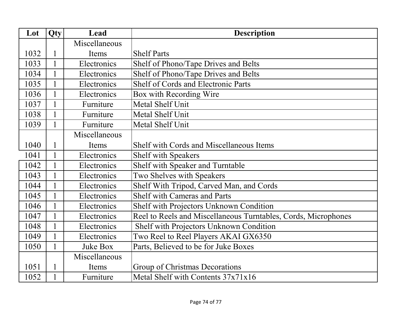| Lot  | Qty          | Lead            | <b>Description</b>                                             |
|------|--------------|-----------------|----------------------------------------------------------------|
|      |              | Miscellaneous   |                                                                |
| 1032 | 1            | Items           | <b>Shelf Parts</b>                                             |
| 1033 | 1            | Electronics     | Shelf of Phono/Tape Drives and Belts                           |
| 1034 | 1            | Electronics     | Shelf of Phono/Tape Drives and Belts                           |
| 1035 | $\mathbf{1}$ | Electronics     | <b>Shelf of Cords and Electronic Parts</b>                     |
| 1036 | 1            | Electronics     | Box with Recording Wire                                        |
| 1037 | $\mathbf{1}$ | Furniture       | Metal Shelf Unit                                               |
| 1038 | 1            | Furniture       | Metal Shelf Unit                                               |
| 1039 | 1            | Furniture       | Metal Shelf Unit                                               |
|      |              | Miscellaneous   |                                                                |
| 1040 | $\mathbf{1}$ | Items           | Shelf with Cords and Miscellaneous Items                       |
| 1041 | 1            | Electronics     | Shelf with Speakers                                            |
| 1042 | 1            | Electronics     | Shelf with Speaker and Turntable                               |
| 1043 |              | Electronics     | Two Shelves with Speakers                                      |
| 1044 | $\mathbf{1}$ | Electronics     | Shelf With Tripod, Carved Man, and Cords                       |
| 1045 |              | Electronics     | <b>Shelf with Cameras and Parts</b>                            |
| 1046 |              | Electronics     | Shelf with Projectors Unknown Condition                        |
| 1047 |              | Electronics     | Reel to Reels and Miscellaneous Turntables, Cords, Microphones |
| 1048 |              | Electronics     | Shelf with Projectors Unknown Condition                        |
| 1049 |              | Electronics     | Two Reel to Reel Players AKAI GX6350                           |
| 1050 | $\mathbf{1}$ | <b>Juke Box</b> | Parts, Believed to be for Juke Boxes                           |
|      |              | Miscellaneous   |                                                                |
| 1051 | $\mathbf{1}$ | Items           | Group of Christmas Decorations                                 |
| 1052 | $\mathbf{1}$ | Furniture       | Metal Shelf with Contents 37x71x16                             |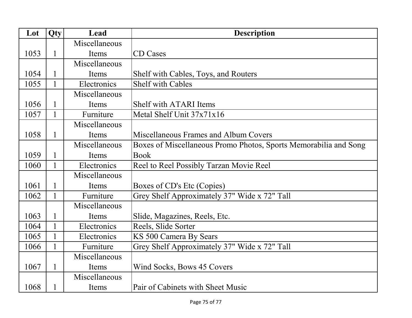| Lot  | Qty          | Lead          | <b>Description</b>                                               |
|------|--------------|---------------|------------------------------------------------------------------|
|      |              | Miscellaneous |                                                                  |
| 1053 | $\mathbf{1}$ | Items         | <b>CD</b> Cases                                                  |
|      |              | Miscellaneous |                                                                  |
| 1054 | 1            | Items         | Shelf with Cables, Toys, and Routers                             |
| 1055 | $\mathbf{1}$ | Electronics   | <b>Shelf with Cables</b>                                         |
|      |              | Miscellaneous |                                                                  |
| 1056 | 1            | Items         | <b>Shelf with ATARI Items</b>                                    |
| 1057 | 1            | Furniture     | Metal Shelf Unit 37x71x16                                        |
|      |              | Miscellaneous |                                                                  |
| 1058 | 1            | Items         | Miscellaneous Frames and Album Covers                            |
|      |              | Miscellaneous | Boxes of Miscellaneous Promo Photos, Sports Memorabilia and Song |
| 1059 | 1            | Items         | <b>Book</b>                                                      |
| 1060 | 1            | Electronics   | Reel to Reel Possibly Tarzan Movie Reel                          |
|      |              | Miscellaneous |                                                                  |
| 1061 | 1            | Items         | Boxes of CD's Etc (Copies)                                       |
| 1062 | 1            | Furniture     | Grey Shelf Approximately 37" Wide x 72" Tall                     |
|      |              | Miscellaneous |                                                                  |
| 1063 | 1            | Items         | Slide, Magazines, Reels, Etc.                                    |
| 1064 | 1            | Electronics   | Reels, Slide Sorter                                              |
| 1065 | 1            | Electronics   | KS 500 Camera By Sears                                           |
| 1066 | 1            | Furniture     | Grey Shelf Approximately 37" Wide x 72" Tall                     |
|      |              | Miscellaneous |                                                                  |
| 1067 | $\mathbf{1}$ | Items         | Wind Socks, Bows 45 Covers                                       |
|      |              | Miscellaneous |                                                                  |
| 1068 | 1            | Items         | Pair of Cabinets with Sheet Music                                |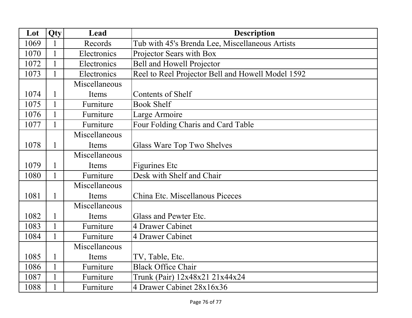| Lot  | Qty          | Lead          | <b>Description</b>                                |
|------|--------------|---------------|---------------------------------------------------|
| 1069 |              | Records       | Tub with 45's Brenda Lee, Miscellaneous Artists   |
| 1070 | $\mathbf{1}$ | Electronics   | Projector Sears with Box                          |
| 1072 | $\mathbf{1}$ | Electronics   | Bell and Howell Projector                         |
| 1073 |              | Electronics   | Reel to Reel Projector Bell and Howell Model 1592 |
|      |              | Miscellaneous |                                                   |
| 1074 | 1            | Items         | <b>Contents of Shelf</b>                          |
| 1075 | $\mathbf{1}$ | Furniture     | <b>Book Shelf</b>                                 |
| 1076 |              | Furniture     | Large Armoire                                     |
| 1077 |              | Furniture     | Four Folding Charis and Card Table                |
|      |              | Miscellaneous |                                                   |
| 1078 | 1            | Items         | Glass Ware Top Two Shelves                        |
|      |              | Miscellaneous |                                                   |
| 1079 | 1            | Items         | Figurines Etc                                     |
| 1080 | $\mathbf{1}$ | Furniture     | Desk with Shelf and Chair                         |
|      |              | Miscellaneous |                                                   |
| 1081 | $\mathbf{1}$ | Items         | China Etc. Miscellanous Piceces                   |
|      |              | Miscellaneous |                                                   |
| 1082 | 1            | Items         | Glass and Pewter Etc.                             |
| 1083 | $\mathbf{1}$ | Furniture     | 4 Drawer Cabinet                                  |
| 1084 |              | Furniture     | 4 Drawer Cabinet                                  |
|      |              | Miscellaneous |                                                   |
| 1085 |              | Items         | TV, Table, Etc.                                   |
| 1086 | $\mathbf{1}$ | Furniture     | <b>Black Office Chair</b>                         |
| 1087 | $\mathbf{1}$ | Furniture     | Trunk (Pair) 12x48x21 21x44x24                    |
| 1088 |              | Furniture     | 4 Drawer Cabinet 28x16x36                         |